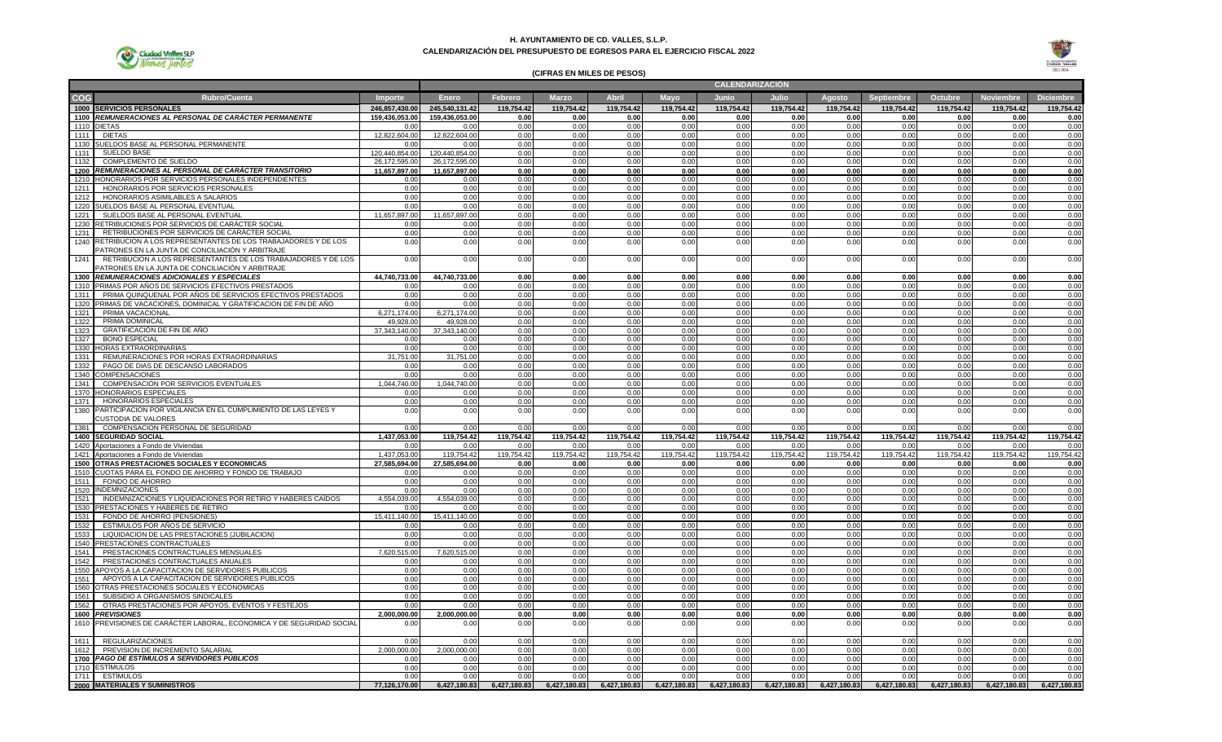

### **H. AYUNTAMIENTO DE CD. VALLES, S.L.P. CALENDARIZACIÓN DEL PRESUPUESTO DE EGRESOS PARA EL EJERCICIO FISCAL 2022**



# **(CIFRAS EN MILES DE PESOS)**

|              |                                                                             |                   |                   |              |              |              |              |              | <b>CALENDARIZACION</b> |              |              |              |                            |                  |
|--------------|-----------------------------------------------------------------------------|-------------------|-------------------|--------------|--------------|--------------|--------------|--------------|------------------------|--------------|--------------|--------------|----------------------------|------------------|
| COG          | <b>Rubro/Cuenta</b>                                                         | Importe           | <b>Enero</b>      | Febrero      | <b>Marzo</b> | <b>Abril</b> | Mayo         | Junio        | Julio                  | Agosto       | Septiembre   | Octubre      | <b>Noviembre</b>           | <b>Diciembre</b> |
|              | 1000 SERVICIOS PERSONALES                                                   | 246.857.430.00    | 245.540.131.42    | 119.754.42   | 119.754.42   | 119.754.42   | 119.754.42   | 119.754.42   | 119.754.42             | 119.754.42   | 119.754.42   | 119.754.42   | 119.754.42                 | 119.754.42       |
|              | 1100 REMUNERACIONES AL PERSONAL DE CARÁCTER PERMANENTE                      | 159.436.053.00    | 159.436.053.00    | 0.00         | 0.00         | 0.00         | 0.00         | 0.00         | 0.00                   | 0.00         | 0.00         | 0.00         | 0.00                       | 0.00             |
|              | 1110 DIETAS                                                                 | 0.00              | 0.00              | 0.00         | 0.00         | 0.00         | 0.00         | 0.00         | 0.00                   | 0.00         | 0.00         | 0.00         | 0.00                       | 0.00             |
|              | 1111 DIETAS                                                                 | 12,822,604.00     | 12,822,604.00     | 0.00         | 0.00         | 0.00         | 0.00         | 0.00         | 0.00                   | 0.00         | 0.00         | 0.00         | 0.00                       | 0.00             |
|              | 1130 SUELDOS BASE AL PERSONAL PERMANENTE                                    | 0.00              | 0.00              | 0.00         | 0.00         | 0.00         | 0.00         | 0.00         | 0.00                   | 0.00         | 0.00         | 0.00         | 0.00                       | 0.00             |
| 1131         | SUELDO BASE                                                                 | 120.440.854.00    | 120.440.854.00    | 0.00         | 0.00         | 0.00         | 0.00         | 0.00         | 0.00                   | 0.00         | 0.00         | 0.00         | 0.00                       | 0.00             |
| 1132         | COMPLEMENTO DE SUELDO                                                       | 26,172,595.00     | 26,172,595.00     | 0.00         | 0.00         | 0.00         | 0.00         | 0.00         | 0.00                   | 0.00         | 0.00         | 0.00         | 0.00                       | 0.00             |
|              | 1200 REMUNERACIONES AL PERSONAL DE CARÁCTER TRANSITORIO                     | 11,657,897.00     | 11,657,897.00     | 0.00         | 0.00         | 0.00         | 0.00         | 0.00         | 0.00                   | 0.00         | 0.00         | 0.00         | 0.00                       | 0.00             |
|              | 1210 HONORARIOS POR SERVICIOS PERSONALES INDEPENDIENTES                     | 0.00              | 0.00              | 0.00         | 0.00         | 0.00         | 0.00         | 0.00         | 0.00                   | 0.00         | 0.00         | 0.00         | 0.00                       | 0.00             |
| 1211<br>1212 | HONORARIOS POR SERVICIOS PERSONALES                                         | 0.00<br>0.00      | 0.00              | 0.00         | 0.00         | 0.00         | 0.00         | 0.00<br>0.00 | 0.00<br>0.00           | 0.00         | 0.00         | 0.00<br>0.00 | 0.00<br>0.00               | 0.00             |
|              | HONORARIOS ASIMILABLES A SALARIOS<br>1220 SUELDOS BASE AL PERSONAL EVENTUAL | 0.00              | 0.00<br>0.00      | 0.00<br>0.00 | 0.00<br>0.00 | 0.00<br>0.00 | 0.00<br>0.00 | 0.00         | 0.00                   | 0.00<br>0.00 | 0.00<br>0.00 | 0.00         | 0.00                       | 0.00<br>0.00     |
| 1221         | SUELDOS BASE AL PERSONAL EVENTUAL                                           | 11,657,897.00     | 11,657,897.00     | 0.00         | 0.00         | 0.00         | 0.00         | 0.00         | 0.00                   | 0.00         | 0.00         | 0.00         | 0.00                       | 0.00             |
|              | 1230 RETRIBUCIONES POR SERVICIOS DE CARÁCTER SOCIAL                         | 0.00              | 0.00              | 0.00         | 0.00         | 0.00         | 0.00         | 0.00         | 0.00                   | 0.00         | 0.00         | 0.00         | 0.00                       | 0.00             |
| 1231         | RETRIBUCIONES POR SERVICIOS DE CARÁCTER SOCIA                               | 0.00              | 0.00              | 0.00         | 0.00         | 0.00         | 0.00         | 0.00         | 0.00                   | 0.00         | 0.00         | 0.00         | 0.00                       | 0.00             |
|              | 1240 RETRIBUCION A LOS REPRESENTANTES DE LOS TRABAJADORES Y DE LOS          | 0.00              | 0.00              | 0.00         | 0.00         | 0.00         | 0.00         | 0.00         | 0.00                   | 0.00         | 0.00         | 0.00         | 0.00                       | 0.00             |
|              | PATRONES EN LA JUNTA DE CONCILIACIÓN Y ARBITRAJE                            |                   |                   |              |              |              |              |              |                        |              |              |              |                            |                  |
| 1241         | RETRIBUCION A LOS REPRESENTANTES DE LOS TRABAJADORES Y DE LOS               | 0.00              | 0.00              | 0.00         | 0.00         | 0.00         | 0.00         | 0.00         | 0.00                   | 0.00         | 0.00         | 0.00         | 0.00                       | 0.00             |
|              | PATRONES EN LA JUNTA DE CONCILIACIÓN Y ARBITRAJE                            |                   |                   |              |              |              |              |              |                        |              |              |              |                            |                  |
|              | 1300 REMUNERACIONES ADICIONALES Y ESPECIALES                                | 44,740,733.00     | 44,740,733.00     | 0.00         | 0.00         | 0.00         | 0.00         | 0.00         | 0.00                   | 0.00         | 0.00         | 0.00         | 0.00                       | 0.00             |
|              | 1310 PRIMAS POR AÑOS DE SERVICIOS EFECTIVOS PRESTADOS                       | 0.00              | 0.00              | 0.00         | 0.00         | 0.00         | 0.00         | 0.00         | 0.00                   | 0.00         | 0.00         | 0.00         | 0.00                       | 0.00             |
| 1311         | PRIMA QUINQUENAL POR AÑOS DE SERVICIOS EFECTIVOS PRESTADOS                  | 0.00              | 0.00              | 0.00         | 0.00         | 0.00         | 0.00         | 0.00         | 0.00                   | 0.00         | 0.00         | 0.00         | 0.00                       | 0.00             |
|              | 1320 PRIMAS DE VACACIONES, DOMINICAL Y GRATIFICACION DE FIN DE AÑO          | 0.00              | 0.00              | 0.00         | 0.00         | 0.00         | 0.00         | 0.00         | 0.00                   | 0.00         | 0.00         | 0.00         | 0.00                       | 0.00             |
| 1321         | PRIMA VACACIONAL                                                            | 6.271.174.00      | 6.271.174.00      | 0.00         | 0.00         | 0.00         | 0.00         | 0.00         | 0.00                   | 0.00         | 0.00         | 0.00         | 0.00                       | 0.00             |
| 1322         | PRIMA DOMINICAL                                                             | 49.928.00         | 49.928.00         | 0.00         | 0.00         | 0.00         | 0.00         | 0.00         | 0.00                   | 0.00         | 0.00         | 0.00         | 0.00                       | 0.00             |
| 1323         | GRATIFICACIÓN DE FIN DE AÑO                                                 | 37,343,140.00     | 37,343,140.00     | 0.00         | 0.00         | 0.00         | 0.00         | 0.00         | 0.00                   | 0.00         | 0.00         | 0.00         | 0.00                       | 0.00             |
| 1327         | <b>BONO ESPECIAL</b>                                                        | 0.00              | 0.00              | 0.00         | 0.00         | 0.00         | 0.00         | 0.00         | 0.00                   | 0.00         | 0.00         | 0.00         | 0.00                       | 0.00             |
| 1331         | 1330 HORAS EXTRAORDINARIAS<br>REMUNERACIONES POR HORAS EXTRAORDINARIAS      | 0.00<br>31,751.00 | 0.00<br>31,751.00 | 0.00<br>0.00 | 0.00<br>0.00 | 0.00<br>0.00 | 0.00<br>0.00 | 0.00<br>0.00 | 0.00<br>0.00           | 0.00<br>0.00 | 0.00<br>0.00 | 0.00<br>0.00 | 0.00<br>0.00               | 0.00<br>0.00     |
| 1332         | PAGO DE DIAS DE DESCANSO LABORADOS                                          | 0.00              | 0.00              | 0.00         | 0.00         | 0.00         | 0.00         | 0.00         | 0.00                   | 0.00         | 0.00         | 0.00         | 0.00                       | 0.00             |
|              | 1340 COMPENSACIONES                                                         | 0.00              | 0.00              | 0.00         | 0.00         | 0.00         | 0.00         | 0.00         | 0.00                   | 0.00         | 0.00         | 0.00         | 0.00                       | 0.00             |
| 1341         | COMPENSACIÓN POR SERVICIOS EVENTUALES                                       | 1.044.740.00      | 1.044.740.00      | 0.00         | 0.00         | 0.00         | 0.00         | 0.00         | 0.00                   | 0.00         | 0.00         | 0.00         | 0.00                       | 0.00             |
|              | 1370 HONORARIOS ESPECIALES                                                  | 0.00              | 0.00              | 0.00         | 0.00         | 0.00         | 0.00         | 0.00         | 0.00                   | 0.00         | 0.00         | 0.00         | 0.00                       | 0.00             |
| 1371         | <b>HONORARIOS ESPECIALES</b>                                                | 0.00              | 0.00              | 0.00         | 0.00         | 0.00         | 0.00         | 0.00         | 0.00                   | 0.00         | 0.00         | 0.00         | 0.00                       | 0.00             |
|              | 1380 PARTICIPACION POR VIGILANCIA EN EL CUMPLIMIENTO DE LAS LEYES Y         | 0.00              | 0.00              | 0.00         | 0.00         | 0.00         | 0.00         | 0.00         | 0.00                   | 0.00         | 0.00         | 0.00         | 0.00                       | 0.00             |
|              | CUSTODIA DE VALORES                                                         |                   |                   |              |              |              |              |              |                        |              |              |              |                            |                  |
|              | 1381 COMPENSACION PERSONAL DE SEGURIDAD                                     | 0.00              | 0.00              | 0.00         | 0.00         | 0.00         | 0.00         | 0.00         | 0.00                   | 0.00         | 0.00         | 0.00         | 0 <sup>0<sup>c</sup></sup> | 0.00             |
|              | 1400 SEGURIDAD SOCIAL                                                       | 1.437.053.00      | 119.754.42        | 119.754.42   | 119.754.42   | 119.754.42   | 119.754.42   | 119.754.42   | 119.754.42             | 119.754.42   | 119.754.42   | 119.754.42   | 119.754.42                 | 119.754.42       |
|              | 1420 Aportaciones a Fondo de Viviendas                                      | 0.00              | 0.00              | 0.00         | 0.00         | 0.00         | 0.00         | 0.00         | 0.00                   | 0.00         | 0.00         | 0.00         | 0.00                       | 0.00             |
|              | 1421 Aportaciones a Fondo de Viviendas                                      | 1.437.053.00      | 119.754.42        | 119.754.42   | 119,754.42   | 119,754.42   | 119,754.42   | 119,754.42   | 119,754.42             | 119,754.42   | 119,754.42   | 119.754.42   | 119,754.42                 | 119.754.42       |
|              | 1500 OTRAS PRESTACIONES SOCIALES Y ECONOMICAS                               | 27,585,694.00     | 27,585,694.00     | 0.00         | 0.00         | 0.00         | 0.00         | 0.00         | 0.00                   | 0.00         | 0.00         | 0.00         | 0.00                       | 0.00             |
|              | 1510 CUOTAS PARA EL FONDO DE AHORRO Y FONDO DE TRABAJO                      | 0.00              | 0.00              | 0.00         | 0.00         | 0.00         | 0.00         | 0.00         | 0.00                   | 0.00         | 0.00         | 0.00         | 0.00                       | 0.00             |
|              | 1511 FONDO DE AHORRO<br>1520 INDEMNIZACIONES                                | 0.00<br>0.00      | 0.00<br>0.00      | 0.00<br>0.00 | 0.00<br>0.00 | 0.00<br>0.00 | 0.00<br>0.00 | 0.00<br>0.00 | 0.00<br>0.00           | 0.00<br>0.00 | 0.00<br>0.00 | 0.00<br>0.00 | 0.00<br>0.00               | 0.00<br>0.00     |
| 1521         | INDEMNIZACIONES Y LIQUIDACIONES POR RETIRO Y HABERES CAÍDOS                 | 4,554,039.00      | 4,554,039.00      | 0.00         | 0.00         | 0.00         | 0.00         | 0.00         | 0.00                   | 0.00         | 0.00         | 0.00         | 0.00                       | 0.00             |
|              | 1530 PRESTACIONES Y HABERES DE RETIRO                                       | 0.00              | 0.00              | 0.00         | 0.00         | 0.00         | 0.00         | 0.00         | 0.00                   | 0.00         | 0.00         | 0.00         | 0.00                       | 0.00             |
| 1531         | FONDO DE AHORRO (PENSIONES)                                                 | 15,411,140.00     | 15,411,140.00     | 0.00         | 0.00         | 0.00         | 0.00         | 0.00         | 0.00                   | 0.00         | 0.00         | 0.00         | 0.00                       | 0.00             |
| 1532         | ESTIMULOS POR AÑOS DE SERVICIO                                              | 0.00              | 0.00              | 0.00         | 0.00         | 0.00         | 0.00         | 0.00         | 0.00                   | 0.00         | 0.00         | 0.00         | 0.00                       | 0.00             |
| 1533         | LIQUIDACION DE LAS PRESTACIONES (JUBILACION)                                | 0.00              | 0.00              | 0.00         | 0.00         | 0.00         | 0.00         | 0.00         | 0.00                   | 0.00         | 0.00         | 0.00         | 0.00                       | 0.00             |
|              | 1540 PRESTACIONES CONTRACTUALES                                             | 0.00              | 0.00              | 0.00         | 0.00         | 0.00         | 0.00         | 0.00         | 0.00                   | 0.00         | 0.00         | 0.00         | 0.00                       | 0.00             |
| 1541         | PRESTACIONES CONTRACTUALES MENSUALES                                        | 7,620,515.00      | 7,620,515.00      | 0.00         | 0.00         | 0.00         | 0.00         | 0.00         | 0.00                   | 0.00         | 0.00         | 0.00         | 0.00                       | 0.00             |
| 1542         | PRESTACIONES CONTRACTUALES ANUALES                                          | 0.00              | 0.00              | 0.00         | 0.00         | 0.00         | 0.00         | 0.00         | 0.00                   | 0.00         | 0.00         | 0.00         | 0.00                       | 0.00             |
|              | 1550 APOYOS A LA CAPACITACION DE SERVIDORES PUBLICOS                        | 0.00              | 0.00              | 0.00         | 0.00         | 0.00         | 0.00         | 0.00         | 0.00                   | 0.00         | 0.00         | 0.00         | 0.00                       | 0.00             |
| 1551         | APOYOS A LA CAPACITACION DE SERVIDORES PUBLICOS                             | 0.00              | 0.00              | 0.00         | 0.00         | 0.00         | 0.00         | 0.00         | 0.00                   | 0.00         | 0.00         | 0.00         | 0.00                       | 0.00             |
|              | 1560 OTRAS PRESTACIONES SOCIALES Y ECONOMICAS                               | 0.00              | 0.00              | 0.00         | 0.00         | 0.00         | 0.00         | 0.00         | 0.00                   | 0.00         | 0.00         | 0.00         | 0.00                       | 0.00             |
| 1561         | SUBSIDIO A ORGANISMOS SINDICALES                                            | 0.00              | 0.00              | 0.00         | 0.00         | 0.00         | 0.00         | 0.00         | 0.00                   | 0.00         | 0.00         | 0.00         | 0.00                       | 0.00             |
| 1562         | OTRAS PRESTACIONES POR APOYOS, EVENTOS Y FESTEJOS                           | 0.00              | 0.00              | 0.00         | 0.00         | 0.00         | 0.00         | 0.00         | 0.00                   | 0.00         | 0.00         | 0.00         | 0.00                       | 0.00             |
|              | 1600 PREVISIONES                                                            | 2,000,000.00      | 2,000,000.00      | 0.00         | 0.00         | 0.00         | 0.00         | 0.00         | 0.00                   | 0.00         | 0.00         | 0.00         | 0.00                       | 0.00             |
|              | 1610 PREVISIONES DE CARÁCTER LABORAL, ECONOMICA Y DE SEGURIDAD SOCIAL       | 0.00              | 0.00              | 0.00         | 0.00         | 0.00         | 0.00         | 0.00         | 0.00                   | 0.00         | 0.00         | 0.00         | 0.00                       | 0.00             |
|              | 1611 REGULARIZACIONES                                                       | 0.00              | 0.00              | 0.00         | 0.00         | 0.00         | 0.00         | 0.00         | 0.00                   | 0.00         | 0.00         | 0.00         | 0.00                       | 0.00             |
| 1612         | PREVISION DE INCREMENTO SALARIAL                                            | 2.000.000.00      | 2.000.000.00      | 0.00         | 0.00         | 0.00         | 0.00         | 0.00         | 0.00                   | 0.00         | 0.00         | 0.00         | 0.00                       | 0.00             |
|              | 1700 PAGO DE ESTÍMULOS A SERVIDORES PÚBLICOS                                | 0.00              | 0.00              | 0.00         | 0.00         | 0.00         | 0.00         | 0.00         | 0.00                   | 0.00         | 0.00         | 0.00         | 0.00                       | 0.00             |
|              | 1710 ESTIMULOS                                                              | 0.00              | 0.00              | 0.00         | 0.00         | 0.00         | 0.00         | 0.00         | 0.00                   | 0.00         | 0.00         | 0.00         | 0.00                       | 0.00             |
|              | 1711 ESTIMULOS                                                              | 0.00              | 0.00              | 0.00         | 0.00         | 0.00         | 0.00         | 0.00         | 0.00                   | 0.00         | 0.00         | 0.00         | 0.00                       | 0.00             |
|              | 2000 MATERIALES Y SUMINISTROS                                               | 77,126,170.00     | 6,427,180.83      | 6,427,180.83 | 6,427,180.83 | 6,427,180.83 | 6,427,180.83 | 6,427,180.83 | 6,427,180.83           | 6,427,180.83 | 6,427,180.83 | 6,427,180.83 | 6,427,180.83               | 6,427,180.83     |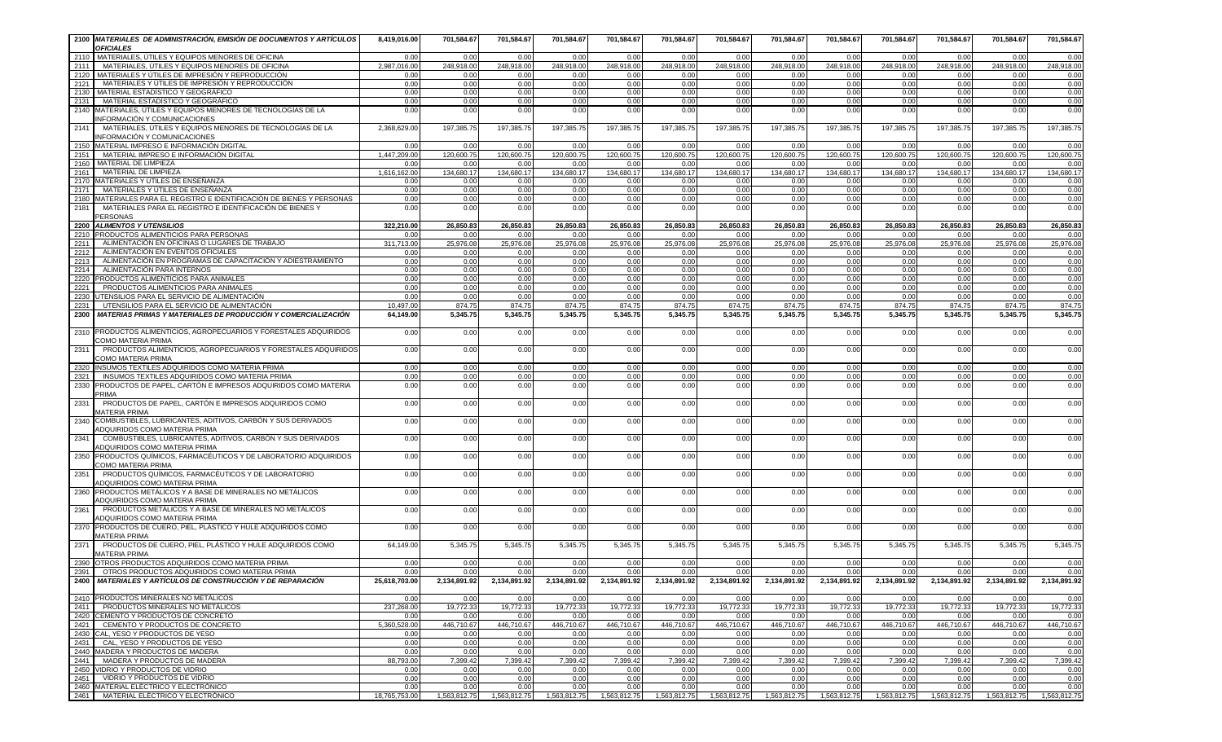|              | 2100 MATERIALES DE ADMINISTRACIÓN, EMISIÓN DE DOCUMENTOS Y ARTICULOS<br><b>OFICIALES</b>                               | 8,419,016.00         | 701,584.67         | 701,584.67         | 701,584.67                                                               | 701,584.67         | 701,584.67         | 701,584.67         | 701,584.67         | 701,584.67         | 701,584.67         | 701,584.67         | 701,584.67                             | 701,584.67         |
|--------------|------------------------------------------------------------------------------------------------------------------------|----------------------|--------------------|--------------------|--------------------------------------------------------------------------|--------------------|--------------------|--------------------|--------------------|--------------------|--------------------|--------------------|----------------------------------------|--------------------|
|              | 2110 MATERIALES, ÚTILES Y EQUIPOS MENORES DE OFICINA                                                                   | 0.00                 | 0.00               | 0.00               | 0.00                                                                     | 0.00               | 0.00               | 0.00               | 0.00               | 0.00               | 0.00               | 0.00               | 0.00                                   | 0.00               |
| 2111 l       | MATERIALES, ÚTILES Y EQUIPOS MENORES DE OFICINA                                                                        | 2,987,016.00         | 248,918.00         | 248,918.00         | 248,918.00                                                               | 248,918.00         | 248,918.00         | 248,918.00         | 248,918.00         | 248,918.00         | 248,918.00         | 248,918.00         | 248,918.00                             | 248.918.00         |
| 2121         | 2120   MATERIALES Y ÚTILES DE IMPRESIÓN Y REPRODUCCIÓN<br>MATERIALES Y ÚTILES DE IMPRESIÓN Y REPRODUCCIÓN              | 0.00<br>0.00         | 0.00<br>0.00       | 0.00<br>0.00       | 0.00<br>0.00                                                             | 0.00<br>0.00       | 0.00<br>0.00       | 0.00<br>0.00       | 0.00<br>0.00       | 0.00<br>0.00       | 0.00<br>0.00       | 0.00<br>0.00       | 0.00<br>0.00                           | 0.00<br>0.00       |
|              | 2130   MATERIAL ESTADÍSTICO Y GEOGRÁFICO                                                                               | 0.00                 | 0.00               | 0.00               | 0.00                                                                     | 0.00               | 0.00               | 0.00               | 0.00               | 0.00               | 0.00               | 0.00               | 0.00                                   | 0.00               |
| 2131         | MATERIAL ESTADÍSTICO Y GEOGRÁFICO                                                                                      | 0.00                 | 0.00               | 0.00               | 0.00                                                                     | 0.00               | 0.00               | 0.00               | 0.00               | 0.00               | 0.00               | 0.00               | 0.00                                   | 0.00               |
|              | 2140 MATERIALES, ÚTILES Y EQUIPOS MENORES DE TECNOLOGÍAS DE LA<br>INFORMACIÓN Y COMUNICACIONES                         | 0.00                 | 0.00               | 0.00               | 0.00                                                                     | 0.00               | 0.00               | 0.00               | 0.00               | 0.00               | 0.00               | 0.00               | 0.00                                   | 0.00               |
| 2141         | MATERIALES, ÚTILES Y EQUIPOS MENORES DE TECNOLOGÍAS DE LA<br>INFORMACIÓN Y COMUNICACIONES                              | 2,368,629.00         | 197,385.75         | 197,385.75         | 197,385.75                                                               | 197,385.75         | 197,385.75         | 197,385.75         | 197,385.75         | 197,385.75         | 197,385.75         | 197,385.75         | 197,385.75                             | 197,385.75         |
|              | 2150 MATERIAL IMPRESO E INFORMACIÓN DIGITAL                                                                            | 0.00                 | 0.00               | 0.00               | 0.00                                                                     | 0.00               | 0.00               | 0.00               | 0.00               | 0.00               | 0.00               | 0.00               | 0.00                                   | 0.00               |
|              | 2151   MATERIAL IMPRESO E INFORMACIÓN DIGITAL<br>2160 MATERIAL DE LIMPIEZA                                             | 1.447.209.00         | 120.600.75         | 120.600.75         | 120.600.75                                                               | 120.600.75         | 120.600.75         | 120,600.75         | 120.600.75         | 120.600.75         | 120,600.75         | 120.600.75         | 120.600.75                             | 120.600.75         |
| 2161 l       | MATERIAL DE LIMPIEZA                                                                                                   | 0.00<br>1,616,162.00 | 0.00<br>134,680.17 | 0.00<br>134,680.17 | 0.00<br>134,680.17                                                       | 0.00<br>134,680.17 | 0.00<br>134,680.17 | 0.00<br>134,680.17 | 0.00<br>134,680.17 | 0.00<br>134,680.17 | 0.00<br>134,680.17 | 0.00<br>134,680.17 | 0.00<br>134,680.17                     | 0.00<br>134,680.17 |
|              | 2170 MATERIALES Y ÚTILES DE ENSEÑANZA                                                                                  | 0.00                 | 0.00               | 0.00               | 0.00                                                                     | 0.00               | 0.00               | 0.00               | 0.00               | 0.00               | 0.00               | 0.00               | 0.00                                   | 0.00               |
| 2171         | MATERIALES Y ÚTILES DE ENSEÑANZA                                                                                       | 0.00                 | 0.00               | 0.00               | 0.00                                                                     | 0.00               | 0.00               | 0.00               | 0.00               | 0.00               | 0.00               | 0.00               | 0.00                                   | 0.00               |
|              | 2180 MATERIALES PARA EL REGISTRO E IDENTIFICACIÓN DE BIENES Y PERSONAS                                                 | 0.00                 | 0.00               | 0.00               | 0.00                                                                     | 0.00               | 0.00               | 0.00               | 0.00               | 0.00               | 0.00               | 0.00               | 0.00                                   | 0.00               |
| 2181         | MATERIALES PARA EL REGISTRO E IDENTIFICACIÓN DE BIENES Y<br><b>PERSONAS</b>                                            | 0.00                 | 0.00               | 0.00               | 0.00                                                                     | 0.00               | 0.00               | 0.00               | 0.00               | 0.00               | 0.00               | 0.00               | 0.00                                   | 0.00               |
|              | 2200 ALIMENTOS Y UTENSILIOS                                                                                            | 322,210.00           | 26,850.83          | 26,850.83          | 26,850.83                                                                | 26,850.83          | 26,850.83          | 26,850.83          | 26,850.83          | 26,850.83          | 26,850.83          | 26,850.83          | 26,850.83                              | 26,850.83          |
| 2211         | 2210 PRODUCTOS ALIMENTICIOS PARA PERSONAS<br>ALIMENTACIÓN EN OFICINAS O LUGARES DE TRABAJO                             | 0.00<br>311,713.00   | 0.00<br>25,976.08  | 0.00<br>25,976.08  | 0.00<br>25,976.08                                                        | 0.00<br>25,976.08  | 0.00<br>25,976.08  | 0.00<br>25,976.08  | 0.00<br>25,976.08  | 0.00<br>25,976.08  | 0.00<br>25,976.08  | 0.00<br>25,976.08  | 0.00<br>25,976.08                      | 0.00<br>25,976.08  |
| 2212         | ALIMENTACIÓN EN EVENTOS OFICIALES                                                                                      | 0.00                 | 0.00               | 0.00               | 0.00                                                                     | 0.00               | 0.00               | 0.00               | 0.00               | 0.00               | 0.00               | 0.00               | 0.00                                   | 0.00               |
| 2213         | ALIMENTACIÓN EN PROGRAMAS DE CAPACITACIÓN Y ADIESTRAMIENTO                                                             | 0.00                 | 0.00               | 0.00               | 0.00                                                                     | 0.00               | 0.00               | 0.00               | 0.00               | 0.00               | 0.00               | 0.00               | 0.00                                   | 0.00               |
| 2214         | ALIMENTACIÓN PARA INTERNOS                                                                                             | 0.00                 | 0.00               | 0.00               | 0.00                                                                     | 0.00               | 0.00               | 0.00               | 0.00               | 0.00               | 0.00               | 0.00               | 0.00                                   | 0.00               |
|              | 2220 PRODUCTOS ALIMENTICIOS PARA ANIMALES                                                                              | 0.00                 | 0.00               | 0.00               | 0.00                                                                     | 0.00               | 0.00               | 0.00               | 0.00               | 0.00               | 0.00               | 0.00               | 0.00                                   | 0.00               |
| 2221<br>2230 | PRODUCTOS ALIMENTICIOS PARA ANIMALES<br>UTENSILIOS PARA EL SERVICIO DE ALIMENTACIÓN                                    | 0.00<br>0.00         | 0.00<br>0.00       | 0.00<br>0.00       | 0.00<br>0.00                                                             | 0.00<br>0.00       | 0.00<br>0.00       | 0.00<br>0.00       | 0.00<br>0.00       | 0.00<br>0.00       | 0.00<br>0.00       | 0.00<br>0.00       | 0.00<br>0.00                           | 0.00<br>0.00       |
| 2231         | UTENSILIOS PARA EL SERVICIO DE ALIMENTACIÓN                                                                            | 10.497.00            | 874.75             | 874.75             | 874.75                                                                   | 874.75             | 874.75             | 874.75             | 874.75             | 874.75             | 874.75             | 874.75             | 874.75                                 | 874.75             |
| 2300         | MATERIAS PRIMAS Y MATERIALES DE PRODUCCIÓN Y COMERCIALIZACIÓN                                                          | 64,149.00            | 5.345.75           | 5.345.75           | 5.345.75                                                                 | 5.345.75           | 5.345.75           | 5.345.75           | 5.345.75           | 5.345.75           | 5.345.75           | 5.345.75           | 5.345.75                               | 5,345.75           |
|              | 2310 PRODUCTOS ALIMENTICIOS, AGROPECUARIOS Y FORESTALES ADQUIRIDOS<br>COMO MATERIA PRIMA                               | 0.00                 | 0.00               | 0.00               | 0.00                                                                     | 0.00               | 0.00               | 0.00               | 0.00               | 0.00               | 0.00               | 0.00               | 0.00                                   | 0.00               |
| 2311         | PRODUCTOS ALIMENTICIOS, AGROPECUARIOS Y FORESTALES ADQUIRIDOS<br><b>COMO MATERIA PRIMA</b>                             | 0.00                 | 0.00               | 0.00               | 0.00                                                                     | 0.00               | 0.00               | 0.00               | 0.00               | 0.00               | 0.00               | 0.00               | 0.00                                   | 0.00               |
|              | 2320 INSUMOS TEXTILES ADQUIRIDOS COMO MATERIA PRIMA                                                                    | 0.00                 | 0.00               | 0.00               | 0.00                                                                     | 0.00               | 0.00               | 0.00               | 0.00               | 0.00               | 0.00               | 0.00               | 0.00                                   | 0.00               |
| 2321         | INSUMOS TEXTILES ADQUIRIDOS COMO MATERIA PRIMA<br><b>PRODUCTOS DE PAPEL, CARTÓN E IMPRESOS ADQUIRIDOS COMO MATERIA</b> | 0.00                 | 0.00               | 0.00               | 0.00                                                                     | 0.00               | 0.00               | 0.00               | 0.00               | 0.00               | 0.00               | 0.00               | 0.00                                   | 0.00               |
| 2330<br>2331 | <b>PRIMA</b><br>PRODUCTOS DE PAPEL, CARTÓN E IMPRESOS ADQUIRIDOS COMO                                                  | 0.00<br>0.00         | 0.00               | 0.00               | 0.00                                                                     | 0.00<br>0.00       | 0.00<br>0.00       | 0.00<br>0.00       | 0.00<br>0.00       | 0.00<br>0.00       | 0.00<br>0.00       | 0.00               | 0.00<br>0.00                           | 0.00<br>0.00       |
| 2340         | <b>MATERIA PRIMA</b><br>COMBUSTIBLES, LUBRICANTES, ADITIVOS, CARBÓN Y SUS DERIVADOS                                    | 0.00                 | 0.00<br>0.00       | 0.00<br>0.00       | 0.00<br>0.00                                                             | 0.00               | 0.00               | 0.00               | 0.00               | 0.00               | 0.00               | 0.00<br>0.00       | 0.00                                   | 0.00               |
| 2341         | ADQUIRIDOS COMO MATERIA PRIMA<br>COMBUSTIBLES, LUBRICANTES, ADITIVOS, CARBÓN Y SUS DERIVADOS                           | 0.00                 | 0.00               | 0.00               | 0.00                                                                     | 0.00               | 0.00               | 0.00               | 0.00               | 0.00               | 0.00               | 0.00               | 0.00                                   | 0.00               |
|              | ADQUIRIDOS COMO MATERIA PRIMA<br>2350 PRODUCTOS QUÍMICOS, FARMACÉUTICOS Y DE LABORATORIO ADQUIRIDOS                    | 0.00                 | 0.00               | 0.00               | 0.00                                                                     | 0.00               | 0.00               | 0.00               | 0.00               | 0.00               | 0.00               | 0.00               | 0.00                                   | 0.00               |
| 2351         | <b>COMO MATERIA PRIMA</b><br>PRODUCTOS QUÍMICOS, FARMACÉUTICOS Y DE LABORATORIO                                        | 0.00                 | 0.00               | 0.00               | 0.00                                                                     | 0.00               | 0.00               | 0.00               | 0.00               | 0.00               | 0.00               | 0.00               | 0.00                                   | 0.00               |
|              | ADQUIRIDOS COMO MATERIA PRIMA<br>2360 PRODUCTOS METÁLICOS Y A BASE DE MINERALES NO METÁLICOS                           | 0.00                 | 0.00               | 0.00               | 0.00                                                                     | 0.00               | 0.00               | 0.00               | 0.00               | 0.00               | 0.00               | 0.00               | 0.00                                   | 0.00               |
| 2361         | ADQUIRIDOS COMO MATERIA PRIMA<br>PRODUCTOS METÁLICOS Y A BASE DE MINERALES NO METÁLICOS                                | 0.00                 | 0.00               | 0.00               | 0.00                                                                     | 0.00               | 0.00               | 0.00               | 0.00               | 0.00               | 0.00               | 0.00               | 0.00                                   | 0.00               |
|              | ADQUIRIDOS COMO MATERIA PRIMA<br>2370 PRODUCTOS DE CUERO, PIEL, PLÁSTICO Y HULE ADQUIRIDOS COMO                        | 0.00                 | 0.00               | 0.00               | 0.00                                                                     | 0.00               | 0.00               | 0.00               | 0.00               | 0.00               | 0.00               | 0.00               | 0.00                                   | 0.00               |
| 2371         | <b>MATERIA PRIMA</b><br>PRODUCTOS DE CUERO, PIEL, PLÁSTICO Y HULE ADQUIRIDOS COMO                                      | 64,149.00            | 5,345.75           | 5,345.75           | 5,345.75                                                                 | 5,345.75           | 5,345.75           | 5,345.75           | 5,345.75           | 5,345.75           | 5,345.75           | 5,345.75           | 5,345.75                               | 5,345.75           |
|              | <b>MATERIA PRIMA</b><br>2390 OTROS PRODUCTOS ADQUIRIDOS COMO MATERIA PRIMA                                             | 0.00                 | 0.00               | 0.00               | 0.00                                                                     | 0.00               | 0.00               | 0.00               | 0.00               | 0.00               | 0.00               | 0.00               | 0.00                                   | 0.00               |
|              | 2391 OTROS PRODUCTOS ADQUIRIDOS COMO MATERIA PRIMA                                                                     | 0.00                 | 0.00               | 0.00               | 0.00                                                                     | 0.00               | 0.00               | 0.00               | 0.00               | 0.00               | 0.00               | 0.00               | 0.00                                   | 0.00               |
|              | 2400   MATERIALES Y ARTÍCULOS DE CONSTRUCCIÓN Y DE REPARACIÓN                                                          | 25,618,703.00        | 2,134,891.92       | 2,134,891.92       | 2,134,891.92                                                             | 2,134,891.92       | 2,134,891.92       | 2,134,891.92       | 2,134,891.92       | 2,134,891.92       | 2,134,891.92       |                    | 2,134,891.92 2,134,891.92 2,134,891.92 |                    |
|              | 2410 PRODUCTOS MINERALES NO METÁLICOS                                                                                  | 0.00                 | 0.00               | 0.00               | 0.00                                                                     | 0.00               | 0.00               | 0.00               | 0.00               | 0.00               | 0.00               | 0.00               | 0.00                                   | 0.00               |
|              | 2411 PRODUCTOS MINERALES NO METÁLICOS<br>2420 CEMENTO Y PRODUCTOS DE CONCRETO                                          | 237,268.00           | 19,772.33          | 19,772.33          | 19,772.33                                                                | 19,772.33          | 19,772.33          | 19,772.33          | 19,772.33          | 19,772.33          | 19,772.33          | 19,772.33          | 19,772.33                              | 19,772.33          |
|              | 2421 CEMENTO Y PRODUCTOS DE CONCRETO                                                                                   | 0.00<br>5.360.528.00 | 0.00<br>446,710.67 | 0.00<br>446,710.67 | 0.00<br>446,710.67                                                       | 0.00<br>446,710.67 | 0.00<br>446,710.67 | 0.00<br>446,710.67 | 0.00<br>446,710.67 | 0.00<br>446,710.67 | 0.00<br>446,710.67 | 0.00<br>446,710.67 | 0.00<br>446,710.67                     | 0.00<br>446,710.67 |
|              | 2430 CAL. YESO Y PRODUCTOS DE YESO                                                                                     | 0.00                 | 0.00               | 0.00               | 0.00                                                                     | 0.00               | 0.00               | 0.00               | 0.00               | 0.00               | 0.00               | 0.00               | 0.00                                   | 0.00               |
|              | 2431 CAL, YESO Y PRODUCTOS DE YESO                                                                                     | 0.00                 | 0.00               | 0.00               | 0.00                                                                     | 0.00               | 0.00               | 0.00               | 0.00               | 0.00               | 0.00               | 0.00               | 0.00                                   | 0.00               |
|              | 2440 MADERA Y PRODUCTOS DE MADERA                                                                                      | 0.00                 | 0.00               | 0.00               | 0.00                                                                     | 0.00               | 0.00               | 0.00               | 0.00               | 0.00               | 0.00               | 0.00               | 0.00                                   | 0.00               |
|              | 2441 MADERA Y PRODUCTOS DE MADERA                                                                                      | 88,793.00            | 7,399.42           | 7,399.42           | 7,399.42                                                                 | 7,399.42           | 7,399.42           | 7,399.42           | 7,399.42           | 7,399.42           | 7,399.42           | 7,399.42           | 7.399.42                               | 7,399.42           |
|              | 2450 VIDRIO Y PRODUCTOS DE VIDRIO<br>2451 VIDRIO Y PRODUCTOS DE VIDRIO                                                 | 0.00<br>0.00         | 0.00<br>0.00       | 0.00<br>0.00       | 0.00<br>0.00                                                             | 0.00<br>0.00       | 0.00<br>0.00       | 0.00<br>0.00       | 0.00<br>0.00       | 0.00<br>0.00       | 0.00<br>0.00       | 0.00<br>0.00       | 0.00<br>0.00                           | 0.00<br>0.00       |
|              | 2460 MATERIAL ELÉCTRICO Y ELECTRONICO                                                                                  | 0.00                 | 0.00               | 0.00               | 0.00                                                                     | 0.00               | 0.00               | 0.00               | 0.00               | 0.00               | 0.00               | 0.00               | 0.00                                   | 0.00               |
|              | 2461 MATERIAL ELÉCTRICO Y ELECTRÓNICO                                                                                  | 18.765.753.00        |                    |                    | 1,563,812.75   1,563,812.75   1,563,812.75   1,563,812.75   1,563,812.75 |                    |                    | 1,563,812.75       | 1,563,812.75       | 1,563,812.75       | 1,563,812.75       | 1.563.812.75       | 1,563,812.75                           | 1,563,812.75       |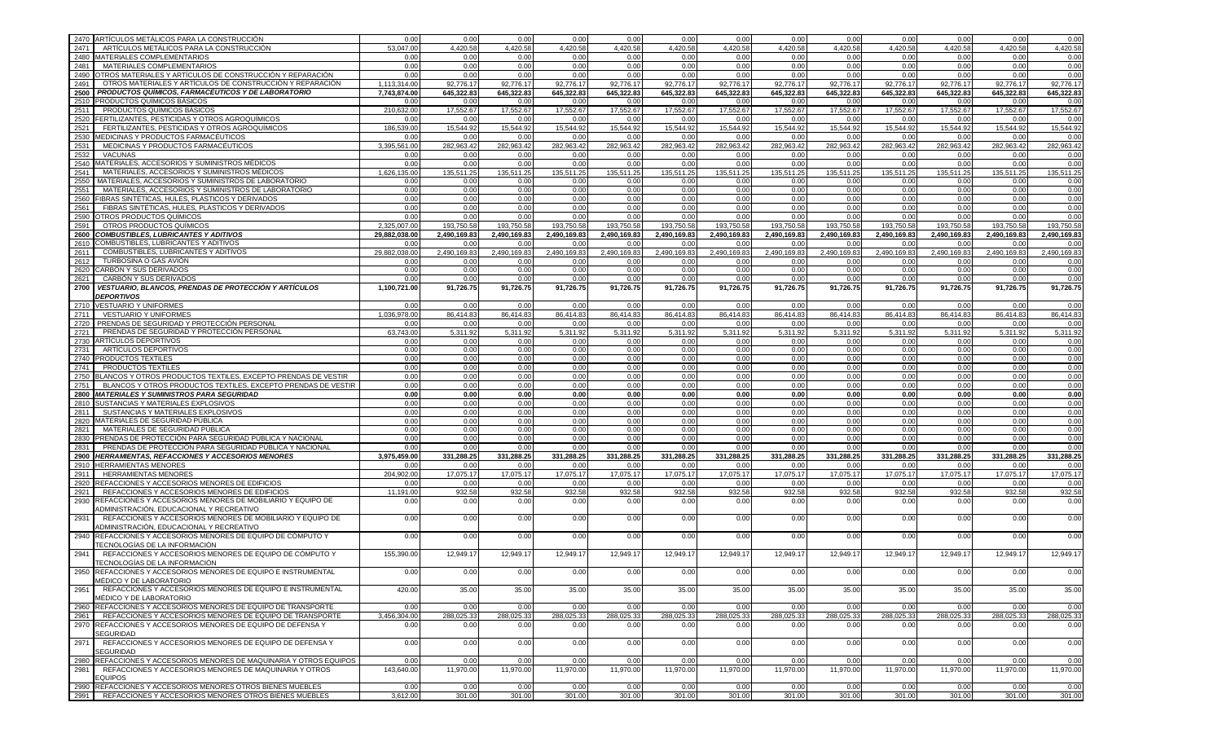| 2470 ARTÍCULOS METÁLICOS PARA LA CONSTRUCCIÓN                                                                  | 0.00          | 0.00         | 0.00         | 0.00         | 0.00         | 0.00         | 0.00         | 0.00         | 0.00                  | 0.00         | 0.00         | 0.00         | 0.00         |
|----------------------------------------------------------------------------------------------------------------|---------------|--------------|--------------|--------------|--------------|--------------|--------------|--------------|-----------------------|--------------|--------------|--------------|--------------|
| 2471<br>ARTÍCULOS METÁLICOS PARA LA CONSTRUCCIÓN                                                               | 53.047.00     | 4.420.58     | 4,420.58     | 4,420.58     | 4,420.58     | 4.420.58     | 4,420.58     | 4,420.58     | $4,420.\overline{58}$ | 4.420.58     | 4.420.58     | 4.420.58     | 4,420.58     |
| 2480 MATERIALES COMPLEMENTARIOS                                                                                | 0.00          | 0.00         | 0.00         | 0.00         | 0.00         | 0.00         | 0.00         | 0.00         | 0.00                  | 0.00         | 0.00         | 0.00         | 0.00         |
| MATERIALES COMPLEMENTARIOS<br>2481                                                                             | 0.00          | 0.00         | 0.00         | 0.00         | 0.00         | 0.00         | 0.00         | 0.00         | 0.00                  | 0.00         | 0.00         | 0.00         | 0.00         |
| 2490 OTROS MATERIALES Y ARTÍCULOS DE CONSTRUCCIÓN Y REPARACIÓN                                                 | 0.00          | 0.00         | 0.00         | 0.00         | 0.00         | 0.00         | 0.00         | 0.00         | 0.00                  | 0.00         | 0.00         | 0.00         | 0.00         |
| OTROS MATERIALES Y ARTÍCULOS DE CONSTRUCCIÓN Y REPARACIÓN<br>2491                                              | 1,113,314.00  | 92,776.17    | 92,776.17    | 92,776.17    | 92,776.17    | 92,776.17    | 92,776.17    | 92,776.17    | 92,776.17             | 92,776.17    | 92,776.17    | 92,776.17    | 92,776.17    |
| 2500   PRODUCTOS QUÍMICOS, FARMACÉUTICOS Y DE LABORATORIO                                                      | 7,743,874.00  | 645,322.83   | 645,322.83   | 645,322.83   | 645,322.83   | 645,322.83   | 645,322.83   | 645,322.83   | 645,322.83            | 645,322.83   | 645,322.83   | 645,322.83   | 645,322.83   |
| 2510 PRODUCTOS QUÍMICOS BÁSICOS                                                                                | 0.00          | 0.00         | 0.00         | 0.00         | 0.00         | 0.00         | 0.00         | 0.00         | 0.00                  | 0.00         | 0.00         | 0.00         | 0.00         |
| 2511<br><b>PRODUCTOS QUÍMICOS BÁSICOS</b>                                                                      | 210.632.00    | 17,552.67    | 17,552.67    | 17,552.67    | 17,552.67    | 17,552.67    | 17,552.67    | 17,552.67    | 17,552.67             | 17,552.67    | 17,552.67    | 17,552.67    | 17,552.67    |
| 2520 FERTILIZANTES, PESTICIDAS Y OTROS AGROQUÍMICOS                                                            | 0.00          | 0.00         | 0.00         | 0.00         | 0.00         | 0.00         | 0.00         | 0.00         | 0.00                  | 0.00         | 0.00         | 0.00         | 0.00         |
| FERTILIZANTES, PESTICIDAS Y OTROS AGROQUÍMICOS<br>2521                                                         | 186,539.00    | 15,544.92    | 15,544.92    | 15,544.92    | 15,544.92    | 15,544.92    | 15,544.92    | 15,544.92    | 15,544.92             | 15,544.92    | 15,544.92    | 15.544.92    | 15.544.92    |
| 2530 MEDICINAS Y PRODUCTOS FARMACÉUTICOS                                                                       | 0.00          | 0.00         | 0.00         | 0.00         | 0.00         | 0.00         | 0.00         | 0.00         | 0.00                  | 0.00         | 0.00         | 0.00         | 0.00         |
| MEDICINAS Y PRODUCTOS FARMACÉUTICOS<br>2531                                                                    | 3,395,561.00  | 282,963.42   | 282,963.42   | 282,963.42   | 282,963.42   | 282,963.42   | 282,963.42   | 282,963.42   | 282,963.42            | 282,963.42   | 282,963.42   | 282,963.42   | 282,963.42   |
| 2532<br><b>VACUNAS</b>                                                                                         | 0.00          | 0.00         | 0.00         | 0.00         | 0.00         | 0.00         | 0.00         | 0.00         | 0.00                  | 0.00         | 0.00         | 0.00         | 0.00         |
| MATERIALES, ACCESORIOS Y SUMINISTROS MÉDICOS                                                                   | 0.00          | 0.00         |              | 0.00         |              |              | 0.00         | 0.00         | 0.00                  | 0.00         | 0.00         | 0.00         |              |
| 2540<br>MATERIALES, ACCESORIOS Y SUMINISTROS MÉDICOS                                                           |               |              | 0.00         |              | 0.00         | 0.00         |              |              |                       |              |              |              | 0.00         |
| 2541                                                                                                           | 1,626,135.00  | 135,511.25   | 135,511.25   | 135,511.25   | 135,511.25   | 135,511.25   | 135,511.25   | 135,511.25   | 135,511.25            | 135,511.25   | 135,511.25   | 135,511.25   | 135,511.25   |
| 2550<br>MATERIALES, ACCESORIOS Y SUMINISTROS DE LABORATORIO                                                    | 0.00          | 0.00         | 0.00         | 0.00         | 0.00         | 0.00         | 0.00         | 0.00         | 0.00                  | 0.00         | 0.00         | 0.00         | 0.00         |
| 2551<br>MATERIALES, ACCESORIOS Y SUMINISTROS DE LABORATORIO                                                    | 0.00          | 0.00         | 0.00         | 0.00         | 0.00         | 0.00         | 0.00         | 0.00         | 0.00                  | 0.00         | 0.00         | 0.00         | 0.00         |
| 2560<br>FIBRAS SINTÉTICAS, HULES, PLÁSTICOS Y DERIVADOS                                                        | 0.00          | 0.00         | 0.00         | 0.00         | 0.00         | 0.00         | 0.00         | 0.00         | 0.00                  | 0.00         | 0.00         | 0.00         | 0.00         |
| FIBRAS SINTÉTICAS, HULES, PLÁSTICOS Y DERIVADOS<br>2561                                                        | 0.00          | 0.00         | 0.00         | 0.00         | 0.00         | 0.00         | 0.00         | 0.00         | 0.00                  | 0.00         | 0.00         | 0.00         | 0.00         |
| 2590 OTROS PRODUCTOS QUÍMICOS                                                                                  | 0.00          | 0.00         | 0.00         | 0.00         | 0.00         | 0.00         | 0.00         | 0.00         | 0.00                  | 0.00         | 0.00         | 0.00         | 0.00         |
| OTROS PRODUCTOS QUÍMICOS<br>2591                                                                               | 2,325,007.00  | 193,750.58   | 193,750.58   | 193,750.58   | 193,750.58   | 193,750.58   | 193,750.58   | 193,750.58   | 193,750.58            | 193,750.58   | 193,750.58   | 193,750.58   | 193,750.58   |
| 2600 COMBUSTIBLES, LUBRICANTES Y ADITIVOS                                                                      | 29,882,038.00 | 2,490,169.83 | 2,490,169.83 | 2,490,169.83 | 2,490,169.83 | 2,490,169.83 | 2,490,169.83 | 2,490,169.83 | 2,490,169.83          | 2,490,169.83 | 2,490,169.83 | 2,490,169.83 | 2.490.169.83 |
| 2610 COMBUSTIBLES, LUBRICANTES Y ADITIVOS                                                                      | 0.00          | 0.00         | 0.00         | 0.00         | 0.00         | 0.00         | 0.00         | 0.00         | 0.00                  | 0.00         | 0.00         | 0.00         | 0.00         |
| 2611<br>COMBUSTIBLES, LUBRICANTES Y ADITIVOS                                                                   | 29,882,038.00 | 2,490,169.83 | 2,490,169.83 | 2,490,169.83 | 2,490,169.83 | 2,490,169.83 | 2,490,169.83 | 2,490,169.83 | 2,490,169.83          | 2,490,169.83 | 2,490,169.83 | 2,490,169.83 | 2.490.169.83 |
| 2612<br>TURBOSINA O GAS AVIÓN                                                                                  | 0.00          | 0.00         | 0.00         | 0.00         | 0.00         | 0.00         | 0.00         | 0.00         | 0.00                  | 0.00         | 0.00         | 0.00         | 0.00         |
| 2620<br>CARBÓN Y SUS DERIVADOS                                                                                 | 0.00          | 0.00         | 0.00         | 0.00         | 0.00         | 0.00         | 0.00         | 0.00         | 0.00                  | 0.00         | 0.00         | 0.00         | 0.00         |
| 2621<br>CARBÓN Y SUS DERIVADOS                                                                                 | 0.00          | 0.00         | 0.00         | 0.00         | 0.00         | 0.00         | 0.00         | 0.00         | 0.00                  | 0.00         | 0.00         | 0.00         | 0.00         |
| VESTUARIO, BLANCOS, PRENDAS DE PROTECCIÓN Y ARTÍCULOS<br>2700                                                  | 1,100,721.00  | 91,726.75    | 91,726.75    | 91,726.75    | 91,726.75    | 91,726.75    | 91,726.75    | 91,726.75    | 91,726.75             | 91,726.75    | 91,726.75    | 91,726.75    | 91,726.75    |
| <b>DEPORTIVOS</b>                                                                                              |               |              |              | 0.00         |              |              |              |              |                       |              |              |              |              |
| 2710 VESTUARIO Y UNIFORMES                                                                                     | 0.00          | 0.00         | 0.00         |              | 0.00         | 0.00         | 0.00         | 0.00         | 0.00                  | 0.00         | 0.00         | 0.00         | 0.00         |
| 2711<br><b>VESTUARIO Y UNIFORMES</b>                                                                           | 1,036,978.00  | 86,414.83    | 86,414.83    | 86,414.83    | 86,414.83    | 86,414.83    | 86,414.83    | 86,414.83    | 86,414.83             | 86,414.83    | 86,414.83    | 86,414.83    | 86.414.83    |
| 2720   PRENDAS DE SEGURIDAD Y PROTECCIÓN PERSONAL                                                              | 0.00          | 0.00         | 0.00         | 0.00         | 0.00         | 0.00         | 0.00         | 0.00         | 0.00                  | 0.00         | 0.00         | 0.00         | 0.00         |
| PRENDAS DE SEGURIDAD Y PROTECCIÓN PERSONAL<br>2721                                                             | 63.743.00     | 5.311.92     | 5.311.92     | 5.311.92     | 5,311.92     | 5,311.92     | 5,311.92     | 5,311.92     | 5,311.92              | 5,311.92     | 5.311.92     | 5.311.92     | 5.311.92     |
| 2730 ARTÍCULOS DEPORTIVOS                                                                                      | 0.00          | 0.00         | 0.00         | 0.00         | 0.00         | 0.00         | 0.00         | 0.00         | 0.00                  | 0.00         | 0.00         | 0.00         | 0.00         |
| 2731<br>ARTÍCULOS DEPORTIVOS                                                                                   | 0.00          | 0.00         | 0.00         | 0.00         | 0.00         | 0.00         | 0.00         | 0.00         | 0.00                  | 0.00         | 0.00         | 0.00         | 0.00         |
| 2740 PRODUCTOS TEXTILES                                                                                        | 0.00          | 0.00         | 0.00         | 0.00         | 0.00         | 0.00         | 0.00         | 0.00         | 0.00                  | 0.00         | 0.00         | 0.00         | 0.00         |
| 2741<br>PRODUCTOS TEXTILES                                                                                     | 0.00          | 0.00         | 0.00         | 0.00         | 0.00         | 0.00         | 0.00         | 0.00         | 0.00                  | 0.00         | 0.00         | 0.00         | 0.00         |
| 2750 BLANCOS Y OTROS PRODUCTOS TEXTILES, EXCEPTO PRENDAS DE VESTIR                                             | 0.00          | 0.00         | 0.00         | 0.00         | 0.00         | 0.00         | 0.00         | 0.00         | 0.00                  | 0.00         | 0.00         | 0.00         | 0.00         |
| BLANCOS Y OTROS PRODUCTOS TEXTILES, EXCEPTO PRENDAS DE VESTIR<br>2751                                          | 0.00          | 0.00         | 0.00         | 0.00         | 0.00         | 0.00         | 0.00         | 0.00         | 0.00                  | 0.00         | 0.00         | 0.00         | 0.00         |
| 2800 MATERIALES Y SUMINISTROS PARA SEGURIDAD                                                                   | 0.00          | 0.00         | 0.00         | 0.00         | 0.00         | 0.00         | 0.00         | 0.00         | 0.00                  | 0.00         | 0.00         | 0.00         | 0.00         |
| 2810 SUSTANCIAS Y MATERIALES EXPLOSIVOS                                                                        | 0.00          | 0.00         | 0.00         | 0.00         | 0.00         | 0.00         | 0.00         | 0.00         | 0.00                  | 0.00         | 0.00         | 0.00         | 0.00         |
| 2811<br>SUSTANCIAS Y MATERIALES EXPLOSIVOS                                                                     | 0.00          | 0.00         | 0.00         | 0.00         | 0.00         | 0.00         | 0.00         | 0.00         | 0.00                  | 0.00         | 0.00         | 0.00         | 0.00         |
| 2820 MATERIALES DE SEGURIDAD PÚBLICA                                                                           | 0.00          | 0.00         | 0.00         | 0.00         | 0.00         | 0.00         | 0.00         | 0.00         | 0.00                  | 0.00         | 0.00         | 0.00         | 0.00         |
| 2821<br>MATERIALES DE SEGURIDAD PÚBLICA                                                                        | 0.00          | 0.00         | 0.00         | 0.00         | 0.00         | 0.00         | 0.00         | 0.00         | 0.00                  | 0.00         | 0.00         | 0.00         | 0.00         |
| 2830 PRENDAS DE PROTECCIÓN PARA SEGURIDAD PÚBLICA Y NACIONAL                                                   | 0.00          | 0.00         | 0.00         | 0.00         | 0.00         | 0.00         | 0.00         | 0.00         | 0.00                  | 0.00         | 0.00         | 0.00         | 0.00         |
| PRENDAS DE PROTECCIÓN PARA SEGURIDAD PÚBLICA Y NACIONAL<br>2831                                                | 0.00          | 0.00         | 0.00         | 0.00         | 0.00         | 0.00         | 0.00         | 0.00         | 0.00                  | 0.00         | 0.00         | 0.00         | 0.00         |
| 2900 HERRAMIENTAS, REFACCIONES Y ACCESORIOS MENORES                                                            | 3,975,459.00  | 331,288.25   | 331,288.25   | 331,288.25   | 331,288.25   | 331,288.25   | 331,288.25   | 331,288.25   | 331,288.25            | 331,288.25   | 331,288.25   | 331,288.25   | 331,288.25   |
| 2910 HERRAMIENTAS MENORES                                                                                      | 0.00          | 0.00         | 0.00         | 0.00         | 0.00         | 0.00         | 0.00         | 0.00         | 0.00                  | 0.00         | 0.00         | 0.00         | 0.00         |
| <b>HERRAMIENTAS MENORES</b><br>2911                                                                            | 204.902.00    | 17,075.17    | 17,075.17    | 17,075.17    | 17,075.17    | 17,075.17    | 17,075.17    | 17,075.17    | 17,075.17             | 17,075.17    | 17,075.17    | 17,075.17    | 17.075.17    |
| 2920<br>REFACCIONES Y ACCESORIOS MENORES DE EDIFICIOS                                                          | 0.00          | 0.00         | 0.00         | 0.00         | 0.00         | 0.00         | 0.00         | 0.00         | 0.00                  | 0.00         | 0.00         | 0.00         | 0.00         |
| REFACCIONES Y ACCESORIOS MENORES DE EDIFICIOS<br>2921                                                          | 11,191.00     | 932.58       | 932.58       | 932.58       | 932.58       | 932.58       | 932.58       | 932.58       | 932.58                | 932.58       | 932.58       | 932.58       | 932.58       |
|                                                                                                                |               |              |              |              |              |              |              |              |                       |              |              |              |              |
| 2930<br>REFACCIONES Y ACCESORIOS MENORES DE MOBILIARIO Y EQUIPO DE<br>ADMINISTRACIÓN. EDUCACIONAL Y RECREATIVO | 0.00          | 0.00         | 0.00         | 0.00         | 0.00         | 0.00         | 0.00         | 0.00         | 0.00                  | 0.00         | 0.00         | 0.00         | 0.00         |
| 2931<br>REFACCIONES Y ACCESORIOS MENORES DE MOBILIARIO Y EQUIPO DE                                             | 0.00          | 0.00         | 0.00         | 0.00         | 0.00         | 0.00         | 0.00         | 0.00         | 0.00                  | 0.00         | 0.00         | 0.00         | 0.00         |
| ADMINISTRACIÓN, EDUCACIONAL Y RECREATIVO                                                                       |               |              |              |              |              |              |              |              |                       |              |              |              |              |
| 2940<br>REFACCIONES Y ACCESORIOS MENORES DE EQUIPO DE CÓMPUTO Y                                                | 0.00          | 0.00         | 0.00         | 0.00         | 0.00         | 0.00         | 0.00         | 0.00         | 0.00                  | 0.00         | 0.00         | 0.00         | 0.00         |
| TECNOLOGÍAS DE LA INFORMACIÓN                                                                                  |               |              |              |              |              |              |              |              |                       |              |              |              |              |
| REFACCIONES Y ACCESORIOS MENORES DE EQUIPO DE CÓMPUTO Y<br>2941<br>TECNOLOGÍAS DE LA INFORMACIÓN               | 155,390.00    | 12,949.1     | 12,949.17    | 12,949.17    | 12,949.17    | 12,949.1     | 12,949.17    | 12,949.17    | 12,949.17             | 12,949.17    | 12,949.17    | 12,949.17    | 12.949.17    |
| 2950<br>REFACCIONES Y ACCESORIOS MENORES DE EQUIPO E INSTRUMENTAL                                              | 0.00          | 0.00         | 0.00         | 0.00         | 0.00         | 0.00         | 0.00         | 0.00         | 0.00                  | 0.00         | 0.00         | 0.00         | 0.00         |
| MÉDICO Y DE LABORATORIO                                                                                        |               |              |              |              |              |              |              |              |                       |              |              |              |              |
| 2951<br>REFACCIONES Y ACCESORIOS MENORES DE EQUIPO E INSTRUMENTAL<br>MÉDICO Y DE LABORATORIO                   | 420.00        | 35.00        | 35.00        | 35.00        | 35.00        | 35.00        | 35.00        | 35.00        | 35.00                 | 35.00        | 35.00        | 35.00        | 35.00        |
| 2960 REFACCIONES Y ACCESORIOS MENORES DE EQUIPO DE TRANSPORTE                                                  | 0.00          | 0.00         | 0.00         | 0.00         | 0.00         | 0.00         | 0.00         | 0.00         | 0.00                  | 0.00         | 0.00         | 0.00         | 0.00         |
| 2961   REFACCIONES Y ACCESORIOS MENORES DE EQUIPO DE TRANSPORTE                                                | 3,456,304.00  | 288,025.33   | 288,025.33   | 288,025.33   | 288,025.33   | 288,025.33   | 288,025.33   | 288,025.33   | 288,025.33            | 288,025.33   | 288,025.33   | 288,025.33   | 288,025.33   |
| 2970 REFACCIONES Y ACCESORIOS MENORES DE EQUIPO DE DEFENSA Y                                                   | 0.00          | 0.00         | 0.00         | 0.00         | 0.00         | 0.00         | 0.00         | 0.00         | 0.00                  | 0.00         | 0.00         | 0.00         | 0.00         |
| <b>SEGURIDAD</b>                                                                                               |               |              |              |              |              |              |              |              |                       |              |              |              |              |
| REFACCIONES Y ACCESORIOS MENORES DE EQUIPO DE DEFENSA Y<br>2971<br><b>SEGURIDAD</b>                            | 0.00          | 0.00         | 0.00         | 0.00         | 0.00         | 0.00         | 0.00         | 0.00         | 0.00                  | 0.00         | 0.00         | 0.00         | 0.00         |
| 2980 REFACCIONES Y ACCESORIOS MENORES DE MAQUINARIA Y OTROS EQUIPOS                                            | 0.00          | 0.00         | 0.00         | 0.00         | 0.00         | 0.00         | 0.00         | 0.00         | 0.00                  | 0.00         | 0.00         | 0.00         | 0.00         |
| REFACCIONES Y ACCESORIOS MENORES DE MAQUINARIA Y OTROS<br>2981                                                 | 143,640.00    | 11,970.00    | 11,970.00    | 11,970.00    | 11,970.00    | 11,970.00    | 11,970.00    | 11,970.00    | 11,970.00             | 11,970.00    | 11,970.00    | 11,970.00    | 11,970.00    |
| <b>EQUIPOS</b>                                                                                                 |               |              |              |              |              |              |              |              |                       |              |              |              |              |
| 2990 REFACCIONES Y ACCESORIOS MENORES OTROS BIENES MUEBLES                                                     | 0.00          | 0.00         | 0.00         | 0.00         | 0.00         | 0.00         | 0.00         | 0.00         | 0.00                  | 0.00         | 0.00         | 0.00         | 0.00         |
| 2991   REFACCIONES Y ACCESORIOS MENORES OTROS BIENES MUEBLES                                                   | 3,612.00      | 301.00       | 301.00       | 301.00       | 301.00       | 301.00       | 301.00       | 301.00       | 301.00                | 301.00       | 301.00       | 301.00       | 301.00       |
|                                                                                                                |               |              |              |              |              |              |              |              |                       |              |              |              |              |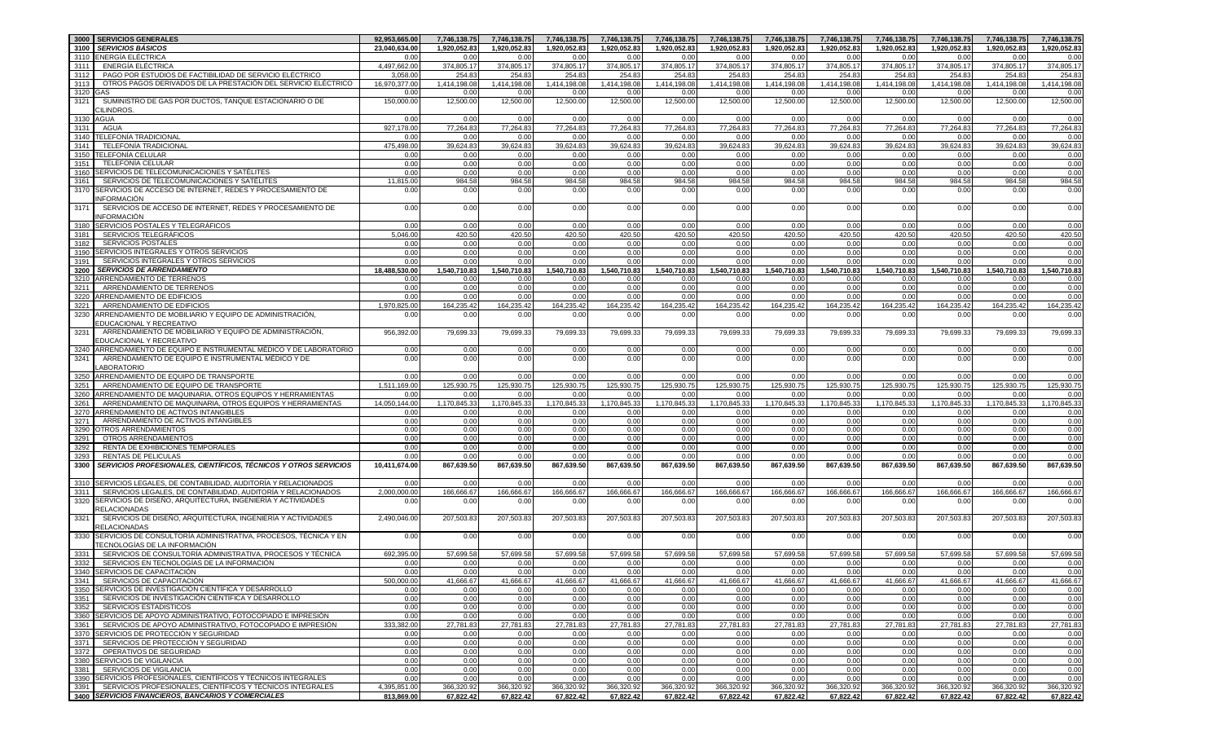|      | 3000 SERVICIOS GENERALES                                                                                          | 92,953,665.00              | 7,746,138.75            | 7,746,138.75            | 7,746,138.75            | 7,746,138.75            | 7,746,138.75            | 7,746,138.75            | 7,746,138.75            | 7,746,138.75            | 7,746,138.75            | 7,746,138.75            | 7,746,138.75            | 7,746,138.75            |
|------|-------------------------------------------------------------------------------------------------------------------|----------------------------|-------------------------|-------------------------|-------------------------|-------------------------|-------------------------|-------------------------|-------------------------|-------------------------|-------------------------|-------------------------|-------------------------|-------------------------|
| 3100 | <b>SERVICIOS BÁSICOS</b>                                                                                          | 23,040,634.00              | 1,920,052.83            | 1,920,052.83            | 1,920,052.83            | 1,920,052.83            | 1,920,052.83            | 1,920,052.83            | 1,920,052.83            | 1,920,052.83            | 1,920,052.83            | 1,920,052.83            | 1,920,052.83            | 1,920,052.83            |
|      | 3110 ENERGÍA ELÉCTRICA                                                                                            | 0.00                       | 0.00                    | 0.00                    | 0.00                    | 0.00                    | 0.00                    | 0.00                    | 0.00                    | 0.00                    | 0.00                    | 0.00                    | 0.00                    | 0.00                    |
| 3111 | ENERGÍA ELÉCTRICA                                                                                                 | 4.497.662.00               | 374,805.17              | 374,805.17              | 374,805.17              | 374,805.17              | 374,805.17              | 374,805.17              | 374,805.17              | 374,805.17              | 374,805.17              | 374,805.17              | 374,805.17              | 374,805.17              |
| 3112 | PAGO POR ESTUDIOS DE FACTIBILIDAD DE SERVICIO ELÉCTRICO                                                           | 3.058.0                    | 254.83                  | 254.83                  | 254.83                  | 254.83                  | 254.83                  | 254.83                  | 254.83                  | 254.8                   | 254.83                  | 254.83                  | 254.83                  | 254.83                  |
| 3113 | OTROS PAGOS DERIVADOS DE LA PRESTACIÓN DEL SERVICIO ELÉCTRICO                                                     | 16,970,377.00              | 1,414,198.08            | 1,414,198.08            | 1,414,198.08            | 1,414,198.08            | 1,414,198.08            | 1,414,198.08            | 1,414,198.08            | 1,414,198.08            | 1,414,198.08            | 1,414,198.08            | 1,414,198.08            | 1,414,198.08            |
| 3120 | GAS                                                                                                               | 0.00                       | 0.00                    | 0.00                    | 0.00                    | 0.00                    | 0.00                    | 0.00                    | 0.00                    | 0.00                    | 0.00                    | 0.00                    | 0.00                    | 0.00                    |
| 3121 | SUMINISTRO DE GAS POR DUCTOS, TANQUE ESTACIONARIO O DE                                                            | 150,000.00                 | 12,500.00               | 12,500.00               | 12,500.00               | 12,500.00               | 12,500.00               | 12,500.00               | 12,500.00               | 12,500.00               | 12,500.00               | 12,500.00               | 12,500.00               | 12,500.00               |
|      | <b>ILINDROS.</b>                                                                                                  |                            |                         |                         |                         |                         |                         |                         |                         |                         |                         |                         |                         |                         |
|      | 3130 AGUA                                                                                                         | 0.00                       | 0.00                    | 0.00                    | 0.00                    | 0.00                    | 0.00                    | 0.00                    | 0.00                    | 0.00                    | 0.00                    | 0.00                    | 0.00                    | 0.00                    |
| 3131 | AGUA                                                                                                              | 927,178.00                 | 77,264.83               | 77,264.83               | 77,264.83               | 77,264.83               | 77,264.83               | 77,264.83               | 77,264.8                | 77,264.83               | 77,264.83               | 77,264.83               | 77,264.83               | 77,264.83               |
|      | 3140 TELEFONÍA TRADICIONAL                                                                                        | 0.00                       | 0.00                    | 0.00                    | 0.00                    | 0.00                    | 0.00                    | 0.00                    | 0.00                    | 0.00                    | 0.00                    | 0.00                    | 0.00                    | 0.00                    |
| 3141 | <b>TELEFONIA TRADICIONAL</b>                                                                                      | 475,498.00                 | 39,624.83               | 39,624.83               | 39,624.8                | 39,624.83               | 39,624.83               | 39,624.83               | 39,624.8                | 39,624.83               | 39,624.83               | 39,624.83               | 39,624.83               | 39,624.83               |
| 3150 | TELEFONÍA CELULAR                                                                                                 |                            |                         |                         |                         |                         |                         |                         |                         |                         | 0.00                    | 0.00                    | 0.00                    |                         |
| 3151 | <b>TELEFONÍA CELULAR</b>                                                                                          | 0.00                       | 0.00                    | 0.00                    | 0.00                    | 0.00                    | 0.00                    | 0.00                    | 0.00                    | 0.00                    |                         |                         | 0.00                    | 0.00                    |
|      |                                                                                                                   | 0.00                       | 0.00                    | 0.00                    | 0.00                    | 0.00                    | 0.00                    | 0.00                    | 0.00                    | 0.00                    | 0.00                    | 0.00                    |                         | 0.00                    |
|      | 3160 SERVICIOS DE TELECOMUNICACIONES Y SATÉLITES                                                                  | 0.00                       | 0.00                    | 0.00                    | 0.00                    | 0.00                    | 0.00                    | 0.00                    | 0.00                    | 0.00                    | 0.00                    | 0.00                    | 0.00                    | 0.00                    |
| 3161 | SERVICIOS DE TELECOMUNICACIONES Y SATÉLITES                                                                       | 11,815.00                  | 984.58                  | 984.58                  | 984.58                  | 984.58                  | 984.58                  | 984.58                  | 984.58                  | 984.58                  | 984.58                  | 984.58                  | 984.58                  | 984.58                  |
| 3170 | SERVICIOS DE ACCESO DE INTERNET, REDES Y PROCESAMIENTO DE                                                         | 0.00                       | 0.00                    | 0.00                    | 0.00                    | 0.00                    | 0.00                    | 0.00                    | 0.00                    | 0.00                    | 0.00                    | 0.00                    | 0.00                    | 0.00                    |
|      | NFORMACIÓN                                                                                                        |                            |                         |                         |                         |                         |                         |                         |                         |                         |                         |                         |                         |                         |
| 3171 | SERVICIOS DE ACCESO DE INTERNET, REDES Y PROCESAMIENTO DE                                                         | 0.00                       | 0.00                    | 0.00                    | 0.00                    | 0.00                    | 0.00                    | 0.00                    | 0.00                    | 0.00                    | 0.00                    | 0.00                    | 0.00                    | 0.00                    |
|      | NFORMACIÓN                                                                                                        |                            |                         |                         |                         |                         |                         |                         |                         |                         |                         |                         |                         |                         |
|      | 3180 SERVICIOS POSTALES Y TELEGRÁFICOS                                                                            | 0.00                       | 0.00                    | 0.00                    | 0.00                    | 0.00                    | 0.00                    | 0.00                    | 0.00                    | 0.00                    | 0.00                    | 0.00                    | 0.00                    | 0.00                    |
| 3181 | <b>SERVICIOS TELEGRÁFICOS</b>                                                                                     | 5,046.00                   | 420.50                  | 420.50                  | 420.50                  | 420.50                  | 420.50                  | 420.50                  | 420.50                  | 420.50                  | 420.50                  | 420.50                  | 420.50                  | 420.50                  |
| 3182 | <b>SERVICIOS POSTALES</b>                                                                                         | 0.00                       | 0.00                    | 0.00                    | 0.00                    | 0.00                    | 0.00                    | 0.00                    | 0.00                    | 0.00                    | 0.00                    | 0.00                    | 0.00                    | 0.00                    |
|      | 3190 SERVICIOS INTEGRALES Y OTROS SERVICIOS                                                                       | 0.00                       | 0.00                    | 0.00                    | 0.00                    | 0.00                    | 0.00                    | 0.00                    | 0.00                    | 0.00                    | 0.00                    | 0.00                    | 0.00                    | 0.00                    |
| 3191 | SERVICIOS INTEGRALES Y OTROS SERVICIOS                                                                            | 0.00                       | 0.00                    | 0.00                    | 0.00                    | 0.00                    | 0.00                    | 0.00                    | 0.00                    | 0.00                    | 0.00                    | 0.00                    | 0.00                    | 0.00                    |
| 3200 | <b>SERVICIOS DE ARRENDAMIENTO</b>                                                                                 | 18,488,530.00              | 1,540,710.83            | 1,540,710.83            | 1,540,710.83            | 1,540,710.83            | 1,540,710.83            | 1,540,710.83            | 1,540,710.83            | 1,540,710.83            | 1,540,710.83            | 1,540,710.83            | 1,540,710.83            | 1,540,710.83            |
|      | 3210 ARRENDAMIENTO DE TERRENOS                                                                                    | 0.00                       | 0.00                    | 0.00                    | 0.00                    | 0.00                    | 0.00                    | 0.00                    | 0.00                    | 0.00                    | 0.00                    | 0.00                    | 0.00                    | 0.00                    |
| 3211 | ARRENDAMIENTO DE TERRENOS                                                                                         | 0.00                       | 0.00                    | 0.00                    | 0.00                    | 0.00                    | 0.00                    | 0.00                    | 0.00                    | 0.00                    | 0.00                    | 0.00                    | 0.00                    | 0.00                    |
|      | 3220 ARRENDAMIENTO DE EDIFICIOS                                                                                   | 0.00                       | 0.00                    | 0.00                    | 0.00                    | 0.00                    | 0.00                    | 0.00                    | 0.00                    | 0.00                    | 0.00                    | 0.00                    | 0.00                    | 0.00                    |
| 3221 | ARRENDAMIENTO DE EDIFICIOS                                                                                        | 1,970,825.00               | 164,235.42              | 164,235.42              | 164,235.42              | 164,235.42              | 164,235.42              | 164,235.42              | 164,235.42              | 164,235.42              | 164,235.42              | 164,235.42              | 164,235.42              | 164,235.42              |
| 3230 | ARRENDAMIENTO DE MOBILIARIO Y EQUIPO DE ADMINISTRACIÓN,                                                           | 0.00                       | 0.00                    | 0.00                    | 0.00                    | 0.00                    | 0.00                    | 0.00                    | 0.00                    | 0.00                    | 0.00                    | 0.00                    | 0.00                    | 0.00                    |
|      | EDUCACIONAL Y RECREATIVO                                                                                          |                            |                         |                         |                         |                         |                         |                         |                         |                         |                         |                         |                         |                         |
| 3231 | ARRENDAMIENTO DE MOBILIARIO Y EQUIPO DE ADMINISTRACIÓN,                                                           | 956,392.00                 | 79,699.33               | 79,699.33               | 79,699.33               | 79,699.33               | 79,699.33               | 79,699.33               | 79,699.33               | 79,699.33               | 79,699.33               | 79,699.33               | 79,699.33               | 79,699.33               |
|      | EDUCACIONAL Y RECREATIVO                                                                                          |                            |                         |                         |                         |                         |                         |                         |                         |                         |                         |                         |                         |                         |
|      | 3240 ARRENDAMIENTO DE EQUIPO E INSTRUMENTAL MÉDICO Y DE LABORATORIO                                               | 0.00                       | 0.00                    | 0.00                    | 0.00                    | 0.00                    | 0.00                    | 0.00                    | 0.00                    | 0.00                    | 0.00                    | 0.00                    | 0.00                    | 0.00                    |
| 3241 | ARRENDAMIENTO DE EQUIPO E INSTRUMENTAL MÉDICO Y DE                                                                | 0.00                       | 0.00                    | 0.00                    | 0.00                    | 0.00                    | 0.00                    | 0.00                    | 0.00                    | 0.00                    | 0.00                    | 0.00                    | 0.00                    | 0.00                    |
|      | <b>ABORATORIO</b>                                                                                                 |                            |                         |                         |                         |                         |                         |                         |                         |                         |                         |                         |                         |                         |
| 3250 | ARRENDAMIENTO DE EQUIPO DE TRANSPORTE                                                                             | 0.00                       | 0.00                    | 0.00                    | 0.00                    | 0.00                    | 0.00                    | 0.00                    | 0.00                    | 0.00                    | 0.00                    | 0.00                    | 0.00                    | 0.00                    |
|      |                                                                                                                   |                            |                         |                         |                         |                         |                         |                         |                         |                         |                         |                         |                         |                         |
| 3251 | ARRENDAMIENTO DE EQUIPO DE TRANSPORTE                                                                             | 1,511,169.00               | 125,930.75              | 125,930.7               | 125,930.7               | 125,930.75              | 125,930.75              | 125,930.75              | 125,930.75              | 125,930.75              | 125,930.75              | 125,930.75              | 125,930.75              | 125,930.75              |
| 3260 | ARRENDAMIENTO DE MAQUINARIA, OTROS EQUIPOS Y HERRAMIENTAS                                                         | 0.00                       | 0.00                    | 0.00                    | 0.00                    | 0.00                    | 0.00                    | 0.00                    | 0.00                    | 0.00                    | 0.00                    | 0.00                    | 0.00                    | 0.00                    |
| 3261 | ARRENDAMIENTO DE MAQUINARIA, OTROS EQUIPOS Y HERRAMIENTAS                                                         | 14,050,144.00              | 1,170,845.33            | 1,170,845.33            | 1,170,845.33            | 1,170,845.33            | 1,170,845.33            | 1,170,845.33            | 1,170,845.33            | 1,170,845.3             | 1,170,845.33            | 1,170,845.33            | 1,170,845.33            | 1,170,845.33            |
|      | 3270 ARRENDAMIENTO DE ACTIVOS INTANGIBLES                                                                         | 0.00                       | 0.00                    | 0.00                    | 0.00                    | 0.00                    | 0.00                    | 0.00                    | 0.00                    | 0.00                    | 0.00                    | 0.00                    | 0.00                    | 0.00                    |
| 3271 | ARRENDAMIENTO DE ACTIVOS INTANGIBLES                                                                              | 0.00                       | 0.00                    | 0.00                    | 0.00                    | 0.00                    | 0.00                    | 0.00                    | 0.00                    | 0.00                    | 0.00                    | 0.00                    | 0.00                    | 0.00                    |
| 3290 | OTROS ARRENDAMIENTOS                                                                                              | 0.00                       | 0.00                    | 0.00                    | 0.00                    | 0.00                    | 0.00                    | 0.00                    | 0.00                    |                         |                         |                         |                         | 0.00                    |
| 3291 | OTROS ARRENDAMIENTOS                                                                                              | 0.00                       |                         |                         |                         |                         |                         |                         |                         | 0.00                    | 0.00                    | 0.00                    | 0.00                    |                         |
| 3292 | RENTA DE EXHIBICIONES TEMPORALES                                                                                  |                            | 0.00                    | 0.00                    | 0.00                    | 0.00                    | 0.00                    | 0.00                    | 0.00                    | 0.00                    | 0.00                    | 0.00                    | 0.00                    | 0.00                    |
| 3293 |                                                                                                                   | 0.00                       | 0.00                    | 0.00                    | 0.00                    | 0.00                    | 0.00                    | 0.00                    | 0.00                    | 0.00                    | 0.00                    | 0.00                    | 0.00                    | 0.00                    |
|      | <b>RENTAS DE PELICULAS</b>                                                                                        | 0.00                       | 0.00                    | 0.00                    | 0.00                    | 0.00                    | 0.00                    | 0.00                    | 0.00                    | 0.00                    | 0.00                    | 0.00                    | 0.00                    | 0.00                    |
| 3300 | SERVICIOS PROFESIONALES, CIENTÍFICOS, TÉCNICOS Y OTROS SERVICIOS                                                  | 10,411,674.00              | 867,639.50              | 867,639.50              | 867,639.50              | 867,639.50              | 867,639.50              | 867,639.50              | 867,639.50              | 867,639.50              | 867,639.50              | 867,639.50              | 867,639.50              | 867,639.50              |
|      |                                                                                                                   |                            |                         |                         |                         |                         |                         |                         |                         |                         |                         |                         |                         |                         |
| 3310 | SERVICIOS LEGALES, DE CONTABILIDAD, AUDITORÍA Y RELACIONADOS                                                      | 0.00                       | 0.00                    | 0.00                    | 0.00                    | 0.00                    | 0.00                    | 0.00                    | 0.00                    | 0.00                    | 0.00                    | 0.00                    | 0.00                    | 0.00                    |
| 3311 | SERVICIOS LEGALES, DE CONTABILIDAD, AUDITORÍA Y RELACIONADOS                                                      | 2,000,000.00               | 166,666.67              | 166,666.67              | 166,666.67              | 166,666.67              | 166,666.67              | 166,666.67              | 166,666.67              | 166,666.67              | 166,666.67              | 166,666.67              | 166,666.67              | 166,666.67              |
| 3320 | SERVICIOS DE DISEÑO, ARQUITECTURA, INGENIERÍA Y ACTIVIDADES                                                       | 0.00                       | 0.00                    | 0.00                    | 0.00                    | 0.00                    | 0.00                    | 0.00                    | 0.00                    | 0.00                    | 0.00                    | 0.00                    | 0.00                    | 0.00                    |
|      | RELACIONADAS                                                                                                      |                            |                         |                         |                         |                         |                         |                         |                         |                         |                         |                         |                         |                         |
| 3321 | SERVICIOS DE DISEÑO, ARQUITECTURA, INGENIERÍA Y ACTIVIDADES                                                       | 2,490,046.00               | 207,503.83              | 207,503.83              | 207,503.83              | 207,503.83              | 207,503.83              | 207,503.83              | 207,503.83              | 207,503.83              | 207,503.83              | 207,503.83              | 207,503.83              | 207,503.83              |
|      | RELACIONADAS                                                                                                      |                            |                         |                         |                         |                         |                         |                         |                         |                         |                         |                         |                         |                         |
|      |                                                                                                                   |                            |                         |                         |                         |                         |                         |                         |                         |                         |                         |                         |                         |                         |
| 3330 | SERVICIOS DE CONSULTORÍA ADMINISTRATIVA, PROCESOS, TÉCNICA Y EN                                                   | 0.00                       | 0.00                    | 0.00                    | 0.00                    | 0.00                    | 0.00                    | 0.00                    | 0.00                    | 0.00                    | 0.00                    | 0.00                    | 0.00                    | 0.00                    |
|      | TECNOLOGÍAS DE LA INFORMACIÓN                                                                                     |                            |                         |                         |                         |                         |                         |                         |                         |                         |                         |                         |                         |                         |
| 3331 | SERVICIOS DE CONSULTORÍA ADMINISTRATIVA, PROCESOS Y TÉCNICA                                                       | 692,395.00                 | 57,699.58               | 57,699.58               | 57,699.58               | 57,699.58               | 57,699.58               | 57,699.5                | 57,699.58               | 57,699.5                | 57,699.58               | 57,699.58               | 57,699.58               | 57,699.58               |
| 3332 | SERVICIOS EN TECNOLOGÍAS DE LA INFORMACIÓN                                                                        | 0.00                       | 0.00                    | 0.00                    | 0.00                    | 0.00                    | 0.00                    | 0.00                    | 0.00                    | 0.00                    | 0.00                    | 0.00                    | 0.00                    | 0.00                    |
|      | 3340 SERVICIOS DE CAPACITACIÓN                                                                                    | 0.00                       | 0.00                    | 0.00                    | 0.00                    | 0.00                    | 0.00                    | 0.00                    | 0.00                    | 0.00                    | 0.00                    | 0.00                    | 0.00                    | 0.00                    |
|      | 3341 SERVICIOS DE CAPACITACION                                                                                    | 500,000.00                 | 41,666.67               | 41,666.67               | 41,666.67               | 41,666.67               | 41,666.67               | 41.666.67               | 41,666.67               | 41,666.67               | 41,666.67               | 41,666.67               | 41,666.67               | 41,666.67               |
|      | 3350 SERVICIOS DE INVESTIGACIÓN CIENTÍFICA Y DESARROLLO                                                           | 0.00                       | 0.00                    | 0.00                    | 0.00                    | 0.00                    | 0.00                    | 0.00                    | 0.00                    | 0.00                    | 0.00                    | 0.00                    | 0.00                    | 0.00                    |
| 3351 | SERVICIOS DE INVESTIGACIÓN CIENTÍFICA Y DESARROLLO                                                                | 0.00                       | 0.00                    | 0.00                    | 0.00                    | 0.00                    | 0.00                    | 0.00                    | 0.00                    | 0.00                    | 0.00                    | 0.00                    | 0.00                    | 0.00                    |
| 3352 | SERVICIOS ESTADISTICOS                                                                                            | 0.00                       | 0.00                    | 0.00                    | 0.00                    | 0.00                    | 0.00                    | 0.00                    | 0.00                    | 0.00                    | 0.00                    | 0.00                    | 0.00                    | 0.00                    |
|      | 3360 SERVICIOS DE APOYO ADMINISTRATIVO, FOTOCOPIADO E IMPRESIÓN                                                   | 0.00                       | 0.00                    | 0.00                    | 0.00                    | 0.00                    | 0.00                    | 0.00                    | 0.00                    | 0.00                    | 0.00                    | 0.00                    | 0.00                    | 0.00                    |
| 3361 | SERVICIOS DE APOYO ADMINISTRATIVO, FOTOCOPIADO E IMPRESIÓN                                                        | 333,382.00                 | 27,781.83               | 27,781.83               | 27,781.83               | 27,781.83               | 27,781.83               | 27,781.83               | 27,781.83               | 27,781.83               | 27,781.83               | 27,781.83               | 27,781.83               | 27,781.83               |
|      | 3370 SERVICIOS DE PROTECCIÓN Y SEGURIDAD                                                                          | 0.00                       | 0.00                    | 0.00                    | 0.00                    | 0.00                    | 0.00                    | 0.00                    | 0.00                    | 0.00                    | 0.00                    | 0.00                    | 0.00                    | 0.00                    |
|      | 3371 SERVICIOS DE PROTECCIÓN Y SEGURIDAD                                                                          | 0.00                       | 0.00                    | 0.00                    | 0.00                    | 0.00                    | 0.00                    | 0.00                    | 0.00                    | 0.00                    | 0.00                    | 0.00                    | 0.00                    | 0.00                    |
| 3372 | OPERATIVOS DE SEGURIDAD                                                                                           | 0.00                       | 0.00                    | 0.00                    | 0.00                    | 0.00                    | 0.00                    | 0.00                    | 0.00                    | 0.00                    | 0.00                    | 0.00                    | 0.00                    | 0.00                    |
|      | 3380 SERVICIOS DE VIGILANCIA                                                                                      | 0.00                       | 0.00                    | 0.00                    | 0.00                    | 0.00                    | 0.00                    | 0.00                    | 0.00                    | 0.00                    | 0.00                    | 0.00                    | 0.00                    | 0.00                    |
| 3381 | SERVICIOS DE VIGILANCIA                                                                                           | 0.00                       | 0.00                    | 0.00                    | 0.00                    | 0.00                    | 0.00                    | 0.00                    | 0.00                    | 0.00                    | 0.00                    | 0.00                    | 0.00                    | 0.00                    |
|      | 3390 SERVICIOS PROFESIONALES, CIENTÍFICOS Y TÉCNICOS INTEGRALES                                                   | 0.00                       | 0.00                    | 0.00                    | 0.00                    | 0.00                    | 0.00                    | 0.00                    | 0.00                    | 0.00                    | 0.00                    | 0.00                    | 0.00                    | 0.00                    |
| 3391 | SERVICIOS PROFESIONALES, CIENTÍFICOS Y TÉCNICOS INTEGRALES<br>3400 SERVICIOS FINANCIEROS. BANCARIOS Y COMERCIALES | 4,395,851.00<br>813,869.00 | 366,320.92<br>67,822.42 | 366,320.92<br>67,822.42 | 366,320.92<br>67,822.42 | 366,320.92<br>67,822.42 | 366,320.92<br>67,822.42 | 366,320.92<br>67,822.42 | 366,320.92<br>67,822.42 | 366,320.92<br>67,822.42 | 366,320.92<br>67,822.42 | 366,320.92<br>67,822.42 | 366,320.92<br>67,822.42 | 366,320.92<br>67,822.42 |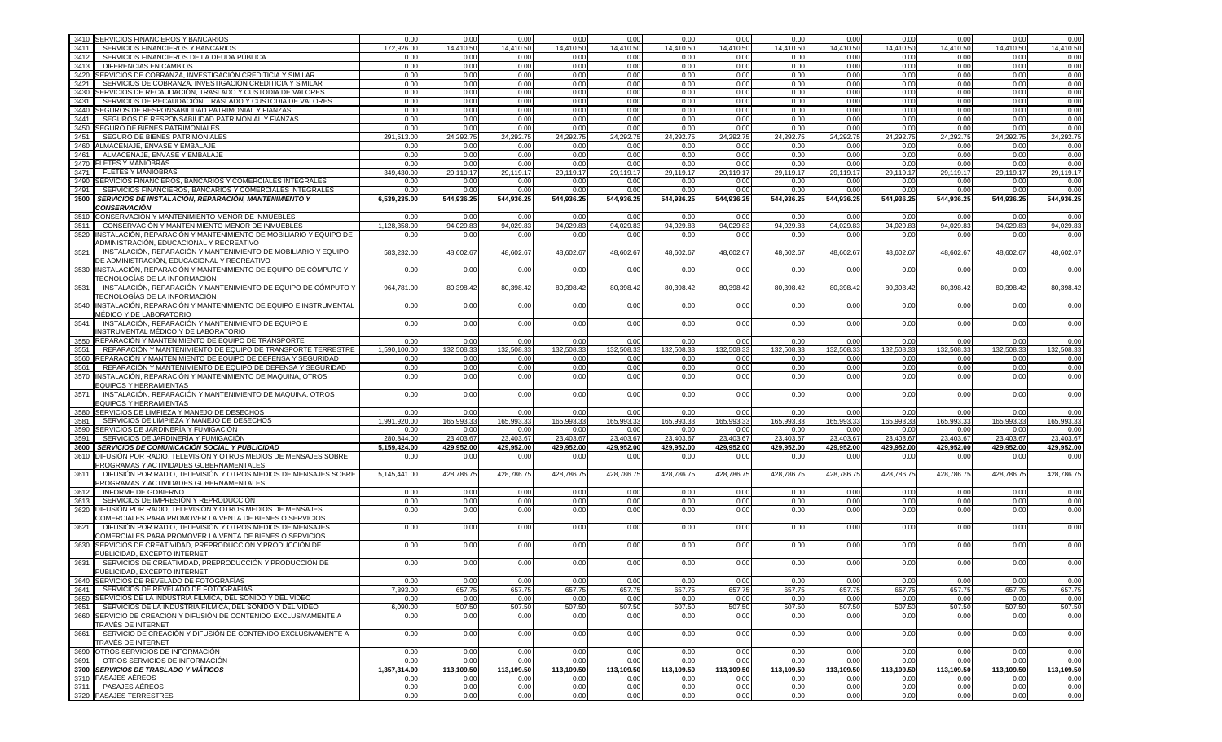| SERVICIOS FINANCIEROS Y BANCARIOS<br>172,926.00<br>14,410.50<br>14,410.50<br>14,410.50<br>14,410.50<br>14,410.50<br>14,410.50<br>14,410.50<br>14,410.50<br>14,410.50<br>14,410.50<br>14,410.50<br>3411<br>SERVICIOS FINANCIEROS DE LA DEUDA PÚBLICA<br>3412<br>0.00<br>0.00<br>0.00<br>0.00<br>0.00<br>0.00<br>0.00<br>0.00<br>0.00<br>0.00<br>0.00<br>0.00<br>3413<br><b>DIFERENCIAS EN CAMBIOS</b><br>0.00<br>0.00<br>0.00<br>0.00<br>0.00<br>0.00<br>0.00<br>0.00<br>0.00<br>0.00<br>0.00<br>0.00<br>3420 SERVICIOS DE COBRANZA, INVESTIGACIÓN CREDITICIA Y SIMILAR<br>0.00<br>0.00<br>0.00<br>0.00<br>0.00<br>0.00<br>0.00<br>0.00<br>0.00<br>0.00<br>0.00<br>0.00<br>3421<br>SERVICIOS DE COBRANZA, INVESTIGACIÓN CREDITICIA Y SIMILAR<br>0.00<br>0.00<br>0.00<br>0.00<br>0.00<br>0.00<br>0.00<br>0.00<br>0.00<br>0.00<br>0.00<br>0.00<br>3430 SERVICIOS DE RECAUDACIÓN, TRASLADO Y CUSTODIA DE VALORES<br>0.00<br>0.00<br>0.00<br>0.00<br>0.00<br>0.00<br>0.00<br>0.00<br>0.00<br>0.00<br>0.00<br>0.00<br>3431<br>SERVICIOS DE RECAUDACIÓN. TRASLADO Y CUSTODIA DE VALORES<br>0.00<br>0.00<br>0.00<br>0.00<br>0.00<br>0.00<br>0.00<br>0.00<br>0.00<br>0.00<br>0.00<br>0.00<br>3440 SEGUROS DE RESPONSABILIDAD PATRIMONIAL Y FIANZAS<br>0.00<br>0.00<br>0.00<br>0.00<br>0.00<br>0.00<br>0.00<br>0.00<br>0.00<br>0.00<br>0.00<br>0.00<br>3441<br>SEGUROS DE RESPONSABILIDAD PATRIMONIAL Y FIANZAS<br>0.00<br>0.00<br>0.00<br>0.00<br>0.00<br>0.00<br>0.00<br>0.00<br>0.00<br>0.00<br>0.00<br>0.00<br><b>SEGURO DE BIENES PATRIMONIALES</b><br>3450<br>0.00<br>0.00<br>0.00<br>0.00<br>0.00<br>0.00<br>0.00<br>0.00<br>0.00<br>0.00<br>0.00<br>0.00<br>SEGURO DE BIENES PATRIMONIALES<br>291,513.00<br>24,292.75<br>24,292.75<br>24,292.75<br>24,292.75<br>24,292.75<br>24,292.75<br>24,292.75<br>24,292.75<br>24,292.75<br>24,292.75<br>24,292.75<br>3451<br>3460 ALMACENAJE, ENVASE Y EMBALAJE<br>0.00<br>0.00<br>0.00<br>0.00<br>0.00<br>0.00<br>0.00<br>0.00<br>0.00<br>0.00<br>0.00<br>0.00<br>3461<br>ALMACENAJE, ENVASE Y EMBALAJE<br>0.00<br>0.00<br>0.00<br>0.00<br>0.00<br>0.00<br>0.00<br>0.00<br>0.00<br>0.00<br>0.00<br>0.00<br>3470 FLETES Y MANIOBRAS<br>0.00<br>0.00<br>0.00<br>0.00<br>0.00<br>0.00<br>0.00<br>0.00<br>0.00<br>0.00<br>0.00<br>0.00<br>3471<br><b>FLETES Y MANIOBRAS</b><br>349.430.00<br>29,119.17<br>29,119.17<br>29,119.17<br>29,119.17<br>29,119.17<br>29,119.17<br>29,119.17<br>29,119.17<br>29,119.17<br>29,119.17<br>29,119.17<br>3490 SERVICIOS FINANCIEROS, BANCARIOS Y COMERCIALES INTEGRALES<br>0.00<br>0.00<br>0.00<br>0.00<br>0.00<br>0.00<br>0.00<br>0.00<br>0.00<br>0.00<br>0.00<br>0.00<br>SERVICIOS FINANCIEROS, BANCARIOS Y COMERCIALES INTEGRALES<br>0.00<br>0.00<br>0.00<br>0.00<br>0.00<br>0.00<br>3491<br>0.00<br>0.00<br>0.00<br>0.00<br>0.00<br>0.00<br>3500 SERVICIOS DE INSTALACIÓN, REPARACIÓN, MANTENIMIENTO Y<br>6.539.235.00<br>544,936.25<br>544,936.25<br>544,936.25<br>544,936.25<br>544,936.25<br>544,936.25<br>544,936.25<br>544,936.25<br>544,936.25<br>544,936.25<br>544,936.25<br><b>CONSERVACIÓN</b><br>3510 CONSERVACIÓN Y MANTENIMIENTO MENOR DE INMUEBLES<br>0.00<br>0.00<br>0.00<br>0.00<br>0.00<br>0.00<br>0.00<br>0.00<br>0.00<br>0.00<br>0.00<br>0.00<br>1,128,358.00<br>94.029.83<br>94.029.83<br>94.029.83<br>94.029.83<br>94.029.83<br>94.029.83<br>94.029.83<br>94.029.83<br>3511<br>CONSERVACIÓN Y MANTENIMIENTO MENOR DE INMUEBLES<br>94.029.83<br>94.029.83<br>94.029.83<br>3520<br>INSTALACIÓN, REPARACIÓN Y MANTENIMIENTO DE MOBILIARIO Y EQUIPO DE<br>0.00<br>0.00<br>0.00<br>0.00<br>0.00<br>0.00<br>0.00<br>0.00<br>0.00<br>0.00<br>0.00<br>0.00<br>ADMINISTRACIÓN, EDUCACIONAL Y RECREATIVO<br>3521<br>INSTALACIÓN, REPARACIÓN Y MANTENIMIENTO DE MOBILIARIO Y EQUIPO<br>583,232.00<br>48,602.67<br>48,602.67<br>48,602.67<br>48,602.67<br>48,602.67<br>48,602.67<br>48,602.67<br>48,602.67<br>48,602.67<br>48,602.67<br>48,602.67<br>DE ADMINISTRACIÓN, EDUCACIONAL Y RECREATIVO<br>3530<br>INSTALACIÓN, REPARACIÓN Y MANTENIMIENTO DE EQUIPO DE CÓMPUTO Y<br>0.00<br>0.00<br>0.00<br>0.00<br>0.00<br>0.00<br>0.00<br>0.00<br>0.00<br>0.00<br>0.00<br>0.00<br>TECNOLOGÍAS DE LA INFORMACIÓN<br>INSTALACIÓN, REPARACIÓN Y MANTENIMIENTO DE EQUIPO DE CÓMPUTO Y<br>80,398.42<br>80,398.42<br>80,398.42<br>80,398.42<br>80,398.42<br>80,398.42<br>80,398.42<br>80,398.42<br>80,398.42<br>80,398.42<br>80,398.42<br>3531<br>964,781.00<br>TECNOLOGÍAS DE LA INFORMACIÓN<br>3540 INSTALACIÓN, REPARACIÓN Y MANTENIMIENTO DE EQUIPO E INSTRUMENTAL<br>0.00<br>0.00<br>0.00<br>0.00<br>0.00<br>0.00<br>0.00<br>0.00<br>0.00<br>0.00<br>0.00<br>0.00<br>MÉDICO Y DE LABORATORIO<br>INSTALACIÓN, REPARACIÓN Y MANTENIMIENTO DE EQUIPO E<br>0.00<br>3541<br>0.00<br>0.00<br>0.00<br>0.00<br>0.00<br>0.00<br>0.00<br>0.00<br>0.00<br>0.00<br>0.00<br>INSTRUMENTAL MÉDICO Y DE LABORATORIO<br>3550 REPARACIÓN Y MANTENIMIENTO DE EQUIPO DE TRANSPORTE<br>0.00<br>0.00<br>0.00<br>0.00<br>0.00<br>0.00<br>0.00<br>0.00<br>0.00<br>0.00<br>0.00<br>0.00<br>REPARACIÓN Y MANTENIMIENTO DE EQUIPO DE TRANSPORTE TERRESTRE<br>3551<br>1,590,100.00<br>132,508.33<br>132,508.33<br>132,508.33<br>132,508.33<br>132,508.33<br>132,508.3<br>132,508.3<br>132,508.33<br>132,508.3<br>132,508.33<br>132,508.33<br>3560 REPARACIÓN Y MANTENIMIENTO DE EQUIPO DE DEFENSA Y SEGURIDAD<br>0.00<br>0.00<br>0.00<br>0.00<br>0.00<br>0.00<br>0.00<br>0.00<br>0.00<br>0.00<br>0.00<br>0.00<br>REPARACIÓN Y MANTENIMIENTO DE EQUIPO DE DEFENSA Y SEGURIDAD<br>0.00<br>0.00<br>3561<br>0.00<br>0.00<br>0.00<br>0.00<br>0.00<br>0.00<br>0.00<br>0.00<br>0.00<br>0.00<br>0.00<br>3570<br>INSTALACIÓN, REPARACIÓN Y MANTENIMIENTO DE MAQUINA, OTROS<br>0.00<br>0.00<br>0.00<br>0.00<br>0.00<br>0.00<br>0.00<br>0.00<br>0.00<br>0.00<br>0.00<br><b>EQUIPOS Y HERRAMIENTAS</b><br>3571<br>INSTALACIÓN, REPARACIÓN Y MANTENIMIENTO DE MAQUINA, OTROS<br>0.00<br>0.00<br>0.00<br>0.00<br>0.00<br>0.00<br>0.00<br>0.00<br>0.00<br>0.00<br>0.00<br>0.00<br><b>EQUIPOS Y HERRAMIENTAS</b><br>3580<br>SERVICIOS DE LIMPIEZA Y MANEJO DE DESECHOS<br>0.00<br>0.00<br>0.00<br>0.00<br>0.00<br>0.00<br>0.00<br>0.00<br>0.00<br>0.00<br>0.00<br>0.00<br>3581<br>SERVICIOS DE LIMPIEZA Y MANEJO DE DESECHOS<br>1,991,920.00<br>165,993.33<br>165,993.33<br>165,993.33<br>165,993.33<br>165,993.33<br>165,993.33<br>165,993.33<br>165,993.33<br>165,993.33<br>165,993.33<br>165,993.33<br>SERVICIOS DE JARDINERÍA Y FUMIGACIÓN<br>3590<br>0.00<br>0.00<br>0.00<br>0.00<br>0.00<br>0.00<br>0.00<br>0.00<br>0.00<br>0.00<br>0.00<br>0.00<br>3591<br>SERVICIOS DE JARDINERÍA Y FUMIGACIÓN<br>280.844.00<br>23,403.67<br>23,403.67<br>23,403.67<br>23,403.67<br>23,403.67<br>23,403.67<br>23,403.67<br>23,403.67<br>23,403.67<br>23,403.67<br>23,403.67<br>429,952.00<br>429,952.00<br>3600 SERVICIOS DE COMUNICACIÓN SOCIAL Y PUBLICIDAD<br>5.159.424.00<br>429,952.00<br>429,952.00<br>429,952.00<br>429,952.00<br>429,952.00<br>429,952.00<br>429,952.00<br>429,952.00<br>429.952.00<br>3610 DIFUSIÓN POR RADIO, TELEVISIÓN Y OTROS MEDIOS DE MENSAJES SOBRE<br>0.00<br>0.00<br>0.00<br>0.00<br>0.00<br>0.00<br>0.00<br>0.00<br>0.00<br>0.00<br>0.00<br>0.00<br>PROGRAMAS Y ACTIVIDADES GUBERNAMENTALES<br>3611<br>DIFUSIÓN POR RADIO, TELEVISIÓN Y OTROS MEDIOS DE MENSAJES SOBRE<br>428,786.75<br>428,786.75<br>428,786.75<br>428,786.75<br>428,786.75<br>428,786.75<br>428,786.75<br>428,786.75<br>428,786.75<br>428,786.75<br>428,786.75<br>5,145,441.00<br>PROGRAMAS Y ACTIVIDADES GUBERNAMENTALES<br>INFORME DE GOBIERNO<br>3612<br>0.00<br>0.00<br>0.00<br>0.00<br>0.00<br>0.00<br>0.00<br>0.00<br>0.00<br>0.00<br>0.00<br>0.00<br>3613<br>SERVICIOS DE IMPRESIÓN Y REPRODUCCIÓN<br>0.00<br>0.00<br>0.00<br>0.00<br>0.00<br>0.00<br>0.00<br>0.00<br>0.00<br>0.00<br>0.00<br>0.00<br>3620<br>DIFUSIÓN POR RADIO, TELEVISIÓN Y OTROS MEDIOS DE MENSAJES<br>0.00<br>0.00<br>0.00<br>0.00<br>0.00<br>0.00<br>0.00<br>0.00<br>0.00<br>0.00<br>0.00<br>0.00<br>COMERCIALES PARA PROMOVER LA VENTA DE BIENES O SERVICIOS<br>DIFUSIÓN POR RADIO, TELEVISIÓN Y OTROS MEDIOS DE MENSAJES<br>0.00<br>0.00<br>0.00<br>0.00<br>0.00<br>0.00<br>0.00<br>0.00<br>0.00<br>0.00<br>3621<br>0.00<br>0.00<br>COMERCIALES PARA PROMOVER LA VENTA DE BIENES O SERVICIOS<br>3630<br>SERVICIOS DE CREATIVIDAD, PREPRODUCCIÓN Y PRODUCCIÓN DE<br>0.00<br>0.00<br>0.00<br>0.00<br>0.00<br>0.00<br>0.00<br>0.00<br>0.00<br>0.00<br>0.00<br>0.00<br>PUBLICIDAD, EXCEPTO INTERNET<br>3631<br>SERVICIOS DE CREATIVIDAD. PREPRODUCCIÓN Y PRODUCCIÓN DE<br>0.00<br>0.00<br>0.00<br>0.00<br>0.00<br>0.00<br>0.00<br>0.00<br>0.00<br>0.00<br>0.00<br>0.00<br>PUBLICIDAD, EXCEPTO INTERNET<br>3640 SERVICIOS DE REVELADO DE FOTOGRAFÍAS<br>0.00<br>0.00<br>0.001<br>0.00<br>0.00<br>0.00<br>0.00<br>0.00<br>0.00<br>0.00<br>0.00<br>0.00<br>3641 SERVICIOS DE REVELADO DE FOTOGRAFÍAS<br>7,893.00<br>657.75<br>657.75<br>657.75<br>657.75<br>657.75<br>657.75<br>657.75<br>657.75<br>657.75<br>657.75<br>657.75<br>3650 SERVICIOS DE LA INDUSTRIA FÍLMICA, DEL SONIDO Y DEL VÍDEO<br>0.00<br>0.00<br>0.00<br>0.00<br>0.00<br>0.00<br>0.00<br>0.00<br>0.00<br>0.00<br>0.00<br>0.00<br>507.50<br>3651 SERVICIOS DE LA INDUSTRIA FÍLMICA, DEL SONIDO Y DEL VÍDEO<br>6,090.00<br>507.50<br>507.50<br>507.50<br>507.50<br>507.50<br>507.50<br>507.50<br>507.50<br>507.50<br>507.50<br>3660 SERVICIO DE CREACIÓN Y DIFUSIÓN DE CONTENIDO EXCLUSIVAMENTE A<br>0.00<br>0.00<br>0.00<br>0.00<br>0.00<br>0.00<br>0.00<br>0.00<br>0.00<br>0.00<br>0.00<br>0.00<br>TRAVÉS DE INTERNET<br>3661<br>SERVICIO DE CREACIÓN Y DIFUSIÓN DE CONTENIDO EXCLUSIVAMENTE A<br>0.00<br>0.00<br>0.00<br>0.00<br>0.00<br>0.00<br>0.00<br>0.00<br>0.00<br>0.00<br>0.00<br>0.00<br>TRAVÉS DE INTERNET<br>3690 OTROS SERVICIOS DE INFORMACIÓN<br>0.00<br>0.00<br>0.00<br>0.00<br>0.00<br>0.00<br>0.00<br>0.00<br>0.00<br>0.00<br>0.00<br>0.00<br>0.00<br>0.00<br>0.00<br>0.00<br>0.00<br>0.00<br>0.00<br>0.00<br>0.00<br>0.00<br>0.00<br>0.00<br>1,357,314.00<br>113,109.50<br>113,109.50<br>113,109.50<br>113,109.50<br>113,109.50<br>113,109.50<br>113,109.50<br>113,109.50<br>113,109.50<br>113,109.50<br>113,109.50<br>3710 PASAJES AÉREOS<br>0.00<br>0.00<br>0.00<br>0.00<br>0.00<br>0.00<br>0.00<br>0.00<br>0.00<br>0.00<br>0.00<br>0.00<br>0.00<br>0.00<br>0.00<br>0.00<br>0.00<br>0.00<br>0.00<br>0.00<br>0.00<br>0.00<br>0.00<br>0.00<br>0.00<br>0.00<br>0.00<br>0.00<br>0.00<br>0.00<br>0.00<br>0.00<br>0.00<br>0.00<br>0.00<br>0.00 | 3410 SERVICIOS FINANCIEROS Y BANCARIOS | 0.00 | 0.00 | 0.00 | 0.00 | 0.00 | 0.00 | 0.00 | 0.00 | 0.00 | 0.00 | 0.00 | 0.00 | 0.00      |
|-------------------------------------------------------------------------------------------------------------------------------------------------------------------------------------------------------------------------------------------------------------------------------------------------------------------------------------------------------------------------------------------------------------------------------------------------------------------------------------------------------------------------------------------------------------------------------------------------------------------------------------------------------------------------------------------------------------------------------------------------------------------------------------------------------------------------------------------------------------------------------------------------------------------------------------------------------------------------------------------------------------------------------------------------------------------------------------------------------------------------------------------------------------------------------------------------------------------------------------------------------------------------------------------------------------------------------------------------------------------------------------------------------------------------------------------------------------------------------------------------------------------------------------------------------------------------------------------------------------------------------------------------------------------------------------------------------------------------------------------------------------------------------------------------------------------------------------------------------------------------------------------------------------------------------------------------------------------------------------------------------------------------------------------------------------------------------------------------------------------------------------------------------------------------------------------------------------------------------------------------------------------------------------------------------------------------------------------------------------------------------------------------------------------------------------------------------------------------------------------------------------------------------------------------------------------------------------------------------------------------------------------------------------------------------------------------------------------------------------------------------------------------------------------------------------------------------------------------------------------------------------------------------------------------------------------------------------------------------------------------------------------------------------------------------------------------------------------------------------------------------------------------------------------------------------------------------------------------------------------------------------------------------------------------------------------------------------------------------------------------------------------------------------------------------------------------------------------------------------------------------------------------------------------------------------------------------------------------------------------------------------------------------------------------------------------------------------------------------------------------------------------------------------------------------------------------------------------------------------------------------------------------------------------------------------------------------------------------------------------------------------------------------------------------------------------------------------------------------------------------------------------------------------------------------------------------------------------------------------------------------------------------------------------------------------------------------------------------------------------------------------------------------------------------------------------------------------------------------------------------------------------------------------------------------------------------------------------------------------------------------------------------------------------------------------------------------------------------------------------------------------------------------------------------------------------------------------------------------------------------------------------------------------------------------------------------------------------------------------------------------------------------------------------------------------------------------------------------------------------------------------------------------------------------------------------------------------------------------------------------------------------------------------------------------------------------------------------------------------------------------------------------------------------------------------------------------------------------------------------------------------------------------------------------------------------------------------------------------------------------------------------------------------------------------------------------------------------------------------------------------------------------------------------------------------------------------------------------------------------------------------------------------------------------------------------------------------------------------------------------------------------------------------------------------------------------------------------------------------------------------------------------------------------------------------------------------------------------------------------------------------------------------------------------------------------------------------------------------------------------------------------------------------------------------------------------------------------------------------------------------------------------------------------------------------------------------------------------------------------------------------------------------------------------------------------------------------------------------------------------------------------------------------------------------------------------------------------------------------------------------------------------------------------------------------------------------------------------------------------------------------------------------------------------------------------------------------------------------------------------------------------------------------------------------------------------------------------------------------------------------------------------------------------------------------------------------------------------------------------------------------------------------------------------------------------------------------------------------------------------------------------------------------------------------------------------------------------------------------------------------------------------------------------------------------------------------------------------------------------------------------------------------------------------------------------------------------------------------------------------------------------------------------------------------------------------------------------------------------------------------------------------------------------------------------------------------------------------------------------------------------------------------------------------------------------------------------------------------------------------------------------------------------------------------------------------------------------------------------------------------------------------------------------------------------------------------------------------------------------------------------------------------------------------------------------------------------------------------------------------------------------------------------------------------------------------------------------------------------------------------------------------------------------------------------------------------------------------------------------------------------------------------------------------------------------------------------------------------------------------------------------------------------------------------------------------------------------------------------------------------------------------------------------------------------------------------------------------------------------------------------------------------------------------------------------------------------------------------------------------------------------------------------------------------------------------------------------------------------------------------------------------------------------------------------------------------------------------------------------------------------------------------------------------------------------------------------------------------------------------------------------------------------------------------------------------------------------------------------------------------------------------------------------------------------------------------------------------------------------------------------------------------------------------------------------------------------------------------------------------------------------------------------------------------------------------------------------------------------------------------------------------------------------------------------------------------------------------------------------------------------------------------------------------------------------------------------------------------------------------------------------------------------|----------------------------------------|------|------|------|------|------|------|------|------|------|------|------|------|-----------|
| 0.00<br>0.00<br>0.00<br>0.00<br>0.00<br>0.00<br>0.00<br>0.00<br>0.00<br>24,292.75<br>0.00<br>0.00<br>0.00<br>29,119.17                                                                                                                                                                                                                                                                                                                                                                                                                                                                                                                                                                                                                                                                                                                                                                                                                                                                                                                                                                                                                                                                                                                                                                                                                                                                                                                                                                                                                                                                                                                                                                                                                                                                                                                                                                                                                                                                                                                                                                                                                                                                                                                                                                                                                                                                                                                                                                                                                                                                                                                                                                                                                                                                                                                                                                                                                                                                                                                                                                                                                                                                                                                                                                                                                                                                                                                                                                                                                                                                                                                                                                                                                                                                                                                                                                                                                                                                                                                                                                                                                                                                                                                                                                                                                                                                                                                                                                                                                                                                                                                                                                                                                                                                                                                                                                                                                                                                                                                                                                                                                                                                                                                                                                                                                                                                                                                                                                                                                                                                                                                                                                                                                                                                                                                                                                                                                                                                                                                                                                                                                                                                                                                                                                                                                                                                                                                                                                                                                                                                                                                                                                                                                                                                                                                                                                                                                                                                                                                                                                                                                                                                                                                                                                                                                                                                                                                                                                                                                                                                                                                                                                                                                                                                                                                                                                                                                                                                                                                                                                                                                                                                                                                                                                                                                                                                                                                                                                                                                                                                                                                                                                                                                                                                                                                                                                                                                                                                                                                                                                                                                                                                                                                                                                                                                                                                                                                                                                                                                                                                                                                                                                                                                                                                                                                                                                                                                                                                                                                                                                                                                                                                                                                                                                                                                                                                                                                                                                                                              |                                        |      |      |      |      |      |      |      |      |      |      |      |      | 14,410.50 |
|                                                                                                                                                                                                                                                                                                                                                                                                                                                                                                                                                                                                                                                                                                                                                                                                                                                                                                                                                                                                                                                                                                                                                                                                                                                                                                                                                                                                                                                                                                                                                                                                                                                                                                                                                                                                                                                                                                                                                                                                                                                                                                                                                                                                                                                                                                                                                                                                                                                                                                                                                                                                                                                                                                                                                                                                                                                                                                                                                                                                                                                                                                                                                                                                                                                                                                                                                                                                                                                                                                                                                                                                                                                                                                                                                                                                                                                                                                                                                                                                                                                                                                                                                                                                                                                                                                                                                                                                                                                                                                                                                                                                                                                                                                                                                                                                                                                                                                                                                                                                                                                                                                                                                                                                                                                                                                                                                                                                                                                                                                                                                                                                                                                                                                                                                                                                                                                                                                                                                                                                                                                                                                                                                                                                                                                                                                                                                                                                                                                                                                                                                                                                                                                                                                                                                                                                                                                                                                                                                                                                                                                                                                                                                                                                                                                                                                                                                                                                                                                                                                                                                                                                                                                                                                                                                                                                                                                                                                                                                                                                                                                                                                                                                                                                                                                                                                                                                                                                                                                                                                                                                                                                                                                                                                                                                                                                                                                                                                                                                                                                                                                                                                                                                                                                                                                                                                                                                                                                                                                                                                                                                                                                                                                                                                                                                                                                                                                                                                                                                                                                                                                                                                                                                                                                                                                                                                                                                                                                                                                                                                                                     |                                        |      |      |      |      |      |      |      |      |      |      |      |      |           |
|                                                                                                                                                                                                                                                                                                                                                                                                                                                                                                                                                                                                                                                                                                                                                                                                                                                                                                                                                                                                                                                                                                                                                                                                                                                                                                                                                                                                                                                                                                                                                                                                                                                                                                                                                                                                                                                                                                                                                                                                                                                                                                                                                                                                                                                                                                                                                                                                                                                                                                                                                                                                                                                                                                                                                                                                                                                                                                                                                                                                                                                                                                                                                                                                                                                                                                                                                                                                                                                                                                                                                                                                                                                                                                                                                                                                                                                                                                                                                                                                                                                                                                                                                                                                                                                                                                                                                                                                                                                                                                                                                                                                                                                                                                                                                                                                                                                                                                                                                                                                                                                                                                                                                                                                                                                                                                                                                                                                                                                                                                                                                                                                                                                                                                                                                                                                                                                                                                                                                                                                                                                                                                                                                                                                                                                                                                                                                                                                                                                                                                                                                                                                                                                                                                                                                                                                                                                                                                                                                                                                                                                                                                                                                                                                                                                                                                                                                                                                                                                                                                                                                                                                                                                                                                                                                                                                                                                                                                                                                                                                                                                                                                                                                                                                                                                                                                                                                                                                                                                                                                                                                                                                                                                                                                                                                                                                                                                                                                                                                                                                                                                                                                                                                                                                                                                                                                                                                                                                                                                                                                                                                                                                                                                                                                                                                                                                                                                                                                                                                                                                                                                                                                                                                                                                                                                                                                                                                                                                                                                                                                                                     |                                        |      |      |      |      |      |      |      |      |      |      |      |      |           |
|                                                                                                                                                                                                                                                                                                                                                                                                                                                                                                                                                                                                                                                                                                                                                                                                                                                                                                                                                                                                                                                                                                                                                                                                                                                                                                                                                                                                                                                                                                                                                                                                                                                                                                                                                                                                                                                                                                                                                                                                                                                                                                                                                                                                                                                                                                                                                                                                                                                                                                                                                                                                                                                                                                                                                                                                                                                                                                                                                                                                                                                                                                                                                                                                                                                                                                                                                                                                                                                                                                                                                                                                                                                                                                                                                                                                                                                                                                                                                                                                                                                                                                                                                                                                                                                                                                                                                                                                                                                                                                                                                                                                                                                                                                                                                                                                                                                                                                                                                                                                                                                                                                                                                                                                                                                                                                                                                                                                                                                                                                                                                                                                                                                                                                                                                                                                                                                                                                                                                                                                                                                                                                                                                                                                                                                                                                                                                                                                                                                                                                                                                                                                                                                                                                                                                                                                                                                                                                                                                                                                                                                                                                                                                                                                                                                                                                                                                                                                                                                                                                                                                                                                                                                                                                                                                                                                                                                                                                                                                                                                                                                                                                                                                                                                                                                                                                                                                                                                                                                                                                                                                                                                                                                                                                                                                                                                                                                                                                                                                                                                                                                                                                                                                                                                                                                                                                                                                                                                                                                                                                                                                                                                                                                                                                                                                                                                                                                                                                                                                                                                                                                                                                                                                                                                                                                                                                                                                                                                                                                                                                                                     |                                        |      |      |      |      |      |      |      |      |      |      |      |      |           |
|                                                                                                                                                                                                                                                                                                                                                                                                                                                                                                                                                                                                                                                                                                                                                                                                                                                                                                                                                                                                                                                                                                                                                                                                                                                                                                                                                                                                                                                                                                                                                                                                                                                                                                                                                                                                                                                                                                                                                                                                                                                                                                                                                                                                                                                                                                                                                                                                                                                                                                                                                                                                                                                                                                                                                                                                                                                                                                                                                                                                                                                                                                                                                                                                                                                                                                                                                                                                                                                                                                                                                                                                                                                                                                                                                                                                                                                                                                                                                                                                                                                                                                                                                                                                                                                                                                                                                                                                                                                                                                                                                                                                                                                                                                                                                                                                                                                                                                                                                                                                                                                                                                                                                                                                                                                                                                                                                                                                                                                                                                                                                                                                                                                                                                                                                                                                                                                                                                                                                                                                                                                                                                                                                                                                                                                                                                                                                                                                                                                                                                                                                                                                                                                                                                                                                                                                                                                                                                                                                                                                                                                                                                                                                                                                                                                                                                                                                                                                                                                                                                                                                                                                                                                                                                                                                                                                                                                                                                                                                                                                                                                                                                                                                                                                                                                                                                                                                                                                                                                                                                                                                                                                                                                                                                                                                                                                                                                                                                                                                                                                                                                                                                                                                                                                                                                                                                                                                                                                                                                                                                                                                                                                                                                                                                                                                                                                                                                                                                                                                                                                                                                                                                                                                                                                                                                                                                                                                                                                                                                                                                                                     |                                        |      |      |      |      |      |      |      |      |      |      |      |      |           |
|                                                                                                                                                                                                                                                                                                                                                                                                                                                                                                                                                                                                                                                                                                                                                                                                                                                                                                                                                                                                                                                                                                                                                                                                                                                                                                                                                                                                                                                                                                                                                                                                                                                                                                                                                                                                                                                                                                                                                                                                                                                                                                                                                                                                                                                                                                                                                                                                                                                                                                                                                                                                                                                                                                                                                                                                                                                                                                                                                                                                                                                                                                                                                                                                                                                                                                                                                                                                                                                                                                                                                                                                                                                                                                                                                                                                                                                                                                                                                                                                                                                                                                                                                                                                                                                                                                                                                                                                                                                                                                                                                                                                                                                                                                                                                                                                                                                                                                                                                                                                                                                                                                                                                                                                                                                                                                                                                                                                                                                                                                                                                                                                                                                                                                                                                                                                                                                                                                                                                                                                                                                                                                                                                                                                                                                                                                                                                                                                                                                                                                                                                                                                                                                                                                                                                                                                                                                                                                                                                                                                                                                                                                                                                                                                                                                                                                                                                                                                                                                                                                                                                                                                                                                                                                                                                                                                                                                                                                                                                                                                                                                                                                                                                                                                                                                                                                                                                                                                                                                                                                                                                                                                                                                                                                                                                                                                                                                                                                                                                                                                                                                                                                                                                                                                                                                                                                                                                                                                                                                                                                                                                                                                                                                                                                                                                                                                                                                                                                                                                                                                                                                                                                                                                                                                                                                                                                                                                                                                                                                                                                                                     |                                        |      |      |      |      |      |      |      |      |      |      |      |      |           |
|                                                                                                                                                                                                                                                                                                                                                                                                                                                                                                                                                                                                                                                                                                                                                                                                                                                                                                                                                                                                                                                                                                                                                                                                                                                                                                                                                                                                                                                                                                                                                                                                                                                                                                                                                                                                                                                                                                                                                                                                                                                                                                                                                                                                                                                                                                                                                                                                                                                                                                                                                                                                                                                                                                                                                                                                                                                                                                                                                                                                                                                                                                                                                                                                                                                                                                                                                                                                                                                                                                                                                                                                                                                                                                                                                                                                                                                                                                                                                                                                                                                                                                                                                                                                                                                                                                                                                                                                                                                                                                                                                                                                                                                                                                                                                                                                                                                                                                                                                                                                                                                                                                                                                                                                                                                                                                                                                                                                                                                                                                                                                                                                                                                                                                                                                                                                                                                                                                                                                                                                                                                                                                                                                                                                                                                                                                                                                                                                                                                                                                                                                                                                                                                                                                                                                                                                                                                                                                                                                                                                                                                                                                                                                                                                                                                                                                                                                                                                                                                                                                                                                                                                                                                                                                                                                                                                                                                                                                                                                                                                                                                                                                                                                                                                                                                                                                                                                                                                                                                                                                                                                                                                                                                                                                                                                                                                                                                                                                                                                                                                                                                                                                                                                                                                                                                                                                                                                                                                                                                                                                                                                                                                                                                                                                                                                                                                                                                                                                                                                                                                                                                                                                                                                                                                                                                                                                                                                                                                                                                                                                                                     |                                        |      |      |      |      |      |      |      |      |      |      |      |      |           |
|                                                                                                                                                                                                                                                                                                                                                                                                                                                                                                                                                                                                                                                                                                                                                                                                                                                                                                                                                                                                                                                                                                                                                                                                                                                                                                                                                                                                                                                                                                                                                                                                                                                                                                                                                                                                                                                                                                                                                                                                                                                                                                                                                                                                                                                                                                                                                                                                                                                                                                                                                                                                                                                                                                                                                                                                                                                                                                                                                                                                                                                                                                                                                                                                                                                                                                                                                                                                                                                                                                                                                                                                                                                                                                                                                                                                                                                                                                                                                                                                                                                                                                                                                                                                                                                                                                                                                                                                                                                                                                                                                                                                                                                                                                                                                                                                                                                                                                                                                                                                                                                                                                                                                                                                                                                                                                                                                                                                                                                                                                                                                                                                                                                                                                                                                                                                                                                                                                                                                                                                                                                                                                                                                                                                                                                                                                                                                                                                                                                                                                                                                                                                                                                                                                                                                                                                                                                                                                                                                                                                                                                                                                                                                                                                                                                                                                                                                                                                                                                                                                                                                                                                                                                                                                                                                                                                                                                                                                                                                                                                                                                                                                                                                                                                                                                                                                                                                                                                                                                                                                                                                                                                                                                                                                                                                                                                                                                                                                                                                                                                                                                                                                                                                                                                                                                                                                                                                                                                                                                                                                                                                                                                                                                                                                                                                                                                                                                                                                                                                                                                                                                                                                                                                                                                                                                                                                                                                                                                                                                                                                                                     |                                        |      |      |      |      |      |      |      |      |      |      |      |      |           |
|                                                                                                                                                                                                                                                                                                                                                                                                                                                                                                                                                                                                                                                                                                                                                                                                                                                                                                                                                                                                                                                                                                                                                                                                                                                                                                                                                                                                                                                                                                                                                                                                                                                                                                                                                                                                                                                                                                                                                                                                                                                                                                                                                                                                                                                                                                                                                                                                                                                                                                                                                                                                                                                                                                                                                                                                                                                                                                                                                                                                                                                                                                                                                                                                                                                                                                                                                                                                                                                                                                                                                                                                                                                                                                                                                                                                                                                                                                                                                                                                                                                                                                                                                                                                                                                                                                                                                                                                                                                                                                                                                                                                                                                                                                                                                                                                                                                                                                                                                                                                                                                                                                                                                                                                                                                                                                                                                                                                                                                                                                                                                                                                                                                                                                                                                                                                                                                                                                                                                                                                                                                                                                                                                                                                                                                                                                                                                                                                                                                                                                                                                                                                                                                                                                                                                                                                                                                                                                                                                                                                                                                                                                                                                                                                                                                                                                                                                                                                                                                                                                                                                                                                                                                                                                                                                                                                                                                                                                                                                                                                                                                                                                                                                                                                                                                                                                                                                                                                                                                                                                                                                                                                                                                                                                                                                                                                                                                                                                                                                                                                                                                                                                                                                                                                                                                                                                                                                                                                                                                                                                                                                                                                                                                                                                                                                                                                                                                                                                                                                                                                                                                                                                                                                                                                                                                                                                                                                                                                                                                                                                                                     |                                        |      |      |      |      |      |      |      |      |      |      |      |      |           |
|                                                                                                                                                                                                                                                                                                                                                                                                                                                                                                                                                                                                                                                                                                                                                                                                                                                                                                                                                                                                                                                                                                                                                                                                                                                                                                                                                                                                                                                                                                                                                                                                                                                                                                                                                                                                                                                                                                                                                                                                                                                                                                                                                                                                                                                                                                                                                                                                                                                                                                                                                                                                                                                                                                                                                                                                                                                                                                                                                                                                                                                                                                                                                                                                                                                                                                                                                                                                                                                                                                                                                                                                                                                                                                                                                                                                                                                                                                                                                                                                                                                                                                                                                                                                                                                                                                                                                                                                                                                                                                                                                                                                                                                                                                                                                                                                                                                                                                                                                                                                                                                                                                                                                                                                                                                                                                                                                                                                                                                                                                                                                                                                                                                                                                                                                                                                                                                                                                                                                                                                                                                                                                                                                                                                                                                                                                                                                                                                                                                                                                                                                                                                                                                                                                                                                                                                                                                                                                                                                                                                                                                                                                                                                                                                                                                                                                                                                                                                                                                                                                                                                                                                                                                                                                                                                                                                                                                                                                                                                                                                                                                                                                                                                                                                                                                                                                                                                                                                                                                                                                                                                                                                                                                                                                                                                                                                                                                                                                                                                                                                                                                                                                                                                                                                                                                                                                                                                                                                                                                                                                                                                                                                                                                                                                                                                                                                                                                                                                                                                                                                                                                                                                                                                                                                                                                                                                                                                                                                                                                                                                                                     |                                        |      |      |      |      |      |      |      |      |      |      |      |      |           |
|                                                                                                                                                                                                                                                                                                                                                                                                                                                                                                                                                                                                                                                                                                                                                                                                                                                                                                                                                                                                                                                                                                                                                                                                                                                                                                                                                                                                                                                                                                                                                                                                                                                                                                                                                                                                                                                                                                                                                                                                                                                                                                                                                                                                                                                                                                                                                                                                                                                                                                                                                                                                                                                                                                                                                                                                                                                                                                                                                                                                                                                                                                                                                                                                                                                                                                                                                                                                                                                                                                                                                                                                                                                                                                                                                                                                                                                                                                                                                                                                                                                                                                                                                                                                                                                                                                                                                                                                                                                                                                                                                                                                                                                                                                                                                                                                                                                                                                                                                                                                                                                                                                                                                                                                                                                                                                                                                                                                                                                                                                                                                                                                                                                                                                                                                                                                                                                                                                                                                                                                                                                                                                                                                                                                                                                                                                                                                                                                                                                                                                                                                                                                                                                                                                                                                                                                                                                                                                                                                                                                                                                                                                                                                                                                                                                                                                                                                                                                                                                                                                                                                                                                                                                                                                                                                                                                                                                                                                                                                                                                                                                                                                                                                                                                                                                                                                                                                                                                                                                                                                                                                                                                                                                                                                                                                                                                                                                                                                                                                                                                                                                                                                                                                                                                                                                                                                                                                                                                                                                                                                                                                                                                                                                                                                                                                                                                                                                                                                                                                                                                                                                                                                                                                                                                                                                                                                                                                                                                                                                                                                                                     |                                        |      |      |      |      |      |      |      |      |      |      |      |      |           |
|                                                                                                                                                                                                                                                                                                                                                                                                                                                                                                                                                                                                                                                                                                                                                                                                                                                                                                                                                                                                                                                                                                                                                                                                                                                                                                                                                                                                                                                                                                                                                                                                                                                                                                                                                                                                                                                                                                                                                                                                                                                                                                                                                                                                                                                                                                                                                                                                                                                                                                                                                                                                                                                                                                                                                                                                                                                                                                                                                                                                                                                                                                                                                                                                                                                                                                                                                                                                                                                                                                                                                                                                                                                                                                                                                                                                                                                                                                                                                                                                                                                                                                                                                                                                                                                                                                                                                                                                                                                                                                                                                                                                                                                                                                                                                                                                                                                                                                                                                                                                                                                                                                                                                                                                                                                                                                                                                                                                                                                                                                                                                                                                                                                                                                                                                                                                                                                                                                                                                                                                                                                                                                                                                                                                                                                                                                                                                                                                                                                                                                                                                                                                                                                                                                                                                                                                                                                                                                                                                                                                                                                                                                                                                                                                                                                                                                                                                                                                                                                                                                                                                                                                                                                                                                                                                                                                                                                                                                                                                                                                                                                                                                                                                                                                                                                                                                                                                                                                                                                                                                                                                                                                                                                                                                                                                                                                                                                                                                                                                                                                                                                                                                                                                                                                                                                                                                                                                                                                                                                                                                                                                                                                                                                                                                                                                                                                                                                                                                                                                                                                                                                                                                                                                                                                                                                                                                                                                                                                                                                                                                                                     |                                        |      |      |      |      |      |      |      |      |      |      |      |      |           |
|                                                                                                                                                                                                                                                                                                                                                                                                                                                                                                                                                                                                                                                                                                                                                                                                                                                                                                                                                                                                                                                                                                                                                                                                                                                                                                                                                                                                                                                                                                                                                                                                                                                                                                                                                                                                                                                                                                                                                                                                                                                                                                                                                                                                                                                                                                                                                                                                                                                                                                                                                                                                                                                                                                                                                                                                                                                                                                                                                                                                                                                                                                                                                                                                                                                                                                                                                                                                                                                                                                                                                                                                                                                                                                                                                                                                                                                                                                                                                                                                                                                                                                                                                                                                                                                                                                                                                                                                                                                                                                                                                                                                                                                                                                                                                                                                                                                                                                                                                                                                                                                                                                                                                                                                                                                                                                                                                                                                                                                                                                                                                                                                                                                                                                                                                                                                                                                                                                                                                                                                                                                                                                                                                                                                                                                                                                                                                                                                                                                                                                                                                                                                                                                                                                                                                                                                                                                                                                                                                                                                                                                                                                                                                                                                                                                                                                                                                                                                                                                                                                                                                                                                                                                                                                                                                                                                                                                                                                                                                                                                                                                                                                                                                                                                                                                                                                                                                                                                                                                                                                                                                                                                                                                                                                                                                                                                                                                                                                                                                                                                                                                                                                                                                                                                                                                                                                                                                                                                                                                                                                                                                                                                                                                                                                                                                                                                                                                                                                                                                                                                                                                                                                                                                                                                                                                                                                                                                                                                                                                                                                                                     |                                        |      |      |      |      |      |      |      |      |      |      |      |      |           |
|                                                                                                                                                                                                                                                                                                                                                                                                                                                                                                                                                                                                                                                                                                                                                                                                                                                                                                                                                                                                                                                                                                                                                                                                                                                                                                                                                                                                                                                                                                                                                                                                                                                                                                                                                                                                                                                                                                                                                                                                                                                                                                                                                                                                                                                                                                                                                                                                                                                                                                                                                                                                                                                                                                                                                                                                                                                                                                                                                                                                                                                                                                                                                                                                                                                                                                                                                                                                                                                                                                                                                                                                                                                                                                                                                                                                                                                                                                                                                                                                                                                                                                                                                                                                                                                                                                                                                                                                                                                                                                                                                                                                                                                                                                                                                                                                                                                                                                                                                                                                                                                                                                                                                                                                                                                                                                                                                                                                                                                                                                                                                                                                                                                                                                                                                                                                                                                                                                                                                                                                                                                                                                                                                                                                                                                                                                                                                                                                                                                                                                                                                                                                                                                                                                                                                                                                                                                                                                                                                                                                                                                                                                                                                                                                                                                                                                                                                                                                                                                                                                                                                                                                                                                                                                                                                                                                                                                                                                                                                                                                                                                                                                                                                                                                                                                                                                                                                                                                                                                                                                                                                                                                                                                                                                                                                                                                                                                                                                                                                                                                                                                                                                                                                                                                                                                                                                                                                                                                                                                                                                                                                                                                                                                                                                                                                                                                                                                                                                                                                                                                                                                                                                                                                                                                                                                                                                                                                                                                                                                                                                                                     |                                        |      |      |      |      |      |      |      |      |      |      |      |      |           |
| 0.00<br>0.00<br>544,936.25<br>0.00<br>94,029.83<br>0.00<br>48,602.67<br>0.00<br>80,398.42<br>0.00<br>0.00<br>0.00<br>132,508.33<br>0.00<br>0.00<br>0.00<br>0.00<br>0.00<br>165,993.33<br>0.00<br>23,403.67<br>429,952.00<br>0.00<br>428,786.75<br>0.00<br>0.00<br>0.00<br>0.00<br>0.00<br>0.00<br>0.00<br>657.75<br>0.00<br>507.50<br>0.00<br>0.00<br>0.00<br>0.00<br>113,109.50<br>0.00<br>0.00<br>0.00                                                                                                                                                                                                                                                                                                                                                                                                                                                                                                                                                                                                                                                                                                                                                                                                                                                                                                                                                                                                                                                                                                                                                                                                                                                                                                                                                                                                                                                                                                                                                                                                                                                                                                                                                                                                                                                                                                                                                                                                                                                                                                                                                                                                                                                                                                                                                                                                                                                                                                                                                                                                                                                                                                                                                                                                                                                                                                                                                                                                                                                                                                                                                                                                                                                                                                                                                                                                                                                                                                                                                                                                                                                                                                                                                                                                                                                                                                                                                                                                                                                                                                                                                                                                                                                                                                                                                                                                                                                                                                                                                                                                                                                                                                                                                                                                                                                                                                                                                                                                                                                                                                                                                                                                                                                                                                                                                                                                                                                                                                                                                                                                                                                                                                                                                                                                                                                                                                                                                                                                                                                                                                                                                                                                                                                                                                                                                                                                                                                                                                                                                                                                                                                                                                                                                                                                                                                                                                                                                                                                                                                                                                                                                                                                                                                                                                                                                                                                                                                                                                                                                                                                                                                                                                                                                                                                                                                                                                                                                                                                                                                                                                                                                                                                                                                                                                                                                                                                                                                                                                                                                                                                                                                                                                                                                                                                                                                                                                                                                                                                                                                                                                                                                                                                                                                                                                                                                                                                                                                                                                                                                                                                                                                                                                                                                                                                                                                                                                                                                                                                                                                                                                                            |                                        |      |      |      |      |      |      |      |      |      |      |      |      |           |
|                                                                                                                                                                                                                                                                                                                                                                                                                                                                                                                                                                                                                                                                                                                                                                                                                                                                                                                                                                                                                                                                                                                                                                                                                                                                                                                                                                                                                                                                                                                                                                                                                                                                                                                                                                                                                                                                                                                                                                                                                                                                                                                                                                                                                                                                                                                                                                                                                                                                                                                                                                                                                                                                                                                                                                                                                                                                                                                                                                                                                                                                                                                                                                                                                                                                                                                                                                                                                                                                                                                                                                                                                                                                                                                                                                                                                                                                                                                                                                                                                                                                                                                                                                                                                                                                                                                                                                                                                                                                                                                                                                                                                                                                                                                                                                                                                                                                                                                                                                                                                                                                                                                                                                                                                                                                                                                                                                                                                                                                                                                                                                                                                                                                                                                                                                                                                                                                                                                                                                                                                                                                                                                                                                                                                                                                                                                                                                                                                                                                                                                                                                                                                                                                                                                                                                                                                                                                                                                                                                                                                                                                                                                                                                                                                                                                                                                                                                                                                                                                                                                                                                                                                                                                                                                                                                                                                                                                                                                                                                                                                                                                                                                                                                                                                                                                                                                                                                                                                                                                                                                                                                                                                                                                                                                                                                                                                                                                                                                                                                                                                                                                                                                                                                                                                                                                                                                                                                                                                                                                                                                                                                                                                                                                                                                                                                                                                                                                                                                                                                                                                                                                                                                                                                                                                                                                                                                                                                                                                                                                                                                                     |                                        |      |      |      |      |      |      |      |      |      |      |      |      |           |
|                                                                                                                                                                                                                                                                                                                                                                                                                                                                                                                                                                                                                                                                                                                                                                                                                                                                                                                                                                                                                                                                                                                                                                                                                                                                                                                                                                                                                                                                                                                                                                                                                                                                                                                                                                                                                                                                                                                                                                                                                                                                                                                                                                                                                                                                                                                                                                                                                                                                                                                                                                                                                                                                                                                                                                                                                                                                                                                                                                                                                                                                                                                                                                                                                                                                                                                                                                                                                                                                                                                                                                                                                                                                                                                                                                                                                                                                                                                                                                                                                                                                                                                                                                                                                                                                                                                                                                                                                                                                                                                                                                                                                                                                                                                                                                                                                                                                                                                                                                                                                                                                                                                                                                                                                                                                                                                                                                                                                                                                                                                                                                                                                                                                                                                                                                                                                                                                                                                                                                                                                                                                                                                                                                                                                                                                                                                                                                                                                                                                                                                                                                                                                                                                                                                                                                                                                                                                                                                                                                                                                                                                                                                                                                                                                                                                                                                                                                                                                                                                                                                                                                                                                                                                                                                                                                                                                                                                                                                                                                                                                                                                                                                                                                                                                                                                                                                                                                                                                                                                                                                                                                                                                                                                                                                                                                                                                                                                                                                                                                                                                                                                                                                                                                                                                                                                                                                                                                                                                                                                                                                                                                                                                                                                                                                                                                                                                                                                                                                                                                                                                                                                                                                                                                                                                                                                                                                                                                                                                                                                                                                                     |                                        |      |      |      |      |      |      |      |      |      |      |      |      |           |
|                                                                                                                                                                                                                                                                                                                                                                                                                                                                                                                                                                                                                                                                                                                                                                                                                                                                                                                                                                                                                                                                                                                                                                                                                                                                                                                                                                                                                                                                                                                                                                                                                                                                                                                                                                                                                                                                                                                                                                                                                                                                                                                                                                                                                                                                                                                                                                                                                                                                                                                                                                                                                                                                                                                                                                                                                                                                                                                                                                                                                                                                                                                                                                                                                                                                                                                                                                                                                                                                                                                                                                                                                                                                                                                                                                                                                                                                                                                                                                                                                                                                                                                                                                                                                                                                                                                                                                                                                                                                                                                                                                                                                                                                                                                                                                                                                                                                                                                                                                                                                                                                                                                                                                                                                                                                                                                                                                                                                                                                                                                                                                                                                                                                                                                                                                                                                                                                                                                                                                                                                                                                                                                                                                                                                                                                                                                                                                                                                                                                                                                                                                                                                                                                                                                                                                                                                                                                                                                                                                                                                                                                                                                                                                                                                                                                                                                                                                                                                                                                                                                                                                                                                                                                                                                                                                                                                                                                                                                                                                                                                                                                                                                                                                                                                                                                                                                                                                                                                                                                                                                                                                                                                                                                                                                                                                                                                                                                                                                                                                                                                                                                                                                                                                                                                                                                                                                                                                                                                                                                                                                                                                                                                                                                                                                                                                                                                                                                                                                                                                                                                                                                                                                                                                                                                                                                                                                                                                                                                                                                                                                                     |                                        |      |      |      |      |      |      |      |      |      |      |      |      |           |
|                                                                                                                                                                                                                                                                                                                                                                                                                                                                                                                                                                                                                                                                                                                                                                                                                                                                                                                                                                                                                                                                                                                                                                                                                                                                                                                                                                                                                                                                                                                                                                                                                                                                                                                                                                                                                                                                                                                                                                                                                                                                                                                                                                                                                                                                                                                                                                                                                                                                                                                                                                                                                                                                                                                                                                                                                                                                                                                                                                                                                                                                                                                                                                                                                                                                                                                                                                                                                                                                                                                                                                                                                                                                                                                                                                                                                                                                                                                                                                                                                                                                                                                                                                                                                                                                                                                                                                                                                                                                                                                                                                                                                                                                                                                                                                                                                                                                                                                                                                                                                                                                                                                                                                                                                                                                                                                                                                                                                                                                                                                                                                                                                                                                                                                                                                                                                                                                                                                                                                                                                                                                                                                                                                                                                                                                                                                                                                                                                                                                                                                                                                                                                                                                                                                                                                                                                                                                                                                                                                                                                                                                                                                                                                                                                                                                                                                                                                                                                                                                                                                                                                                                                                                                                                                                                                                                                                                                                                                                                                                                                                                                                                                                                                                                                                                                                                                                                                                                                                                                                                                                                                                                                                                                                                                                                                                                                                                                                                                                                                                                                                                                                                                                                                                                                                                                                                                                                                                                                                                                                                                                                                                                                                                                                                                                                                                                                                                                                                                                                                                                                                                                                                                                                                                                                                                                                                                                                                                                                                                                                                                                     |                                        |      |      |      |      |      |      |      |      |      |      |      |      |           |
|                                                                                                                                                                                                                                                                                                                                                                                                                                                                                                                                                                                                                                                                                                                                                                                                                                                                                                                                                                                                                                                                                                                                                                                                                                                                                                                                                                                                                                                                                                                                                                                                                                                                                                                                                                                                                                                                                                                                                                                                                                                                                                                                                                                                                                                                                                                                                                                                                                                                                                                                                                                                                                                                                                                                                                                                                                                                                                                                                                                                                                                                                                                                                                                                                                                                                                                                                                                                                                                                                                                                                                                                                                                                                                                                                                                                                                                                                                                                                                                                                                                                                                                                                                                                                                                                                                                                                                                                                                                                                                                                                                                                                                                                                                                                                                                                                                                                                                                                                                                                                                                                                                                                                                                                                                                                                                                                                                                                                                                                                                                                                                                                                                                                                                                                                                                                                                                                                                                                                                                                                                                                                                                                                                                                                                                                                                                                                                                                                                                                                                                                                                                                                                                                                                                                                                                                                                                                                                                                                                                                                                                                                                                                                                                                                                                                                                                                                                                                                                                                                                                                                                                                                                                                                                                                                                                                                                                                                                                                                                                                                                                                                                                                                                                                                                                                                                                                                                                                                                                                                                                                                                                                                                                                                                                                                                                                                                                                                                                                                                                                                                                                                                                                                                                                                                                                                                                                                                                                                                                                                                                                                                                                                                                                                                                                                                                                                                                                                                                                                                                                                                                                                                                                                                                                                                                                                                                                                                                                                                                                                                                                     |                                        |      |      |      |      |      |      |      |      |      |      |      |      |           |
|                                                                                                                                                                                                                                                                                                                                                                                                                                                                                                                                                                                                                                                                                                                                                                                                                                                                                                                                                                                                                                                                                                                                                                                                                                                                                                                                                                                                                                                                                                                                                                                                                                                                                                                                                                                                                                                                                                                                                                                                                                                                                                                                                                                                                                                                                                                                                                                                                                                                                                                                                                                                                                                                                                                                                                                                                                                                                                                                                                                                                                                                                                                                                                                                                                                                                                                                                                                                                                                                                                                                                                                                                                                                                                                                                                                                                                                                                                                                                                                                                                                                                                                                                                                                                                                                                                                                                                                                                                                                                                                                                                                                                                                                                                                                                                                                                                                                                                                                                                                                                                                                                                                                                                                                                                                                                                                                                                                                                                                                                                                                                                                                                                                                                                                                                                                                                                                                                                                                                                                                                                                                                                                                                                                                                                                                                                                                                                                                                                                                                                                                                                                                                                                                                                                                                                                                                                                                                                                                                                                                                                                                                                                                                                                                                                                                                                                                                                                                                                                                                                                                                                                                                                                                                                                                                                                                                                                                                                                                                                                                                                                                                                                                                                                                                                                                                                                                                                                                                                                                                                                                                                                                                                                                                                                                                                                                                                                                                                                                                                                                                                                                                                                                                                                                                                                                                                                                                                                                                                                                                                                                                                                                                                                                                                                                                                                                                                                                                                                                                                                                                                                                                                                                                                                                                                                                                                                                                                                                                                                                                                                                     |                                        |      |      |      |      |      |      |      |      |      |      |      |      |           |
|                                                                                                                                                                                                                                                                                                                                                                                                                                                                                                                                                                                                                                                                                                                                                                                                                                                                                                                                                                                                                                                                                                                                                                                                                                                                                                                                                                                                                                                                                                                                                                                                                                                                                                                                                                                                                                                                                                                                                                                                                                                                                                                                                                                                                                                                                                                                                                                                                                                                                                                                                                                                                                                                                                                                                                                                                                                                                                                                                                                                                                                                                                                                                                                                                                                                                                                                                                                                                                                                                                                                                                                                                                                                                                                                                                                                                                                                                                                                                                                                                                                                                                                                                                                                                                                                                                                                                                                                                                                                                                                                                                                                                                                                                                                                                                                                                                                                                                                                                                                                                                                                                                                                                                                                                                                                                                                                                                                                                                                                                                                                                                                                                                                                                                                                                                                                                                                                                                                                                                                                                                                                                                                                                                                                                                                                                                                                                                                                                                                                                                                                                                                                                                                                                                                                                                                                                                                                                                                                                                                                                                                                                                                                                                                                                                                                                                                                                                                                                                                                                                                                                                                                                                                                                                                                                                                                                                                                                                                                                                                                                                                                                                                                                                                                                                                                                                                                                                                                                                                                                                                                                                                                                                                                                                                                                                                                                                                                                                                                                                                                                                                                                                                                                                                                                                                                                                                                                                                                                                                                                                                                                                                                                                                                                                                                                                                                                                                                                                                                                                                                                                                                                                                                                                                                                                                                                                                                                                                                                                                                                                                                     |                                        |      |      |      |      |      |      |      |      |      |      |      |      |           |
|                                                                                                                                                                                                                                                                                                                                                                                                                                                                                                                                                                                                                                                                                                                                                                                                                                                                                                                                                                                                                                                                                                                                                                                                                                                                                                                                                                                                                                                                                                                                                                                                                                                                                                                                                                                                                                                                                                                                                                                                                                                                                                                                                                                                                                                                                                                                                                                                                                                                                                                                                                                                                                                                                                                                                                                                                                                                                                                                                                                                                                                                                                                                                                                                                                                                                                                                                                                                                                                                                                                                                                                                                                                                                                                                                                                                                                                                                                                                                                                                                                                                                                                                                                                                                                                                                                                                                                                                                                                                                                                                                                                                                                                                                                                                                                                                                                                                                                                                                                                                                                                                                                                                                                                                                                                                                                                                                                                                                                                                                                                                                                                                                                                                                                                                                                                                                                                                                                                                                                                                                                                                                                                                                                                                                                                                                                                                                                                                                                                                                                                                                                                                                                                                                                                                                                                                                                                                                                                                                                                                                                                                                                                                                                                                                                                                                                                                                                                                                                                                                                                                                                                                                                                                                                                                                                                                                                                                                                                                                                                                                                                                                                                                                                                                                                                                                                                                                                                                                                                                                                                                                                                                                                                                                                                                                                                                                                                                                                                                                                                                                                                                                                                                                                                                                                                                                                                                                                                                                                                                                                                                                                                                                                                                                                                                                                                                                                                                                                                                                                                                                                                                                                                                                                                                                                                                                                                                                                                                                                                                                                                                     |                                        |      |      |      |      |      |      |      |      |      |      |      |      |           |
|                                                                                                                                                                                                                                                                                                                                                                                                                                                                                                                                                                                                                                                                                                                                                                                                                                                                                                                                                                                                                                                                                                                                                                                                                                                                                                                                                                                                                                                                                                                                                                                                                                                                                                                                                                                                                                                                                                                                                                                                                                                                                                                                                                                                                                                                                                                                                                                                                                                                                                                                                                                                                                                                                                                                                                                                                                                                                                                                                                                                                                                                                                                                                                                                                                                                                                                                                                                                                                                                                                                                                                                                                                                                                                                                                                                                                                                                                                                                                                                                                                                                                                                                                                                                                                                                                                                                                                                                                                                                                                                                                                                                                                                                                                                                                                                                                                                                                                                                                                                                                                                                                                                                                                                                                                                                                                                                                                                                                                                                                                                                                                                                                                                                                                                                                                                                                                                                                                                                                                                                                                                                                                                                                                                                                                                                                                                                                                                                                                                                                                                                                                                                                                                                                                                                                                                                                                                                                                                                                                                                                                                                                                                                                                                                                                                                                                                                                                                                                                                                                                                                                                                                                                                                                                                                                                                                                                                                                                                                                                                                                                                                                                                                                                                                                                                                                                                                                                                                                                                                                                                                                                                                                                                                                                                                                                                                                                                                                                                                                                                                                                                                                                                                                                                                                                                                                                                                                                                                                                                                                                                                                                                                                                                                                                                                                                                                                                                                                                                                                                                                                                                                                                                                                                                                                                                                                                                                                                                                                                                                                                                                     |                                        |      |      |      |      |      |      |      |      |      |      |      |      |           |
|                                                                                                                                                                                                                                                                                                                                                                                                                                                                                                                                                                                                                                                                                                                                                                                                                                                                                                                                                                                                                                                                                                                                                                                                                                                                                                                                                                                                                                                                                                                                                                                                                                                                                                                                                                                                                                                                                                                                                                                                                                                                                                                                                                                                                                                                                                                                                                                                                                                                                                                                                                                                                                                                                                                                                                                                                                                                                                                                                                                                                                                                                                                                                                                                                                                                                                                                                                                                                                                                                                                                                                                                                                                                                                                                                                                                                                                                                                                                                                                                                                                                                                                                                                                                                                                                                                                                                                                                                                                                                                                                                                                                                                                                                                                                                                                                                                                                                                                                                                                                                                                                                                                                                                                                                                                                                                                                                                                                                                                                                                                                                                                                                                                                                                                                                                                                                                                                                                                                                                                                                                                                                                                                                                                                                                                                                                                                                                                                                                                                                                                                                                                                                                                                                                                                                                                                                                                                                                                                                                                                                                                                                                                                                                                                                                                                                                                                                                                                                                                                                                                                                                                                                                                                                                                                                                                                                                                                                                                                                                                                                                                                                                                                                                                                                                                                                                                                                                                                                                                                                                                                                                                                                                                                                                                                                                                                                                                                                                                                                                                                                                                                                                                                                                                                                                                                                                                                                                                                                                                                                                                                                                                                                                                                                                                                                                                                                                                                                                                                                                                                                                                                                                                                                                                                                                                                                                                                                                                                                                                                                                                                     |                                        |      |      |      |      |      |      |      |      |      |      |      |      |           |
|                                                                                                                                                                                                                                                                                                                                                                                                                                                                                                                                                                                                                                                                                                                                                                                                                                                                                                                                                                                                                                                                                                                                                                                                                                                                                                                                                                                                                                                                                                                                                                                                                                                                                                                                                                                                                                                                                                                                                                                                                                                                                                                                                                                                                                                                                                                                                                                                                                                                                                                                                                                                                                                                                                                                                                                                                                                                                                                                                                                                                                                                                                                                                                                                                                                                                                                                                                                                                                                                                                                                                                                                                                                                                                                                                                                                                                                                                                                                                                                                                                                                                                                                                                                                                                                                                                                                                                                                                                                                                                                                                                                                                                                                                                                                                                                                                                                                                                                                                                                                                                                                                                                                                                                                                                                                                                                                                                                                                                                                                                                                                                                                                                                                                                                                                                                                                                                                                                                                                                                                                                                                                                                                                                                                                                                                                                                                                                                                                                                                                                                                                                                                                                                                                                                                                                                                                                                                                                                                                                                                                                                                                                                                                                                                                                                                                                                                                                                                                                                                                                                                                                                                                                                                                                                                                                                                                                                                                                                                                                                                                                                                                                                                                                                                                                                                                                                                                                                                                                                                                                                                                                                                                                                                                                                                                                                                                                                                                                                                                                                                                                                                                                                                                                                                                                                                                                                                                                                                                                                                                                                                                                                                                                                                                                                                                                                                                                                                                                                                                                                                                                                                                                                                                                                                                                                                                                                                                                                                                                                                                                                                     |                                        |      |      |      |      |      |      |      |      |      |      |      |      |           |
|                                                                                                                                                                                                                                                                                                                                                                                                                                                                                                                                                                                                                                                                                                                                                                                                                                                                                                                                                                                                                                                                                                                                                                                                                                                                                                                                                                                                                                                                                                                                                                                                                                                                                                                                                                                                                                                                                                                                                                                                                                                                                                                                                                                                                                                                                                                                                                                                                                                                                                                                                                                                                                                                                                                                                                                                                                                                                                                                                                                                                                                                                                                                                                                                                                                                                                                                                                                                                                                                                                                                                                                                                                                                                                                                                                                                                                                                                                                                                                                                                                                                                                                                                                                                                                                                                                                                                                                                                                                                                                                                                                                                                                                                                                                                                                                                                                                                                                                                                                                                                                                                                                                                                                                                                                                                                                                                                                                                                                                                                                                                                                                                                                                                                                                                                                                                                                                                                                                                                                                                                                                                                                                                                                                                                                                                                                                                                                                                                                                                                                                                                                                                                                                                                                                                                                                                                                                                                                                                                                                                                                                                                                                                                                                                                                                                                                                                                                                                                                                                                                                                                                                                                                                                                                                                                                                                                                                                                                                                                                                                                                                                                                                                                                                                                                                                                                                                                                                                                                                                                                                                                                                                                                                                                                                                                                                                                                                                                                                                                                                                                                                                                                                                                                                                                                                                                                                                                                                                                                                                                                                                                                                                                                                                                                                                                                                                                                                                                                                                                                                                                                                                                                                                                                                                                                                                                                                                                                                                                                                                                                                                     |                                        |      |      |      |      |      |      |      |      |      |      |      |      |           |
|                                                                                                                                                                                                                                                                                                                                                                                                                                                                                                                                                                                                                                                                                                                                                                                                                                                                                                                                                                                                                                                                                                                                                                                                                                                                                                                                                                                                                                                                                                                                                                                                                                                                                                                                                                                                                                                                                                                                                                                                                                                                                                                                                                                                                                                                                                                                                                                                                                                                                                                                                                                                                                                                                                                                                                                                                                                                                                                                                                                                                                                                                                                                                                                                                                                                                                                                                                                                                                                                                                                                                                                                                                                                                                                                                                                                                                                                                                                                                                                                                                                                                                                                                                                                                                                                                                                                                                                                                                                                                                                                                                                                                                                                                                                                                                                                                                                                                                                                                                                                                                                                                                                                                                                                                                                                                                                                                                                                                                                                                                                                                                                                                                                                                                                                                                                                                                                                                                                                                                                                                                                                                                                                                                                                                                                                                                                                                                                                                                                                                                                                                                                                                                                                                                                                                                                                                                                                                                                                                                                                                                                                                                                                                                                                                                                                                                                                                                                                                                                                                                                                                                                                                                                                                                                                                                                                                                                                                                                                                                                                                                                                                                                                                                                                                                                                                                                                                                                                                                                                                                                                                                                                                                                                                                                                                                                                                                                                                                                                                                                                                                                                                                                                                                                                                                                                                                                                                                                                                                                                                                                                                                                                                                                                                                                                                                                                                                                                                                                                                                                                                                                                                                                                                                                                                                                                                                                                                                                                                                                                                                                                     |                                        |      |      |      |      |      |      |      |      |      |      |      |      |           |
|                                                                                                                                                                                                                                                                                                                                                                                                                                                                                                                                                                                                                                                                                                                                                                                                                                                                                                                                                                                                                                                                                                                                                                                                                                                                                                                                                                                                                                                                                                                                                                                                                                                                                                                                                                                                                                                                                                                                                                                                                                                                                                                                                                                                                                                                                                                                                                                                                                                                                                                                                                                                                                                                                                                                                                                                                                                                                                                                                                                                                                                                                                                                                                                                                                                                                                                                                                                                                                                                                                                                                                                                                                                                                                                                                                                                                                                                                                                                                                                                                                                                                                                                                                                                                                                                                                                                                                                                                                                                                                                                                                                                                                                                                                                                                                                                                                                                                                                                                                                                                                                                                                                                                                                                                                                                                                                                                                                                                                                                                                                                                                                                                                                                                                                                                                                                                                                                                                                                                                                                                                                                                                                                                                                                                                                                                                                                                                                                                                                                                                                                                                                                                                                                                                                                                                                                                                                                                                                                                                                                                                                                                                                                                                                                                                                                                                                                                                                                                                                                                                                                                                                                                                                                                                                                                                                                                                                                                                                                                                                                                                                                                                                                                                                                                                                                                                                                                                                                                                                                                                                                                                                                                                                                                                                                                                                                                                                                                                                                                                                                                                                                                                                                                                                                                                                                                                                                                                                                                                                                                                                                                                                                                                                                                                                                                                                                                                                                                                                                                                                                                                                                                                                                                                                                                                                                                                                                                                                                                                                                                                                                     |                                        |      |      |      |      |      |      |      |      |      |      |      |      |           |
|                                                                                                                                                                                                                                                                                                                                                                                                                                                                                                                                                                                                                                                                                                                                                                                                                                                                                                                                                                                                                                                                                                                                                                                                                                                                                                                                                                                                                                                                                                                                                                                                                                                                                                                                                                                                                                                                                                                                                                                                                                                                                                                                                                                                                                                                                                                                                                                                                                                                                                                                                                                                                                                                                                                                                                                                                                                                                                                                                                                                                                                                                                                                                                                                                                                                                                                                                                                                                                                                                                                                                                                                                                                                                                                                                                                                                                                                                                                                                                                                                                                                                                                                                                                                                                                                                                                                                                                                                                                                                                                                                                                                                                                                                                                                                                                                                                                                                                                                                                                                                                                                                                                                                                                                                                                                                                                                                                                                                                                                                                                                                                                                                                                                                                                                                                                                                                                                                                                                                                                                                                                                                                                                                                                                                                                                                                                                                                                                                                                                                                                                                                                                                                                                                                                                                                                                                                                                                                                                                                                                                                                                                                                                                                                                                                                                                                                                                                                                                                                                                                                                                                                                                                                                                                                                                                                                                                                                                                                                                                                                                                                                                                                                                                                                                                                                                                                                                                                                                                                                                                                                                                                                                                                                                                                                                                                                                                                                                                                                                                                                                                                                                                                                                                                                                                                                                                                                                                                                                                                                                                                                                                                                                                                                                                                                                                                                                                                                                                                                                                                                                                                                                                                                                                                                                                                                                                                                                                                                                                                                                                                                     |                                        |      |      |      |      |      |      |      |      |      |      |      |      |           |
|                                                                                                                                                                                                                                                                                                                                                                                                                                                                                                                                                                                                                                                                                                                                                                                                                                                                                                                                                                                                                                                                                                                                                                                                                                                                                                                                                                                                                                                                                                                                                                                                                                                                                                                                                                                                                                                                                                                                                                                                                                                                                                                                                                                                                                                                                                                                                                                                                                                                                                                                                                                                                                                                                                                                                                                                                                                                                                                                                                                                                                                                                                                                                                                                                                                                                                                                                                                                                                                                                                                                                                                                                                                                                                                                                                                                                                                                                                                                                                                                                                                                                                                                                                                                                                                                                                                                                                                                                                                                                                                                                                                                                                                                                                                                                                                                                                                                                                                                                                                                                                                                                                                                                                                                                                                                                                                                                                                                                                                                                                                                                                                                                                                                                                                                                                                                                                                                                                                                                                                                                                                                                                                                                                                                                                                                                                                                                                                                                                                                                                                                                                                                                                                                                                                                                                                                                                                                                                                                                                                                                                                                                                                                                                                                                                                                                                                                                                                                                                                                                                                                                                                                                                                                                                                                                                                                                                                                                                                                                                                                                                                                                                                                                                                                                                                                                                                                                                                                                                                                                                                                                                                                                                                                                                                                                                                                                                                                                                                                                                                                                                                                                                                                                                                                                                                                                                                                                                                                                                                                                                                                                                                                                                                                                                                                                                                                                                                                                                                                                                                                                                                                                                                                                                                                                                                                                                                                                                                                                                                                                                                                     |                                        |      |      |      |      |      |      |      |      |      |      |      |      |           |
|                                                                                                                                                                                                                                                                                                                                                                                                                                                                                                                                                                                                                                                                                                                                                                                                                                                                                                                                                                                                                                                                                                                                                                                                                                                                                                                                                                                                                                                                                                                                                                                                                                                                                                                                                                                                                                                                                                                                                                                                                                                                                                                                                                                                                                                                                                                                                                                                                                                                                                                                                                                                                                                                                                                                                                                                                                                                                                                                                                                                                                                                                                                                                                                                                                                                                                                                                                                                                                                                                                                                                                                                                                                                                                                                                                                                                                                                                                                                                                                                                                                                                                                                                                                                                                                                                                                                                                                                                                                                                                                                                                                                                                                                                                                                                                                                                                                                                                                                                                                                                                                                                                                                                                                                                                                                                                                                                                                                                                                                                                                                                                                                                                                                                                                                                                                                                                                                                                                                                                                                                                                                                                                                                                                                                                                                                                                                                                                                                                                                                                                                                                                                                                                                                                                                                                                                                                                                                                                                                                                                                                                                                                                                                                                                                                                                                                                                                                                                                                                                                                                                                                                                                                                                                                                                                                                                                                                                                                                                                                                                                                                                                                                                                                                                                                                                                                                                                                                                                                                                                                                                                                                                                                                                                                                                                                                                                                                                                                                                                                                                                                                                                                                                                                                                                                                                                                                                                                                                                                                                                                                                                                                                                                                                                                                                                                                                                                                                                                                                                                                                                                                                                                                                                                                                                                                                                                                                                                                                                                                                                                                                     |                                        |      |      |      |      |      |      |      |      |      |      |      |      |           |
|                                                                                                                                                                                                                                                                                                                                                                                                                                                                                                                                                                                                                                                                                                                                                                                                                                                                                                                                                                                                                                                                                                                                                                                                                                                                                                                                                                                                                                                                                                                                                                                                                                                                                                                                                                                                                                                                                                                                                                                                                                                                                                                                                                                                                                                                                                                                                                                                                                                                                                                                                                                                                                                                                                                                                                                                                                                                                                                                                                                                                                                                                                                                                                                                                                                                                                                                                                                                                                                                                                                                                                                                                                                                                                                                                                                                                                                                                                                                                                                                                                                                                                                                                                                                                                                                                                                                                                                                                                                                                                                                                                                                                                                                                                                                                                                                                                                                                                                                                                                                                                                                                                                                                                                                                                                                                                                                                                                                                                                                                                                                                                                                                                                                                                                                                                                                                                                                                                                                                                                                                                                                                                                                                                                                                                                                                                                                                                                                                                                                                                                                                                                                                                                                                                                                                                                                                                                                                                                                                                                                                                                                                                                                                                                                                                                                                                                                                                                                                                                                                                                                                                                                                                                                                                                                                                                                                                                                                                                                                                                                                                                                                                                                                                                                                                                                                                                                                                                                                                                                                                                                                                                                                                                                                                                                                                                                                                                                                                                                                                                                                                                                                                                                                                                                                                                                                                                                                                                                                                                                                                                                                                                                                                                                                                                                                                                                                                                                                                                                                                                                                                                                                                                                                                                                                                                                                                                                                                                                                                                                                                                                     |                                        |      |      |      |      |      |      |      |      |      |      |      |      |           |
|                                                                                                                                                                                                                                                                                                                                                                                                                                                                                                                                                                                                                                                                                                                                                                                                                                                                                                                                                                                                                                                                                                                                                                                                                                                                                                                                                                                                                                                                                                                                                                                                                                                                                                                                                                                                                                                                                                                                                                                                                                                                                                                                                                                                                                                                                                                                                                                                                                                                                                                                                                                                                                                                                                                                                                                                                                                                                                                                                                                                                                                                                                                                                                                                                                                                                                                                                                                                                                                                                                                                                                                                                                                                                                                                                                                                                                                                                                                                                                                                                                                                                                                                                                                                                                                                                                                                                                                                                                                                                                                                                                                                                                                                                                                                                                                                                                                                                                                                                                                                                                                                                                                                                                                                                                                                                                                                                                                                                                                                                                                                                                                                                                                                                                                                                                                                                                                                                                                                                                                                                                                                                                                                                                                                                                                                                                                                                                                                                                                                                                                                                                                                                                                                                                                                                                                                                                                                                                                                                                                                                                                                                                                                                                                                                                                                                                                                                                                                                                                                                                                                                                                                                                                                                                                                                                                                                                                                                                                                                                                                                                                                                                                                                                                                                                                                                                                                                                                                                                                                                                                                                                                                                                                                                                                                                                                                                                                                                                                                                                                                                                                                                                                                                                                                                                                                                                                                                                                                                                                                                                                                                                                                                                                                                                                                                                                                                                                                                                                                                                                                                                                                                                                                                                                                                                                                                                                                                                                                                                                                                                                                     |                                        |      |      |      |      |      |      |      |      |      |      |      |      |           |
|                                                                                                                                                                                                                                                                                                                                                                                                                                                                                                                                                                                                                                                                                                                                                                                                                                                                                                                                                                                                                                                                                                                                                                                                                                                                                                                                                                                                                                                                                                                                                                                                                                                                                                                                                                                                                                                                                                                                                                                                                                                                                                                                                                                                                                                                                                                                                                                                                                                                                                                                                                                                                                                                                                                                                                                                                                                                                                                                                                                                                                                                                                                                                                                                                                                                                                                                                                                                                                                                                                                                                                                                                                                                                                                                                                                                                                                                                                                                                                                                                                                                                                                                                                                                                                                                                                                                                                                                                                                                                                                                                                                                                                                                                                                                                                                                                                                                                                                                                                                                                                                                                                                                                                                                                                                                                                                                                                                                                                                                                                                                                                                                                                                                                                                                                                                                                                                                                                                                                                                                                                                                                                                                                                                                                                                                                                                                                                                                                                                                                                                                                                                                                                                                                                                                                                                                                                                                                                                                                                                                                                                                                                                                                                                                                                                                                                                                                                                                                                                                                                                                                                                                                                                                                                                                                                                                                                                                                                                                                                                                                                                                                                                                                                                                                                                                                                                                                                                                                                                                                                                                                                                                                                                                                                                                                                                                                                                                                                                                                                                                                                                                                                                                                                                                                                                                                                                                                                                                                                                                                                                                                                                                                                                                                                                                                                                                                                                                                                                                                                                                                                                                                                                                                                                                                                                                                                                                                                                                                                                                                                                                     |                                        |      |      |      |      |      |      |      |      |      |      |      |      |           |
|                                                                                                                                                                                                                                                                                                                                                                                                                                                                                                                                                                                                                                                                                                                                                                                                                                                                                                                                                                                                                                                                                                                                                                                                                                                                                                                                                                                                                                                                                                                                                                                                                                                                                                                                                                                                                                                                                                                                                                                                                                                                                                                                                                                                                                                                                                                                                                                                                                                                                                                                                                                                                                                                                                                                                                                                                                                                                                                                                                                                                                                                                                                                                                                                                                                                                                                                                                                                                                                                                                                                                                                                                                                                                                                                                                                                                                                                                                                                                                                                                                                                                                                                                                                                                                                                                                                                                                                                                                                                                                                                                                                                                                                                                                                                                                                                                                                                                                                                                                                                                                                                                                                                                                                                                                                                                                                                                                                                                                                                                                                                                                                                                                                                                                                                                                                                                                                                                                                                                                                                                                                                                                                                                                                                                                                                                                                                                                                                                                                                                                                                                                                                                                                                                                                                                                                                                                                                                                                                                                                                                                                                                                                                                                                                                                                                                                                                                                                                                                                                                                                                                                                                                                                                                                                                                                                                                                                                                                                                                                                                                                                                                                                                                                                                                                                                                                                                                                                                                                                                                                                                                                                                                                                                                                                                                                                                                                                                                                                                                                                                                                                                                                                                                                                                                                                                                                                                                                                                                                                                                                                                                                                                                                                                                                                                                                                                                                                                                                                                                                                                                                                                                                                                                                                                                                                                                                                                                                                                                                                                                                                                     |                                        |      |      |      |      |      |      |      |      |      |      |      |      |           |
|                                                                                                                                                                                                                                                                                                                                                                                                                                                                                                                                                                                                                                                                                                                                                                                                                                                                                                                                                                                                                                                                                                                                                                                                                                                                                                                                                                                                                                                                                                                                                                                                                                                                                                                                                                                                                                                                                                                                                                                                                                                                                                                                                                                                                                                                                                                                                                                                                                                                                                                                                                                                                                                                                                                                                                                                                                                                                                                                                                                                                                                                                                                                                                                                                                                                                                                                                                                                                                                                                                                                                                                                                                                                                                                                                                                                                                                                                                                                                                                                                                                                                                                                                                                                                                                                                                                                                                                                                                                                                                                                                                                                                                                                                                                                                                                                                                                                                                                                                                                                                                                                                                                                                                                                                                                                                                                                                                                                                                                                                                                                                                                                                                                                                                                                                                                                                                                                                                                                                                                                                                                                                                                                                                                                                                                                                                                                                                                                                                                                                                                                                                                                                                                                                                                                                                                                                                                                                                                                                                                                                                                                                                                                                                                                                                                                                                                                                                                                                                                                                                                                                                                                                                                                                                                                                                                                                                                                                                                                                                                                                                                                                                                                                                                                                                                                                                                                                                                                                                                                                                                                                                                                                                                                                                                                                                                                                                                                                                                                                                                                                                                                                                                                                                                                                                                                                                                                                                                                                                                                                                                                                                                                                                                                                                                                                                                                                                                                                                                                                                                                                                                                                                                                                                                                                                                                                                                                                                                                                                                                                                                                     |                                        |      |      |      |      |      |      |      |      |      |      |      |      |           |
|                                                                                                                                                                                                                                                                                                                                                                                                                                                                                                                                                                                                                                                                                                                                                                                                                                                                                                                                                                                                                                                                                                                                                                                                                                                                                                                                                                                                                                                                                                                                                                                                                                                                                                                                                                                                                                                                                                                                                                                                                                                                                                                                                                                                                                                                                                                                                                                                                                                                                                                                                                                                                                                                                                                                                                                                                                                                                                                                                                                                                                                                                                                                                                                                                                                                                                                                                                                                                                                                                                                                                                                                                                                                                                                                                                                                                                                                                                                                                                                                                                                                                                                                                                                                                                                                                                                                                                                                                                                                                                                                                                                                                                                                                                                                                                                                                                                                                                                                                                                                                                                                                                                                                                                                                                                                                                                                                                                                                                                                                                                                                                                                                                                                                                                                                                                                                                                                                                                                                                                                                                                                                                                                                                                                                                                                                                                                                                                                                                                                                                                                                                                                                                                                                                                                                                                                                                                                                                                                                                                                                                                                                                                                                                                                                                                                                                                                                                                                                                                                                                                                                                                                                                                                                                                                                                                                                                                                                                                                                                                                                                                                                                                                                                                                                                                                                                                                                                                                                                                                                                                                                                                                                                                                                                                                                                                                                                                                                                                                                                                                                                                                                                                                                                                                                                                                                                                                                                                                                                                                                                                                                                                                                                                                                                                                                                                                                                                                                                                                                                                                                                                                                                                                                                                                                                                                                                                                                                                                                                                                                                                                     |                                        |      |      |      |      |      |      |      |      |      |      |      |      |           |
|                                                                                                                                                                                                                                                                                                                                                                                                                                                                                                                                                                                                                                                                                                                                                                                                                                                                                                                                                                                                                                                                                                                                                                                                                                                                                                                                                                                                                                                                                                                                                                                                                                                                                                                                                                                                                                                                                                                                                                                                                                                                                                                                                                                                                                                                                                                                                                                                                                                                                                                                                                                                                                                                                                                                                                                                                                                                                                                                                                                                                                                                                                                                                                                                                                                                                                                                                                                                                                                                                                                                                                                                                                                                                                                                                                                                                                                                                                                                                                                                                                                                                                                                                                                                                                                                                                                                                                                                                                                                                                                                                                                                                                                                                                                                                                                                                                                                                                                                                                                                                                                                                                                                                                                                                                                                                                                                                                                                                                                                                                                                                                                                                                                                                                                                                                                                                                                                                                                                                                                                                                                                                                                                                                                                                                                                                                                                                                                                                                                                                                                                                                                                                                                                                                                                                                                                                                                                                                                                                                                                                                                                                                                                                                                                                                                                                                                                                                                                                                                                                                                                                                                                                                                                                                                                                                                                                                                                                                                                                                                                                                                                                                                                                                                                                                                                                                                                                                                                                                                                                                                                                                                                                                                                                                                                                                                                                                                                                                                                                                                                                                                                                                                                                                                                                                                                                                                                                                                                                                                                                                                                                                                                                                                                                                                                                                                                                                                                                                                                                                                                                                                                                                                                                                                                                                                                                                                                                                                                                                                                                                                                     |                                        |      |      |      |      |      |      |      |      |      |      |      |      |           |
|                                                                                                                                                                                                                                                                                                                                                                                                                                                                                                                                                                                                                                                                                                                                                                                                                                                                                                                                                                                                                                                                                                                                                                                                                                                                                                                                                                                                                                                                                                                                                                                                                                                                                                                                                                                                                                                                                                                                                                                                                                                                                                                                                                                                                                                                                                                                                                                                                                                                                                                                                                                                                                                                                                                                                                                                                                                                                                                                                                                                                                                                                                                                                                                                                                                                                                                                                                                                                                                                                                                                                                                                                                                                                                                                                                                                                                                                                                                                                                                                                                                                                                                                                                                                                                                                                                                                                                                                                                                                                                                                                                                                                                                                                                                                                                                                                                                                                                                                                                                                                                                                                                                                                                                                                                                                                                                                                                                                                                                                                                                                                                                                                                                                                                                                                                                                                                                                                                                                                                                                                                                                                                                                                                                                                                                                                                                                                                                                                                                                                                                                                                                                                                                                                                                                                                                                                                                                                                                                                                                                                                                                                                                                                                                                                                                                                                                                                                                                                                                                                                                                                                                                                                                                                                                                                                                                                                                                                                                                                                                                                                                                                                                                                                                                                                                                                                                                                                                                                                                                                                                                                                                                                                                                                                                                                                                                                                                                                                                                                                                                                                                                                                                                                                                                                                                                                                                                                                                                                                                                                                                                                                                                                                                                                                                                                                                                                                                                                                                                                                                                                                                                                                                                                                                                                                                                                                                                                                                                                                                                                                                                     |                                        |      |      |      |      |      |      |      |      |      |      |      |      |           |
|                                                                                                                                                                                                                                                                                                                                                                                                                                                                                                                                                                                                                                                                                                                                                                                                                                                                                                                                                                                                                                                                                                                                                                                                                                                                                                                                                                                                                                                                                                                                                                                                                                                                                                                                                                                                                                                                                                                                                                                                                                                                                                                                                                                                                                                                                                                                                                                                                                                                                                                                                                                                                                                                                                                                                                                                                                                                                                                                                                                                                                                                                                                                                                                                                                                                                                                                                                                                                                                                                                                                                                                                                                                                                                                                                                                                                                                                                                                                                                                                                                                                                                                                                                                                                                                                                                                                                                                                                                                                                                                                                                                                                                                                                                                                                                                                                                                                                                                                                                                                                                                                                                                                                                                                                                                                                                                                                                                                                                                                                                                                                                                                                                                                                                                                                                                                                                                                                                                                                                                                                                                                                                                                                                                                                                                                                                                                                                                                                                                                                                                                                                                                                                                                                                                                                                                                                                                                                                                                                                                                                                                                                                                                                                                                                                                                                                                                                                                                                                                                                                                                                                                                                                                                                                                                                                                                                                                                                                                                                                                                                                                                                                                                                                                                                                                                                                                                                                                                                                                                                                                                                                                                                                                                                                                                                                                                                                                                                                                                                                                                                                                                                                                                                                                                                                                                                                                                                                                                                                                                                                                                                                                                                                                                                                                                                                                                                                                                                                                                                                                                                                                                                                                                                                                                                                                                                                                                                                                                                                                                                                                                     |                                        |      |      |      |      |      |      |      |      |      |      |      |      |           |
|                                                                                                                                                                                                                                                                                                                                                                                                                                                                                                                                                                                                                                                                                                                                                                                                                                                                                                                                                                                                                                                                                                                                                                                                                                                                                                                                                                                                                                                                                                                                                                                                                                                                                                                                                                                                                                                                                                                                                                                                                                                                                                                                                                                                                                                                                                                                                                                                                                                                                                                                                                                                                                                                                                                                                                                                                                                                                                                                                                                                                                                                                                                                                                                                                                                                                                                                                                                                                                                                                                                                                                                                                                                                                                                                                                                                                                                                                                                                                                                                                                                                                                                                                                                                                                                                                                                                                                                                                                                                                                                                                                                                                                                                                                                                                                                                                                                                                                                                                                                                                                                                                                                                                                                                                                                                                                                                                                                                                                                                                                                                                                                                                                                                                                                                                                                                                                                                                                                                                                                                                                                                                                                                                                                                                                                                                                                                                                                                                                                                                                                                                                                                                                                                                                                                                                                                                                                                                                                                                                                                                                                                                                                                                                                                                                                                                                                                                                                                                                                                                                                                                                                                                                                                                                                                                                                                                                                                                                                                                                                                                                                                                                                                                                                                                                                                                                                                                                                                                                                                                                                                                                                                                                                                                                                                                                                                                                                                                                                                                                                                                                                                                                                                                                                                                                                                                                                                                                                                                                                                                                                                                                                                                                                                                                                                                                                                                                                                                                                                                                                                                                                                                                                                                                                                                                                                                                                                                                                                                                                                                                                                     |                                        |      |      |      |      |      |      |      |      |      |      |      |      |           |
|                                                                                                                                                                                                                                                                                                                                                                                                                                                                                                                                                                                                                                                                                                                                                                                                                                                                                                                                                                                                                                                                                                                                                                                                                                                                                                                                                                                                                                                                                                                                                                                                                                                                                                                                                                                                                                                                                                                                                                                                                                                                                                                                                                                                                                                                                                                                                                                                                                                                                                                                                                                                                                                                                                                                                                                                                                                                                                                                                                                                                                                                                                                                                                                                                                                                                                                                                                                                                                                                                                                                                                                                                                                                                                                                                                                                                                                                                                                                                                                                                                                                                                                                                                                                                                                                                                                                                                                                                                                                                                                                                                                                                                                                                                                                                                                                                                                                                                                                                                                                                                                                                                                                                                                                                                                                                                                                                                                                                                                                                                                                                                                                                                                                                                                                                                                                                                                                                                                                                                                                                                                                                                                                                                                                                                                                                                                                                                                                                                                                                                                                                                                                                                                                                                                                                                                                                                                                                                                                                                                                                                                                                                                                                                                                                                                                                                                                                                                                                                                                                                                                                                                                                                                                                                                                                                                                                                                                                                                                                                                                                                                                                                                                                                                                                                                                                                                                                                                                                                                                                                                                                                                                                                                                                                                                                                                                                                                                                                                                                                                                                                                                                                                                                                                                                                                                                                                                                                                                                                                                                                                                                                                                                                                                                                                                                                                                                                                                                                                                                                                                                                                                                                                                                                                                                                                                                                                                                                                                                                                                                                                                     |                                        |      |      |      |      |      |      |      |      |      |      |      |      |           |
|                                                                                                                                                                                                                                                                                                                                                                                                                                                                                                                                                                                                                                                                                                                                                                                                                                                                                                                                                                                                                                                                                                                                                                                                                                                                                                                                                                                                                                                                                                                                                                                                                                                                                                                                                                                                                                                                                                                                                                                                                                                                                                                                                                                                                                                                                                                                                                                                                                                                                                                                                                                                                                                                                                                                                                                                                                                                                                                                                                                                                                                                                                                                                                                                                                                                                                                                                                                                                                                                                                                                                                                                                                                                                                                                                                                                                                                                                                                                                                                                                                                                                                                                                                                                                                                                                                                                                                                                                                                                                                                                                                                                                                                                                                                                                                                                                                                                                                                                                                                                                                                                                                                                                                                                                                                                                                                                                                                                                                                                                                                                                                                                                                                                                                                                                                                                                                                                                                                                                                                                                                                                                                                                                                                                                                                                                                                                                                                                                                                                                                                                                                                                                                                                                                                                                                                                                                                                                                                                                                                                                                                                                                                                                                                                                                                                                                                                                                                                                                                                                                                                                                                                                                                                                                                                                                                                                                                                                                                                                                                                                                                                                                                                                                                                                                                                                                                                                                                                                                                                                                                                                                                                                                                                                                                                                                                                                                                                                                                                                                                                                                                                                                                                                                                                                                                                                                                                                                                                                                                                                                                                                                                                                                                                                                                                                                                                                                                                                                                                                                                                                                                                                                                                                                                                                                                                                                                                                                                                                                                                                                                                     |                                        |      |      |      |      |      |      |      |      |      |      |      |      |           |
|                                                                                                                                                                                                                                                                                                                                                                                                                                                                                                                                                                                                                                                                                                                                                                                                                                                                                                                                                                                                                                                                                                                                                                                                                                                                                                                                                                                                                                                                                                                                                                                                                                                                                                                                                                                                                                                                                                                                                                                                                                                                                                                                                                                                                                                                                                                                                                                                                                                                                                                                                                                                                                                                                                                                                                                                                                                                                                                                                                                                                                                                                                                                                                                                                                                                                                                                                                                                                                                                                                                                                                                                                                                                                                                                                                                                                                                                                                                                                                                                                                                                                                                                                                                                                                                                                                                                                                                                                                                                                                                                                                                                                                                                                                                                                                                                                                                                                                                                                                                                                                                                                                                                                                                                                                                                                                                                                                                                                                                                                                                                                                                                                                                                                                                                                                                                                                                                                                                                                                                                                                                                                                                                                                                                                                                                                                                                                                                                                                                                                                                                                                                                                                                                                                                                                                                                                                                                                                                                                                                                                                                                                                                                                                                                                                                                                                                                                                                                                                                                                                                                                                                                                                                                                                                                                                                                                                                                                                                                                                                                                                                                                                                                                                                                                                                                                                                                                                                                                                                                                                                                                                                                                                                                                                                                                                                                                                                                                                                                                                                                                                                                                                                                                                                                                                                                                                                                                                                                                                                                                                                                                                                                                                                                                                                                                                                                                                                                                                                                                                                                                                                                                                                                                                                                                                                                                                                                                                                                                                                                                                                                     |                                        |      |      |      |      |      |      |      |      |      |      |      |      |           |
|                                                                                                                                                                                                                                                                                                                                                                                                                                                                                                                                                                                                                                                                                                                                                                                                                                                                                                                                                                                                                                                                                                                                                                                                                                                                                                                                                                                                                                                                                                                                                                                                                                                                                                                                                                                                                                                                                                                                                                                                                                                                                                                                                                                                                                                                                                                                                                                                                                                                                                                                                                                                                                                                                                                                                                                                                                                                                                                                                                                                                                                                                                                                                                                                                                                                                                                                                                                                                                                                                                                                                                                                                                                                                                                                                                                                                                                                                                                                                                                                                                                                                                                                                                                                                                                                                                                                                                                                                                                                                                                                                                                                                                                                                                                                                                                                                                                                                                                                                                                                                                                                                                                                                                                                                                                                                                                                                                                                                                                                                                                                                                                                                                                                                                                                                                                                                                                                                                                                                                                                                                                                                                                                                                                                                                                                                                                                                                                                                                                                                                                                                                                                                                                                                                                                                                                                                                                                                                                                                                                                                                                                                                                                                                                                                                                                                                                                                                                                                                                                                                                                                                                                                                                                                                                                                                                                                                                                                                                                                                                                                                                                                                                                                                                                                                                                                                                                                                                                                                                                                                                                                                                                                                                                                                                                                                                                                                                                                                                                                                                                                                                                                                                                                                                                                                                                                                                                                                                                                                                                                                                                                                                                                                                                                                                                                                                                                                                                                                                                                                                                                                                                                                                                                                                                                                                                                                                                                                                                                                                                                                                                     |                                        |      |      |      |      |      |      |      |      |      |      |      |      |           |
|                                                                                                                                                                                                                                                                                                                                                                                                                                                                                                                                                                                                                                                                                                                                                                                                                                                                                                                                                                                                                                                                                                                                                                                                                                                                                                                                                                                                                                                                                                                                                                                                                                                                                                                                                                                                                                                                                                                                                                                                                                                                                                                                                                                                                                                                                                                                                                                                                                                                                                                                                                                                                                                                                                                                                                                                                                                                                                                                                                                                                                                                                                                                                                                                                                                                                                                                                                                                                                                                                                                                                                                                                                                                                                                                                                                                                                                                                                                                                                                                                                                                                                                                                                                                                                                                                                                                                                                                                                                                                                                                                                                                                                                                                                                                                                                                                                                                                                                                                                                                                                                                                                                                                                                                                                                                                                                                                                                                                                                                                                                                                                                                                                                                                                                                                                                                                                                                                                                                                                                                                                                                                                                                                                                                                                                                                                                                                                                                                                                                                                                                                                                                                                                                                                                                                                                                                                                                                                                                                                                                                                                                                                                                                                                                                                                                                                                                                                                                                                                                                                                                                                                                                                                                                                                                                                                                                                                                                                                                                                                                                                                                                                                                                                                                                                                                                                                                                                                                                                                                                                                                                                                                                                                                                                                                                                                                                                                                                                                                                                                                                                                                                                                                                                                                                                                                                                                                                                                                                                                                                                                                                                                                                                                                                                                                                                                                                                                                                                                                                                                                                                                                                                                                                                                                                                                                                                                                                                                                                                                                                                                                     |                                        |      |      |      |      |      |      |      |      |      |      |      |      |           |
|                                                                                                                                                                                                                                                                                                                                                                                                                                                                                                                                                                                                                                                                                                                                                                                                                                                                                                                                                                                                                                                                                                                                                                                                                                                                                                                                                                                                                                                                                                                                                                                                                                                                                                                                                                                                                                                                                                                                                                                                                                                                                                                                                                                                                                                                                                                                                                                                                                                                                                                                                                                                                                                                                                                                                                                                                                                                                                                                                                                                                                                                                                                                                                                                                                                                                                                                                                                                                                                                                                                                                                                                                                                                                                                                                                                                                                                                                                                                                                                                                                                                                                                                                                                                                                                                                                                                                                                                                                                                                                                                                                                                                                                                                                                                                                                                                                                                                                                                                                                                                                                                                                                                                                                                                                                                                                                                                                                                                                                                                                                                                                                                                                                                                                                                                                                                                                                                                                                                                                                                                                                                                                                                                                                                                                                                                                                                                                                                                                                                                                                                                                                                                                                                                                                                                                                                                                                                                                                                                                                                                                                                                                                                                                                                                                                                                                                                                                                                                                                                                                                                                                                                                                                                                                                                                                                                                                                                                                                                                                                                                                                                                                                                                                                                                                                                                                                                                                                                                                                                                                                                                                                                                                                                                                                                                                                                                                                                                                                                                                                                                                                                                                                                                                                                                                                                                                                                                                                                                                                                                                                                                                                                                                                                                                                                                                                                                                                                                                                                                                                                                                                                                                                                                                                                                                                                                                                                                                                                                                                                                                                                     |                                        |      |      |      |      |      |      |      |      |      |      |      |      |           |
|                                                                                                                                                                                                                                                                                                                                                                                                                                                                                                                                                                                                                                                                                                                                                                                                                                                                                                                                                                                                                                                                                                                                                                                                                                                                                                                                                                                                                                                                                                                                                                                                                                                                                                                                                                                                                                                                                                                                                                                                                                                                                                                                                                                                                                                                                                                                                                                                                                                                                                                                                                                                                                                                                                                                                                                                                                                                                                                                                                                                                                                                                                                                                                                                                                                                                                                                                                                                                                                                                                                                                                                                                                                                                                                                                                                                                                                                                                                                                                                                                                                                                                                                                                                                                                                                                                                                                                                                                                                                                                                                                                                                                                                                                                                                                                                                                                                                                                                                                                                                                                                                                                                                                                                                                                                                                                                                                                                                                                                                                                                                                                                                                                                                                                                                                                                                                                                                                                                                                                                                                                                                                                                                                                                                                                                                                                                                                                                                                                                                                                                                                                                                                                                                                                                                                                                                                                                                                                                                                                                                                                                                                                                                                                                                                                                                                                                                                                                                                                                                                                                                                                                                                                                                                                                                                                                                                                                                                                                                                                                                                                                                                                                                                                                                                                                                                                                                                                                                                                                                                                                                                                                                                                                                                                                                                                                                                                                                                                                                                                                                                                                                                                                                                                                                                                                                                                                                                                                                                                                                                                                                                                                                                                                                                                                                                                                                                                                                                                                                                                                                                                                                                                                                                                                                                                                                                                                                                                                                                                                                                                                                     |                                        |      |      |      |      |      |      |      |      |      |      |      |      |           |
|                                                                                                                                                                                                                                                                                                                                                                                                                                                                                                                                                                                                                                                                                                                                                                                                                                                                                                                                                                                                                                                                                                                                                                                                                                                                                                                                                                                                                                                                                                                                                                                                                                                                                                                                                                                                                                                                                                                                                                                                                                                                                                                                                                                                                                                                                                                                                                                                                                                                                                                                                                                                                                                                                                                                                                                                                                                                                                                                                                                                                                                                                                                                                                                                                                                                                                                                                                                                                                                                                                                                                                                                                                                                                                                                                                                                                                                                                                                                                                                                                                                                                                                                                                                                                                                                                                                                                                                                                                                                                                                                                                                                                                                                                                                                                                                                                                                                                                                                                                                                                                                                                                                                                                                                                                                                                                                                                                                                                                                                                                                                                                                                                                                                                                                                                                                                                                                                                                                                                                                                                                                                                                                                                                                                                                                                                                                                                                                                                                                                                                                                                                                                                                                                                                                                                                                                                                                                                                                                                                                                                                                                                                                                                                                                                                                                                                                                                                                                                                                                                                                                                                                                                                                                                                                                                                                                                                                                                                                                                                                                                                                                                                                                                                                                                                                                                                                                                                                                                                                                                                                                                                                                                                                                                                                                                                                                                                                                                                                                                                                                                                                                                                                                                                                                                                                                                                                                                                                                                                                                                                                                                                                                                                                                                                                                                                                                                                                                                                                                                                                                                                                                                                                                                                                                                                                                                                                                                                                                                                                                                                                                     |                                        |      |      |      |      |      |      |      |      |      |      |      |      |           |
|                                                                                                                                                                                                                                                                                                                                                                                                                                                                                                                                                                                                                                                                                                                                                                                                                                                                                                                                                                                                                                                                                                                                                                                                                                                                                                                                                                                                                                                                                                                                                                                                                                                                                                                                                                                                                                                                                                                                                                                                                                                                                                                                                                                                                                                                                                                                                                                                                                                                                                                                                                                                                                                                                                                                                                                                                                                                                                                                                                                                                                                                                                                                                                                                                                                                                                                                                                                                                                                                                                                                                                                                                                                                                                                                                                                                                                                                                                                                                                                                                                                                                                                                                                                                                                                                                                                                                                                                                                                                                                                                                                                                                                                                                                                                                                                                                                                                                                                                                                                                                                                                                                                                                                                                                                                                                                                                                                                                                                                                                                                                                                                                                                                                                                                                                                                                                                                                                                                                                                                                                                                                                                                                                                                                                                                                                                                                                                                                                                                                                                                                                                                                                                                                                                                                                                                                                                                                                                                                                                                                                                                                                                                                                                                                                                                                                                                                                                                                                                                                                                                                                                                                                                                                                                                                                                                                                                                                                                                                                                                                                                                                                                                                                                                                                                                                                                                                                                                                                                                                                                                                                                                                                                                                                                                                                                                                                                                                                                                                                                                                                                                                                                                                                                                                                                                                                                                                                                                                                                                                                                                                                                                                                                                                                                                                                                                                                                                                                                                                                                                                                                                                                                                                                                                                                                                                                                                                                                                                                                                                                                                                     |                                        |      |      |      |      |      |      |      |      |      |      |      |      |           |
|                                                                                                                                                                                                                                                                                                                                                                                                                                                                                                                                                                                                                                                                                                                                                                                                                                                                                                                                                                                                                                                                                                                                                                                                                                                                                                                                                                                                                                                                                                                                                                                                                                                                                                                                                                                                                                                                                                                                                                                                                                                                                                                                                                                                                                                                                                                                                                                                                                                                                                                                                                                                                                                                                                                                                                                                                                                                                                                                                                                                                                                                                                                                                                                                                                                                                                                                                                                                                                                                                                                                                                                                                                                                                                                                                                                                                                                                                                                                                                                                                                                                                                                                                                                                                                                                                                                                                                                                                                                                                                                                                                                                                                                                                                                                                                                                                                                                                                                                                                                                                                                                                                                                                                                                                                                                                                                                                                                                                                                                                                                                                                                                                                                                                                                                                                                                                                                                                                                                                                                                                                                                                                                                                                                                                                                                                                                                                                                                                                                                                                                                                                                                                                                                                                                                                                                                                                                                                                                                                                                                                                                                                                                                                                                                                                                                                                                                                                                                                                                                                                                                                                                                                                                                                                                                                                                                                                                                                                                                                                                                                                                                                                                                                                                                                                                                                                                                                                                                                                                                                                                                                                                                                                                                                                                                                                                                                                                                                                                                                                                                                                                                                                                                                                                                                                                                                                                                                                                                                                                                                                                                                                                                                                                                                                                                                                                                                                                                                                                                                                                                                                                                                                                                                                                                                                                                                                                                                                                                                                                                                                                                     |                                        |      |      |      |      |      |      |      |      |      |      |      |      |           |
|                                                                                                                                                                                                                                                                                                                                                                                                                                                                                                                                                                                                                                                                                                                                                                                                                                                                                                                                                                                                                                                                                                                                                                                                                                                                                                                                                                                                                                                                                                                                                                                                                                                                                                                                                                                                                                                                                                                                                                                                                                                                                                                                                                                                                                                                                                                                                                                                                                                                                                                                                                                                                                                                                                                                                                                                                                                                                                                                                                                                                                                                                                                                                                                                                                                                                                                                                                                                                                                                                                                                                                                                                                                                                                                                                                                                                                                                                                                                                                                                                                                                                                                                                                                                                                                                                                                                                                                                                                                                                                                                                                                                                                                                                                                                                                                                                                                                                                                                                                                                                                                                                                                                                                                                                                                                                                                                                                                                                                                                                                                                                                                                                                                                                                                                                                                                                                                                                                                                                                                                                                                                                                                                                                                                                                                                                                                                                                                                                                                                                                                                                                                                                                                                                                                                                                                                                                                                                                                                                                                                                                                                                                                                                                                                                                                                                                                                                                                                                                                                                                                                                                                                                                                                                                                                                                                                                                                                                                                                                                                                                                                                                                                                                                                                                                                                                                                                                                                                                                                                                                                                                                                                                                                                                                                                                                                                                                                                                                                                                                                                                                                                                                                                                                                                                                                                                                                                                                                                                                                                                                                                                                                                                                                                                                                                                                                                                                                                                                                                                                                                                                                                                                                                                                                                                                                                                                                                                                                                                                                                                                                                     |                                        |      |      |      |      |      |      |      |      |      |      |      |      |           |
|                                                                                                                                                                                                                                                                                                                                                                                                                                                                                                                                                                                                                                                                                                                                                                                                                                                                                                                                                                                                                                                                                                                                                                                                                                                                                                                                                                                                                                                                                                                                                                                                                                                                                                                                                                                                                                                                                                                                                                                                                                                                                                                                                                                                                                                                                                                                                                                                                                                                                                                                                                                                                                                                                                                                                                                                                                                                                                                                                                                                                                                                                                                                                                                                                                                                                                                                                                                                                                                                                                                                                                                                                                                                                                                                                                                                                                                                                                                                                                                                                                                                                                                                                                                                                                                                                                                                                                                                                                                                                                                                                                                                                                                                                                                                                                                                                                                                                                                                                                                                                                                                                                                                                                                                                                                                                                                                                                                                                                                                                                                                                                                                                                                                                                                                                                                                                                                                                                                                                                                                                                                                                                                                                                                                                                                                                                                                                                                                                                                                                                                                                                                                                                                                                                                                                                                                                                                                                                                                                                                                                                                                                                                                                                                                                                                                                                                                                                                                                                                                                                                                                                                                                                                                                                                                                                                                                                                                                                                                                                                                                                                                                                                                                                                                                                                                                                                                                                                                                                                                                                                                                                                                                                                                                                                                                                                                                                                                                                                                                                                                                                                                                                                                                                                                                                                                                                                                                                                                                                                                                                                                                                                                                                                                                                                                                                                                                                                                                                                                                                                                                                                                                                                                                                                                                                                                                                                                                                                                                                                                                                                                     |                                        |      |      |      |      |      |      |      |      |      |      |      |      |           |
|                                                                                                                                                                                                                                                                                                                                                                                                                                                                                                                                                                                                                                                                                                                                                                                                                                                                                                                                                                                                                                                                                                                                                                                                                                                                                                                                                                                                                                                                                                                                                                                                                                                                                                                                                                                                                                                                                                                                                                                                                                                                                                                                                                                                                                                                                                                                                                                                                                                                                                                                                                                                                                                                                                                                                                                                                                                                                                                                                                                                                                                                                                                                                                                                                                                                                                                                                                                                                                                                                                                                                                                                                                                                                                                                                                                                                                                                                                                                                                                                                                                                                                                                                                                                                                                                                                                                                                                                                                                                                                                                                                                                                                                                                                                                                                                                                                                                                                                                                                                                                                                                                                                                                                                                                                                                                                                                                                                                                                                                                                                                                                                                                                                                                                                                                                                                                                                                                                                                                                                                                                                                                                                                                                                                                                                                                                                                                                                                                                                                                                                                                                                                                                                                                                                                                                                                                                                                                                                                                                                                                                                                                                                                                                                                                                                                                                                                                                                                                                                                                                                                                                                                                                                                                                                                                                                                                                                                                                                                                                                                                                                                                                                                                                                                                                                                                                                                                                                                                                                                                                                                                                                                                                                                                                                                                                                                                                                                                                                                                                                                                                                                                                                                                                                                                                                                                                                                                                                                                                                                                                                                                                                                                                                                                                                                                                                                                                                                                                                                                                                                                                                                                                                                                                                                                                                                                                                                                                                                                                                                                                                                     |                                        |      |      |      |      |      |      |      |      |      |      |      |      |           |
|                                                                                                                                                                                                                                                                                                                                                                                                                                                                                                                                                                                                                                                                                                                                                                                                                                                                                                                                                                                                                                                                                                                                                                                                                                                                                                                                                                                                                                                                                                                                                                                                                                                                                                                                                                                                                                                                                                                                                                                                                                                                                                                                                                                                                                                                                                                                                                                                                                                                                                                                                                                                                                                                                                                                                                                                                                                                                                                                                                                                                                                                                                                                                                                                                                                                                                                                                                                                                                                                                                                                                                                                                                                                                                                                                                                                                                                                                                                                                                                                                                                                                                                                                                                                                                                                                                                                                                                                                                                                                                                                                                                                                                                                                                                                                                                                                                                                                                                                                                                                                                                                                                                                                                                                                                                                                                                                                                                                                                                                                                                                                                                                                                                                                                                                                                                                                                                                                                                                                                                                                                                                                                                                                                                                                                                                                                                                                                                                                                                                                                                                                                                                                                                                                                                                                                                                                                                                                                                                                                                                                                                                                                                                                                                                                                                                                                                                                                                                                                                                                                                                                                                                                                                                                                                                                                                                                                                                                                                                                                                                                                                                                                                                                                                                                                                                                                                                                                                                                                                                                                                                                                                                                                                                                                                                                                                                                                                                                                                                                                                                                                                                                                                                                                                                                                                                                                                                                                                                                                                                                                                                                                                                                                                                                                                                                                                                                                                                                                                                                                                                                                                                                                                                                                                                                                                                                                                                                                                                                                                                                                                                     |                                        |      |      |      |      |      |      |      |      |      |      |      |      |           |
|                                                                                                                                                                                                                                                                                                                                                                                                                                                                                                                                                                                                                                                                                                                                                                                                                                                                                                                                                                                                                                                                                                                                                                                                                                                                                                                                                                                                                                                                                                                                                                                                                                                                                                                                                                                                                                                                                                                                                                                                                                                                                                                                                                                                                                                                                                                                                                                                                                                                                                                                                                                                                                                                                                                                                                                                                                                                                                                                                                                                                                                                                                                                                                                                                                                                                                                                                                                                                                                                                                                                                                                                                                                                                                                                                                                                                                                                                                                                                                                                                                                                                                                                                                                                                                                                                                                                                                                                                                                                                                                                                                                                                                                                                                                                                                                                                                                                                                                                                                                                                                                                                                                                                                                                                                                                                                                                                                                                                                                                                                                                                                                                                                                                                                                                                                                                                                                                                                                                                                                                                                                                                                                                                                                                                                                                                                                                                                                                                                                                                                                                                                                                                                                                                                                                                                                                                                                                                                                                                                                                                                                                                                                                                                                                                                                                                                                                                                                                                                                                                                                                                                                                                                                                                                                                                                                                                                                                                                                                                                                                                                                                                                                                                                                                                                                                                                                                                                                                                                                                                                                                                                                                                                                                                                                                                                                                                                                                                                                                                                                                                                                                                                                                                                                                                                                                                                                                                                                                                                                                                                                                                                                                                                                                                                                                                                                                                                                                                                                                                                                                                                                                                                                                                                                                                                                                                                                                                                                                                                                                                                                                     |                                        |      |      |      |      |      |      |      |      |      |      |      |      |           |
|                                                                                                                                                                                                                                                                                                                                                                                                                                                                                                                                                                                                                                                                                                                                                                                                                                                                                                                                                                                                                                                                                                                                                                                                                                                                                                                                                                                                                                                                                                                                                                                                                                                                                                                                                                                                                                                                                                                                                                                                                                                                                                                                                                                                                                                                                                                                                                                                                                                                                                                                                                                                                                                                                                                                                                                                                                                                                                                                                                                                                                                                                                                                                                                                                                                                                                                                                                                                                                                                                                                                                                                                                                                                                                                                                                                                                                                                                                                                                                                                                                                                                                                                                                                                                                                                                                                                                                                                                                                                                                                                                                                                                                                                                                                                                                                                                                                                                                                                                                                                                                                                                                                                                                                                                                                                                                                                                                                                                                                                                                                                                                                                                                                                                                                                                                                                                                                                                                                                                                                                                                                                                                                                                                                                                                                                                                                                                                                                                                                                                                                                                                                                                                                                                                                                                                                                                                                                                                                                                                                                                                                                                                                                                                                                                                                                                                                                                                                                                                                                                                                                                                                                                                                                                                                                                                                                                                                                                                                                                                                                                                                                                                                                                                                                                                                                                                                                                                                                                                                                                                                                                                                                                                                                                                                                                                                                                                                                                                                                                                                                                                                                                                                                                                                                                                                                                                                                                                                                                                                                                                                                                                                                                                                                                                                                                                                                                                                                                                                                                                                                                                                                                                                                                                                                                                                                                                                                                                                                                                                                                                                                     |                                        |      |      |      |      |      |      |      |      |      |      |      |      |           |
|                                                                                                                                                                                                                                                                                                                                                                                                                                                                                                                                                                                                                                                                                                                                                                                                                                                                                                                                                                                                                                                                                                                                                                                                                                                                                                                                                                                                                                                                                                                                                                                                                                                                                                                                                                                                                                                                                                                                                                                                                                                                                                                                                                                                                                                                                                                                                                                                                                                                                                                                                                                                                                                                                                                                                                                                                                                                                                                                                                                                                                                                                                                                                                                                                                                                                                                                                                                                                                                                                                                                                                                                                                                                                                                                                                                                                                                                                                                                                                                                                                                                                                                                                                                                                                                                                                                                                                                                                                                                                                                                                                                                                                                                                                                                                                                                                                                                                                                                                                                                                                                                                                                                                                                                                                                                                                                                                                                                                                                                                                                                                                                                                                                                                                                                                                                                                                                                                                                                                                                                                                                                                                                                                                                                                                                                                                                                                                                                                                                                                                                                                                                                                                                                                                                                                                                                                                                                                                                                                                                                                                                                                                                                                                                                                                                                                                                                                                                                                                                                                                                                                                                                                                                                                                                                                                                                                                                                                                                                                                                                                                                                                                                                                                                                                                                                                                                                                                                                                                                                                                                                                                                                                                                                                                                                                                                                                                                                                                                                                                                                                                                                                                                                                                                                                                                                                                                                                                                                                                                                                                                                                                                                                                                                                                                                                                                                                                                                                                                                                                                                                                                                                                                                                                                                                                                                                                                                                                                                                                                                                                                                     |                                        |      |      |      |      |      |      |      |      |      |      |      |      |           |
|                                                                                                                                                                                                                                                                                                                                                                                                                                                                                                                                                                                                                                                                                                                                                                                                                                                                                                                                                                                                                                                                                                                                                                                                                                                                                                                                                                                                                                                                                                                                                                                                                                                                                                                                                                                                                                                                                                                                                                                                                                                                                                                                                                                                                                                                                                                                                                                                                                                                                                                                                                                                                                                                                                                                                                                                                                                                                                                                                                                                                                                                                                                                                                                                                                                                                                                                                                                                                                                                                                                                                                                                                                                                                                                                                                                                                                                                                                                                                                                                                                                                                                                                                                                                                                                                                                                                                                                                                                                                                                                                                                                                                                                                                                                                                                                                                                                                                                                                                                                                                                                                                                                                                                                                                                                                                                                                                                                                                                                                                                                                                                                                                                                                                                                                                                                                                                                                                                                                                                                                                                                                                                                                                                                                                                                                                                                                                                                                                                                                                                                                                                                                                                                                                                                                                                                                                                                                                                                                                                                                                                                                                                                                                                                                                                                                                                                                                                                                                                                                                                                                                                                                                                                                                                                                                                                                                                                                                                                                                                                                                                                                                                                                                                                                                                                                                                                                                                                                                                                                                                                                                                                                                                                                                                                                                                                                                                                                                                                                                                                                                                                                                                                                                                                                                                                                                                                                                                                                                                                                                                                                                                                                                                                                                                                                                                                                                                                                                                                                                                                                                                                                                                                                                                                                                                                                                                                                                                                                                                                                                                                                     |                                        |      |      |      |      |      |      |      |      |      |      |      |      |           |
|                                                                                                                                                                                                                                                                                                                                                                                                                                                                                                                                                                                                                                                                                                                                                                                                                                                                                                                                                                                                                                                                                                                                                                                                                                                                                                                                                                                                                                                                                                                                                                                                                                                                                                                                                                                                                                                                                                                                                                                                                                                                                                                                                                                                                                                                                                                                                                                                                                                                                                                                                                                                                                                                                                                                                                                                                                                                                                                                                                                                                                                                                                                                                                                                                                                                                                                                                                                                                                                                                                                                                                                                                                                                                                                                                                                                                                                                                                                                                                                                                                                                                                                                                                                                                                                                                                                                                                                                                                                                                                                                                                                                                                                                                                                                                                                                                                                                                                                                                                                                                                                                                                                                                                                                                                                                                                                                                                                                                                                                                                                                                                                                                                                                                                                                                                                                                                                                                                                                                                                                                                                                                                                                                                                                                                                                                                                                                                                                                                                                                                                                                                                                                                                                                                                                                                                                                                                                                                                                                                                                                                                                                                                                                                                                                                                                                                                                                                                                                                                                                                                                                                                                                                                                                                                                                                                                                                                                                                                                                                                                                                                                                                                                                                                                                                                                                                                                                                                                                                                                                                                                                                                                                                                                                                                                                                                                                                                                                                                                                                                                                                                                                                                                                                                                                                                                                                                                                                                                                                                                                                                                                                                                                                                                                                                                                                                                                                                                                                                                                                                                                                                                                                                                                                                                                                                                                                                                                                                                                                                                                                                                     |                                        |      |      |      |      |      |      |      |      |      |      |      |      |           |
|                                                                                                                                                                                                                                                                                                                                                                                                                                                                                                                                                                                                                                                                                                                                                                                                                                                                                                                                                                                                                                                                                                                                                                                                                                                                                                                                                                                                                                                                                                                                                                                                                                                                                                                                                                                                                                                                                                                                                                                                                                                                                                                                                                                                                                                                                                                                                                                                                                                                                                                                                                                                                                                                                                                                                                                                                                                                                                                                                                                                                                                                                                                                                                                                                                                                                                                                                                                                                                                                                                                                                                                                                                                                                                                                                                                                                                                                                                                                                                                                                                                                                                                                                                                                                                                                                                                                                                                                                                                                                                                                                                                                                                                                                                                                                                                                                                                                                                                                                                                                                                                                                                                                                                                                                                                                                                                                                                                                                                                                                                                                                                                                                                                                                                                                                                                                                                                                                                                                                                                                                                                                                                                                                                                                                                                                                                                                                                                                                                                                                                                                                                                                                                                                                                                                                                                                                                                                                                                                                                                                                                                                                                                                                                                                                                                                                                                                                                                                                                                                                                                                                                                                                                                                                                                                                                                                                                                                                                                                                                                                                                                                                                                                                                                                                                                                                                                                                                                                                                                                                                                                                                                                                                                                                                                                                                                                                                                                                                                                                                                                                                                                                                                                                                                                                                                                                                                                                                                                                                                                                                                                                                                                                                                                                                                                                                                                                                                                                                                                                                                                                                                                                                                                                                                                                                                                                                                                                                                                                                                                                                                                     |                                        |      |      |      |      |      |      |      |      |      |      |      |      |           |
|                                                                                                                                                                                                                                                                                                                                                                                                                                                                                                                                                                                                                                                                                                                                                                                                                                                                                                                                                                                                                                                                                                                                                                                                                                                                                                                                                                                                                                                                                                                                                                                                                                                                                                                                                                                                                                                                                                                                                                                                                                                                                                                                                                                                                                                                                                                                                                                                                                                                                                                                                                                                                                                                                                                                                                                                                                                                                                                                                                                                                                                                                                                                                                                                                                                                                                                                                                                                                                                                                                                                                                                                                                                                                                                                                                                                                                                                                                                                                                                                                                                                                                                                                                                                                                                                                                                                                                                                                                                                                                                                                                                                                                                                                                                                                                                                                                                                                                                                                                                                                                                                                                                                                                                                                                                                                                                                                                                                                                                                                                                                                                                                                                                                                                                                                                                                                                                                                                                                                                                                                                                                                                                                                                                                                                                                                                                                                                                                                                                                                                                                                                                                                                                                                                                                                                                                                                                                                                                                                                                                                                                                                                                                                                                                                                                                                                                                                                                                                                                                                                                                                                                                                                                                                                                                                                                                                                                                                                                                                                                                                                                                                                                                                                                                                                                                                                                                                                                                                                                                                                                                                                                                                                                                                                                                                                                                                                                                                                                                                                                                                                                                                                                                                                                                                                                                                                                                                                                                                                                                                                                                                                                                                                                                                                                                                                                                                                                                                                                                                                                                                                                                                                                                                                                                                                                                                                                                                                                                                                                                                                                                     |                                        |      |      |      |      |      |      |      |      |      |      |      |      |           |
|                                                                                                                                                                                                                                                                                                                                                                                                                                                                                                                                                                                                                                                                                                                                                                                                                                                                                                                                                                                                                                                                                                                                                                                                                                                                                                                                                                                                                                                                                                                                                                                                                                                                                                                                                                                                                                                                                                                                                                                                                                                                                                                                                                                                                                                                                                                                                                                                                                                                                                                                                                                                                                                                                                                                                                                                                                                                                                                                                                                                                                                                                                                                                                                                                                                                                                                                                                                                                                                                                                                                                                                                                                                                                                                                                                                                                                                                                                                                                                                                                                                                                                                                                                                                                                                                                                                                                                                                                                                                                                                                                                                                                                                                                                                                                                                                                                                                                                                                                                                                                                                                                                                                                                                                                                                                                                                                                                                                                                                                                                                                                                                                                                                                                                                                                                                                                                                                                                                                                                                                                                                                                                                                                                                                                                                                                                                                                                                                                                                                                                                                                                                                                                                                                                                                                                                                                                                                                                                                                                                                                                                                                                                                                                                                                                                                                                                                                                                                                                                                                                                                                                                                                                                                                                                                                                                                                                                                                                                                                                                                                                                                                                                                                                                                                                                                                                                                                                                                                                                                                                                                                                                                                                                                                                                                                                                                                                                                                                                                                                                                                                                                                                                                                                                                                                                                                                                                                                                                                                                                                                                                                                                                                                                                                                                                                                                                                                                                                                                                                                                                                                                                                                                                                                                                                                                                                                                                                                                                                                                                                                                                     |                                        |      |      |      |      |      |      |      |      |      |      |      |      |           |
|                                                                                                                                                                                                                                                                                                                                                                                                                                                                                                                                                                                                                                                                                                                                                                                                                                                                                                                                                                                                                                                                                                                                                                                                                                                                                                                                                                                                                                                                                                                                                                                                                                                                                                                                                                                                                                                                                                                                                                                                                                                                                                                                                                                                                                                                                                                                                                                                                                                                                                                                                                                                                                                                                                                                                                                                                                                                                                                                                                                                                                                                                                                                                                                                                                                                                                                                                                                                                                                                                                                                                                                                                                                                                                                                                                                                                                                                                                                                                                                                                                                                                                                                                                                                                                                                                                                                                                                                                                                                                                                                                                                                                                                                                                                                                                                                                                                                                                                                                                                                                                                                                                                                                                                                                                                                                                                                                                                                                                                                                                                                                                                                                                                                                                                                                                                                                                                                                                                                                                                                                                                                                                                                                                                                                                                                                                                                                                                                                                                                                                                                                                                                                                                                                                                                                                                                                                                                                                                                                                                                                                                                                                                                                                                                                                                                                                                                                                                                                                                                                                                                                                                                                                                                                                                                                                                                                                                                                                                                                                                                                                                                                                                                                                                                                                                                                                                                                                                                                                                                                                                                                                                                                                                                                                                                                                                                                                                                                                                                                                                                                                                                                                                                                                                                                                                                                                                                                                                                                                                                                                                                                                                                                                                                                                                                                                                                                                                                                                                                                                                                                                                                                                                                                                                                                                                                                                                                                                                                                                                                                                                                     |                                        |      |      |      |      |      |      |      |      |      |      |      |      |           |
|                                                                                                                                                                                                                                                                                                                                                                                                                                                                                                                                                                                                                                                                                                                                                                                                                                                                                                                                                                                                                                                                                                                                                                                                                                                                                                                                                                                                                                                                                                                                                                                                                                                                                                                                                                                                                                                                                                                                                                                                                                                                                                                                                                                                                                                                                                                                                                                                                                                                                                                                                                                                                                                                                                                                                                                                                                                                                                                                                                                                                                                                                                                                                                                                                                                                                                                                                                                                                                                                                                                                                                                                                                                                                                                                                                                                                                                                                                                                                                                                                                                                                                                                                                                                                                                                                                                                                                                                                                                                                                                                                                                                                                                                                                                                                                                                                                                                                                                                                                                                                                                                                                                                                                                                                                                                                                                                                                                                                                                                                                                                                                                                                                                                                                                                                                                                                                                                                                                                                                                                                                                                                                                                                                                                                                                                                                                                                                                                                                                                                                                                                                                                                                                                                                                                                                                                                                                                                                                                                                                                                                                                                                                                                                                                                                                                                                                                                                                                                                                                                                                                                                                                                                                                                                                                                                                                                                                                                                                                                                                                                                                                                                                                                                                                                                                                                                                                                                                                                                                                                                                                                                                                                                                                                                                                                                                                                                                                                                                                                                                                                                                                                                                                                                                                                                                                                                                                                                                                                                                                                                                                                                                                                                                                                                                                                                                                                                                                                                                                                                                                                                                                                                                                                                                                                                                                                                                                                                                                                                                                                                                                     |                                        |      |      |      |      |      |      |      |      |      |      |      |      |           |
|                                                                                                                                                                                                                                                                                                                                                                                                                                                                                                                                                                                                                                                                                                                                                                                                                                                                                                                                                                                                                                                                                                                                                                                                                                                                                                                                                                                                                                                                                                                                                                                                                                                                                                                                                                                                                                                                                                                                                                                                                                                                                                                                                                                                                                                                                                                                                                                                                                                                                                                                                                                                                                                                                                                                                                                                                                                                                                                                                                                                                                                                                                                                                                                                                                                                                                                                                                                                                                                                                                                                                                                                                                                                                                                                                                                                                                                                                                                                                                                                                                                                                                                                                                                                                                                                                                                                                                                                                                                                                                                                                                                                                                                                                                                                                                                                                                                                                                                                                                                                                                                                                                                                                                                                                                                                                                                                                                                                                                                                                                                                                                                                                                                                                                                                                                                                                                                                                                                                                                                                                                                                                                                                                                                                                                                                                                                                                                                                                                                                                                                                                                                                                                                                                                                                                                                                                                                                                                                                                                                                                                                                                                                                                                                                                                                                                                                                                                                                                                                                                                                                                                                                                                                                                                                                                                                                                                                                                                                                                                                                                                                                                                                                                                                                                                                                                                                                                                                                                                                                                                                                                                                                                                                                                                                                                                                                                                                                                                                                                                                                                                                                                                                                                                                                                                                                                                                                                                                                                                                                                                                                                                                                                                                                                                                                                                                                                                                                                                                                                                                                                                                                                                                                                                                                                                                                                                                                                                                                                                                                                                                                     |                                        |      |      |      |      |      |      |      |      |      |      |      |      |           |
|                                                                                                                                                                                                                                                                                                                                                                                                                                                                                                                                                                                                                                                                                                                                                                                                                                                                                                                                                                                                                                                                                                                                                                                                                                                                                                                                                                                                                                                                                                                                                                                                                                                                                                                                                                                                                                                                                                                                                                                                                                                                                                                                                                                                                                                                                                                                                                                                                                                                                                                                                                                                                                                                                                                                                                                                                                                                                                                                                                                                                                                                                                                                                                                                                                                                                                                                                                                                                                                                                                                                                                                                                                                                                                                                                                                                                                                                                                                                                                                                                                                                                                                                                                                                                                                                                                                                                                                                                                                                                                                                                                                                                                                                                                                                                                                                                                                                                                                                                                                                                                                                                                                                                                                                                                                                                                                                                                                                                                                                                                                                                                                                                                                                                                                                                                                                                                                                                                                                                                                                                                                                                                                                                                                                                                                                                                                                                                                                                                                                                                                                                                                                                                                                                                                                                                                                                                                                                                                                                                                                                                                                                                                                                                                                                                                                                                                                                                                                                                                                                                                                                                                                                                                                                                                                                                                                                                                                                                                                                                                                                                                                                                                                                                                                                                                                                                                                                                                                                                                                                                                                                                                                                                                                                                                                                                                                                                                                                                                                                                                                                                                                                                                                                                                                                                                                                                                                                                                                                                                                                                                                                                                                                                                                                                                                                                                                                                                                                                                                                                                                                                                                                                                                                                                                                                                                                                                                                                                                                                                                                                                                     |                                        |      |      |      |      |      |      |      |      |      |      |      |      |           |
|                                                                                                                                                                                                                                                                                                                                                                                                                                                                                                                                                                                                                                                                                                                                                                                                                                                                                                                                                                                                                                                                                                                                                                                                                                                                                                                                                                                                                                                                                                                                                                                                                                                                                                                                                                                                                                                                                                                                                                                                                                                                                                                                                                                                                                                                                                                                                                                                                                                                                                                                                                                                                                                                                                                                                                                                                                                                                                                                                                                                                                                                                                                                                                                                                                                                                                                                                                                                                                                                                                                                                                                                                                                                                                                                                                                                                                                                                                                                                                                                                                                                                                                                                                                                                                                                                                                                                                                                                                                                                                                                                                                                                                                                                                                                                                                                                                                                                                                                                                                                                                                                                                                                                                                                                                                                                                                                                                                                                                                                                                                                                                                                                                                                                                                                                                                                                                                                                                                                                                                                                                                                                                                                                                                                                                                                                                                                                                                                                                                                                                                                                                                                                                                                                                                                                                                                                                                                                                                                                                                                                                                                                                                                                                                                                                                                                                                                                                                                                                                                                                                                                                                                                                                                                                                                                                                                                                                                                                                                                                                                                                                                                                                                                                                                                                                                                                                                                                                                                                                                                                                                                                                                                                                                                                                                                                                                                                                                                                                                                                                                                                                                                                                                                                                                                                                                                                                                                                                                                                                                                                                                                                                                                                                                                                                                                                                                                                                                                                                                                                                                                                                                                                                                                                                                                                                                                                                                                                                                                                                                                                                                     |                                        |      |      |      |      |      |      |      |      |      |      |      |      |           |
|                                                                                                                                                                                                                                                                                                                                                                                                                                                                                                                                                                                                                                                                                                                                                                                                                                                                                                                                                                                                                                                                                                                                                                                                                                                                                                                                                                                                                                                                                                                                                                                                                                                                                                                                                                                                                                                                                                                                                                                                                                                                                                                                                                                                                                                                                                                                                                                                                                                                                                                                                                                                                                                                                                                                                                                                                                                                                                                                                                                                                                                                                                                                                                                                                                                                                                                                                                                                                                                                                                                                                                                                                                                                                                                                                                                                                                                                                                                                                                                                                                                                                                                                                                                                                                                                                                                                                                                                                                                                                                                                                                                                                                                                                                                                                                                                                                                                                                                                                                                                                                                                                                                                                                                                                                                                                                                                                                                                                                                                                                                                                                                                                                                                                                                                                                                                                                                                                                                                                                                                                                                                                                                                                                                                                                                                                                                                                                                                                                                                                                                                                                                                                                                                                                                                                                                                                                                                                                                                                                                                                                                                                                                                                                                                                                                                                                                                                                                                                                                                                                                                                                                                                                                                                                                                                                                                                                                                                                                                                                                                                                                                                                                                                                                                                                                                                                                                                                                                                                                                                                                                                                                                                                                                                                                                                                                                                                                                                                                                                                                                                                                                                                                                                                                                                                                                                                                                                                                                                                                                                                                                                                                                                                                                                                                                                                                                                                                                                                                                                                                                                                                                                                                                                                                                                                                                                                                                                                                                                                                                                                                                     |                                        |      |      |      |      |      |      |      |      |      |      |      |      |           |
|                                                                                                                                                                                                                                                                                                                                                                                                                                                                                                                                                                                                                                                                                                                                                                                                                                                                                                                                                                                                                                                                                                                                                                                                                                                                                                                                                                                                                                                                                                                                                                                                                                                                                                                                                                                                                                                                                                                                                                                                                                                                                                                                                                                                                                                                                                                                                                                                                                                                                                                                                                                                                                                                                                                                                                                                                                                                                                                                                                                                                                                                                                                                                                                                                                                                                                                                                                                                                                                                                                                                                                                                                                                                                                                                                                                                                                                                                                                                                                                                                                                                                                                                                                                                                                                                                                                                                                                                                                                                                                                                                                                                                                                                                                                                                                                                                                                                                                                                                                                                                                                                                                                                                                                                                                                                                                                                                                                                                                                                                                                                                                                                                                                                                                                                                                                                                                                                                                                                                                                                                                                                                                                                                                                                                                                                                                                                                                                                                                                                                                                                                                                                                                                                                                                                                                                                                                                                                                                                                                                                                                                                                                                                                                                                                                                                                                                                                                                                                                                                                                                                                                                                                                                                                                                                                                                                                                                                                                                                                                                                                                                                                                                                                                                                                                                                                                                                                                                                                                                                                                                                                                                                                                                                                                                                                                                                                                                                                                                                                                                                                                                                                                                                                                                                                                                                                                                                                                                                                                                                                                                                                                                                                                                                                                                                                                                                                                                                                                                                                                                                                                                                                                                                                                                                                                                                                                                                                                                                                                                                                                                                     |                                        |      |      |      |      |      |      |      |      |      |      |      |      |           |
|                                                                                                                                                                                                                                                                                                                                                                                                                                                                                                                                                                                                                                                                                                                                                                                                                                                                                                                                                                                                                                                                                                                                                                                                                                                                                                                                                                                                                                                                                                                                                                                                                                                                                                                                                                                                                                                                                                                                                                                                                                                                                                                                                                                                                                                                                                                                                                                                                                                                                                                                                                                                                                                                                                                                                                                                                                                                                                                                                                                                                                                                                                                                                                                                                                                                                                                                                                                                                                                                                                                                                                                                                                                                                                                                                                                                                                                                                                                                                                                                                                                                                                                                                                                                                                                                                                                                                                                                                                                                                                                                                                                                                                                                                                                                                                                                                                                                                                                                                                                                                                                                                                                                                                                                                                                                                                                                                                                                                                                                                                                                                                                                                                                                                                                                                                                                                                                                                                                                                                                                                                                                                                                                                                                                                                                                                                                                                                                                                                                                                                                                                                                                                                                                                                                                                                                                                                                                                                                                                                                                                                                                                                                                                                                                                                                                                                                                                                                                                                                                                                                                                                                                                                                                                                                                                                                                                                                                                                                                                                                                                                                                                                                                                                                                                                                                                                                                                                                                                                                                                                                                                                                                                                                                                                                                                                                                                                                                                                                                                                                                                                                                                                                                                                                                                                                                                                                                                                                                                                                                                                                                                                                                                                                                                                                                                                                                                                                                                                                                                                                                                                                                                                                                                                                                                                                                                                                                                                                                                                                                                                                                     |                                        |      |      |      |      |      |      |      |      |      |      |      |      |           |
|                                                                                                                                                                                                                                                                                                                                                                                                                                                                                                                                                                                                                                                                                                                                                                                                                                                                                                                                                                                                                                                                                                                                                                                                                                                                                                                                                                                                                                                                                                                                                                                                                                                                                                                                                                                                                                                                                                                                                                                                                                                                                                                                                                                                                                                                                                                                                                                                                                                                                                                                                                                                                                                                                                                                                                                                                                                                                                                                                                                                                                                                                                                                                                                                                                                                                                                                                                                                                                                                                                                                                                                                                                                                                                                                                                                                                                                                                                                                                                                                                                                                                                                                                                                                                                                                                                                                                                                                                                                                                                                                                                                                                                                                                                                                                                                                                                                                                                                                                                                                                                                                                                                                                                                                                                                                                                                                                                                                                                                                                                                                                                                                                                                                                                                                                                                                                                                                                                                                                                                                                                                                                                                                                                                                                                                                                                                                                                                                                                                                                                                                                                                                                                                                                                                                                                                                                                                                                                                                                                                                                                                                                                                                                                                                                                                                                                                                                                                                                                                                                                                                                                                                                                                                                                                                                                                                                                                                                                                                                                                                                                                                                                                                                                                                                                                                                                                                                                                                                                                                                                                                                                                                                                                                                                                                                                                                                                                                                                                                                                                                                                                                                                                                                                                                                                                                                                                                                                                                                                                                                                                                                                                                                                                                                                                                                                                                                                                                                                                                                                                                                                                                                                                                                                                                                                                                                                                                                                                                                                                                                                                                     | 3691   OTROS SERVICIOS DE INFORMACIÓN  |      |      |      |      |      |      |      |      |      |      |      |      |           |
|                                                                                                                                                                                                                                                                                                                                                                                                                                                                                                                                                                                                                                                                                                                                                                                                                                                                                                                                                                                                                                                                                                                                                                                                                                                                                                                                                                                                                                                                                                                                                                                                                                                                                                                                                                                                                                                                                                                                                                                                                                                                                                                                                                                                                                                                                                                                                                                                                                                                                                                                                                                                                                                                                                                                                                                                                                                                                                                                                                                                                                                                                                                                                                                                                                                                                                                                                                                                                                                                                                                                                                                                                                                                                                                                                                                                                                                                                                                                                                                                                                                                                                                                                                                                                                                                                                                                                                                                                                                                                                                                                                                                                                                                                                                                                                                                                                                                                                                                                                                                                                                                                                                                                                                                                                                                                                                                                                                                                                                                                                                                                                                                                                                                                                                                                                                                                                                                                                                                                                                                                                                                                                                                                                                                                                                                                                                                                                                                                                                                                                                                                                                                                                                                                                                                                                                                                                                                                                                                                                                                                                                                                                                                                                                                                                                                                                                                                                                                                                                                                                                                                                                                                                                                                                                                                                                                                                                                                                                                                                                                                                                                                                                                                                                                                                                                                                                                                                                                                                                                                                                                                                                                                                                                                                                                                                                                                                                                                                                                                                                                                                                                                                                                                                                                                                                                                                                                                                                                                                                                                                                                                                                                                                                                                                                                                                                                                                                                                                                                                                                                                                                                                                                                                                                                                                                                                                                                                                                                                                                                                                                                     | 3700 SERVICIOS DE TRASLADO Y VIÁTICOS  |      |      |      |      |      |      |      |      |      |      |      |      |           |
|                                                                                                                                                                                                                                                                                                                                                                                                                                                                                                                                                                                                                                                                                                                                                                                                                                                                                                                                                                                                                                                                                                                                                                                                                                                                                                                                                                                                                                                                                                                                                                                                                                                                                                                                                                                                                                                                                                                                                                                                                                                                                                                                                                                                                                                                                                                                                                                                                                                                                                                                                                                                                                                                                                                                                                                                                                                                                                                                                                                                                                                                                                                                                                                                                                                                                                                                                                                                                                                                                                                                                                                                                                                                                                                                                                                                                                                                                                                                                                                                                                                                                                                                                                                                                                                                                                                                                                                                                                                                                                                                                                                                                                                                                                                                                                                                                                                                                                                                                                                                                                                                                                                                                                                                                                                                                                                                                                                                                                                                                                                                                                                                                                                                                                                                                                                                                                                                                                                                                                                                                                                                                                                                                                                                                                                                                                                                                                                                                                                                                                                                                                                                                                                                                                                                                                                                                                                                                                                                                                                                                                                                                                                                                                                                                                                                                                                                                                                                                                                                                                                                                                                                                                                                                                                                                                                                                                                                                                                                                                                                                                                                                                                                                                                                                                                                                                                                                                                                                                                                                                                                                                                                                                                                                                                                                                                                                                                                                                                                                                                                                                                                                                                                                                                                                                                                                                                                                                                                                                                                                                                                                                                                                                                                                                                                                                                                                                                                                                                                                                                                                                                                                                                                                                                                                                                                                                                                                                                                                                                                                                                                     |                                        |      |      |      |      |      |      |      |      |      |      |      |      |           |
|                                                                                                                                                                                                                                                                                                                                                                                                                                                                                                                                                                                                                                                                                                                                                                                                                                                                                                                                                                                                                                                                                                                                                                                                                                                                                                                                                                                                                                                                                                                                                                                                                                                                                                                                                                                                                                                                                                                                                                                                                                                                                                                                                                                                                                                                                                                                                                                                                                                                                                                                                                                                                                                                                                                                                                                                                                                                                                                                                                                                                                                                                                                                                                                                                                                                                                                                                                                                                                                                                                                                                                                                                                                                                                                                                                                                                                                                                                                                                                                                                                                                                                                                                                                                                                                                                                                                                                                                                                                                                                                                                                                                                                                                                                                                                                                                                                                                                                                                                                                                                                                                                                                                                                                                                                                                                                                                                                                                                                                                                                                                                                                                                                                                                                                                                                                                                                                                                                                                                                                                                                                                                                                                                                                                                                                                                                                                                                                                                                                                                                                                                                                                                                                                                                                                                                                                                                                                                                                                                                                                                                                                                                                                                                                                                                                                                                                                                                                                                                                                                                                                                                                                                                                                                                                                                                                                                                                                                                                                                                                                                                                                                                                                                                                                                                                                                                                                                                                                                                                                                                                                                                                                                                                                                                                                                                                                                                                                                                                                                                                                                                                                                                                                                                                                                                                                                                                                                                                                                                                                                                                                                                                                                                                                                                                                                                                                                                                                                                                                                                                                                                                                                                                                                                                                                                                                                                                                                                                                                                                                                                                                     | 3711 PASAJES AÉREOS                    |      |      |      |      |      |      |      |      |      |      |      |      |           |
|                                                                                                                                                                                                                                                                                                                                                                                                                                                                                                                                                                                                                                                                                                                                                                                                                                                                                                                                                                                                                                                                                                                                                                                                                                                                                                                                                                                                                                                                                                                                                                                                                                                                                                                                                                                                                                                                                                                                                                                                                                                                                                                                                                                                                                                                                                                                                                                                                                                                                                                                                                                                                                                                                                                                                                                                                                                                                                                                                                                                                                                                                                                                                                                                                                                                                                                                                                                                                                                                                                                                                                                                                                                                                                                                                                                                                                                                                                                                                                                                                                                                                                                                                                                                                                                                                                                                                                                                                                                                                                                                                                                                                                                                                                                                                                                                                                                                                                                                                                                                                                                                                                                                                                                                                                                                                                                                                                                                                                                                                                                                                                                                                                                                                                                                                                                                                                                                                                                                                                                                                                                                                                                                                                                                                                                                                                                                                                                                                                                                                                                                                                                                                                                                                                                                                                                                                                                                                                                                                                                                                                                                                                                                                                                                                                                                                                                                                                                                                                                                                                                                                                                                                                                                                                                                                                                                                                                                                                                                                                                                                                                                                                                                                                                                                                                                                                                                                                                                                                                                                                                                                                                                                                                                                                                                                                                                                                                                                                                                                                                                                                                                                                                                                                                                                                                                                                                                                                                                                                                                                                                                                                                                                                                                                                                                                                                                                                                                                                                                                                                                                                                                                                                                                                                                                                                                                                                                                                                                                                                                                                                                     | 3720 PASAJES TERRESTRES                |      |      |      |      |      |      |      |      |      |      |      |      |           |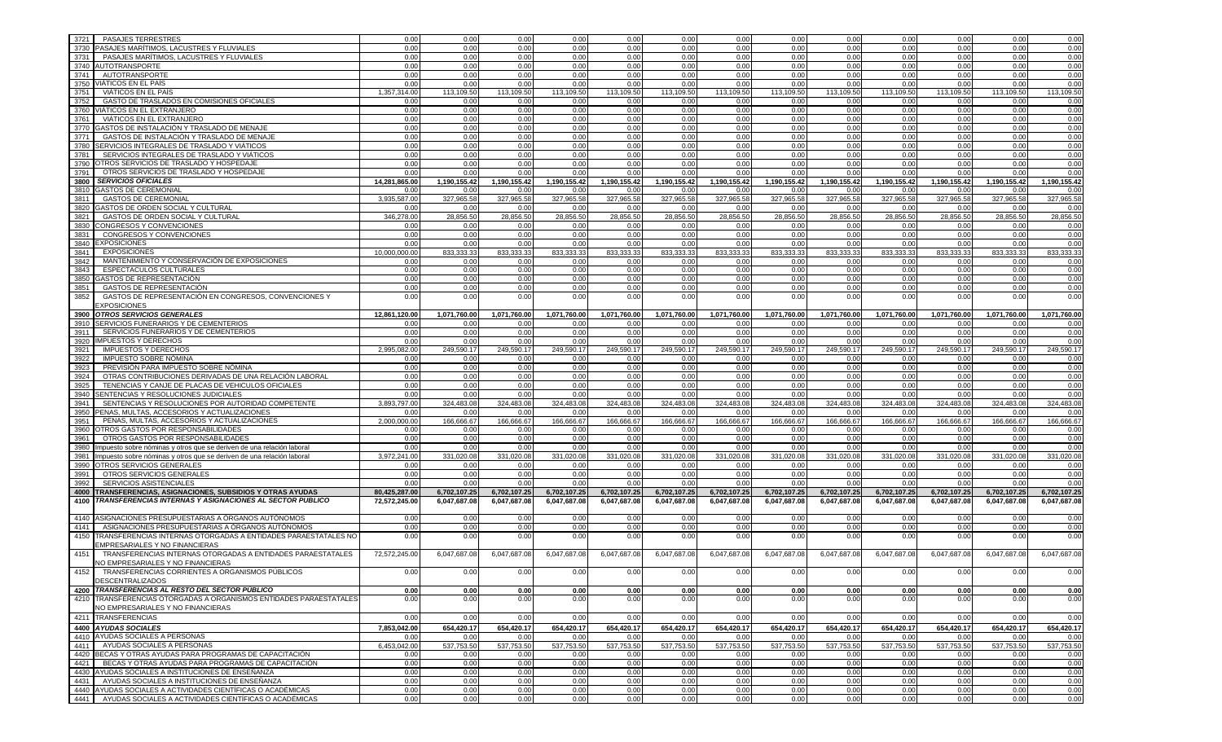| 3721 | <b>PASAJES TERRESTRES</b>                                                  | 0.00          | 0.00         | 0.00         | 0.00         | 0.00         | 0.00         | 0.00         | 0.00         | 0.00         | 0.00         | 0.00         | 0.00         | 0.00         |
|------|----------------------------------------------------------------------------|---------------|--------------|--------------|--------------|--------------|--------------|--------------|--------------|--------------|--------------|--------------|--------------|--------------|
| 3730 | PASAJES MARÍTIMOS, LACUSTRES Y FLUVIALES                                   | 0.00          | 0.00         | 0.00         | 0.00         | 0.00         | 0.00         | 0.00         | 0.00         | 0.00         | 0.00         | 0.00         | 0.00         | 0.00         |
| 3731 | PASAJES MARÍTIMOS, LACUSTRES Y FLUVIALES                                   | 0.00          | 0.00         | 0.00         | 0.00         | 0.00         | 0.00         | 0.00         | 0.00         | 0.00         | 0.00         | 0.00         | 0.00         | 0.00         |
|      | 3740 AUTOTRANSPORTE                                                        | 0.00          | 0.00         | 0.00         | 0.00         | 0.00         | 0.00         | 0.00         | 0.00         | 0.00         | 0.00         | 0.00         | 0.00         | 0.00         |
| 3741 | AUTOTRANSPORTE                                                             | 0.00          | 0.00         | 0.00         | 0.00         | 0.00         | 0.00         | 0.00         | 0.00         | 0.00         | 0.00         | 0.00         | 0.00         | 0.00         |
|      | 3750 VIATICOS EN EL PAÍS                                                   | 0.00          | 0.00         | 0.00         | 0.00         | 0.00         | 0.00         | 0.00         | 0.00         | 0.00         | 0.00         | 0.00         | 0.00         | 0.00         |
| 3751 | VIÁTICOS EN EL PAÍS                                                        | 1,357,314.00  | 113.109.50   | 113.109.50   | 113,109.50   | 113,109.50   | 113,109.50   | 113.109.50   | 113.109.50   | 113.109.50   | 113.109.50   | 113.109.50   | 113.109.50   | 113,109.50   |
| 3752 | GASTO DE TRASLADOS EN COMISIONES OFICIALES                                 | 0.00          | 0.00         | 0.00         | 0.00         | 0.00         | 0.00         | 0.00         | 0.00         | 0.00         | 0.00         | 0.00         | 0.00         | 0.00         |
|      | 3760 VIÁTICOS EN EL EXTRANJERO                                             | 0.00          | 0.00         | 0.00         | 0.00         | 0.00         | 0.00         | 0.00         | 0.00         | 0.00         | 0.00         | 0.00         | 0.00         | 0.00         |
| 3761 | VIÁTICOS EN EL EXTRANJERO                                                  | 0.00          | 0.00         | 0.00         | 0.00         | 0.00         | 0.00         | 0.00         | 0.00         | 0.00         | 0.00         | 0.00         | 0.00         | 0.00         |
| 3770 | GASTOS DE INSTALACIÓN Y TRASLADO DE MENAJE                                 | 0.00          | 0.00         | 0.00         | 0.00         | 0.00         | 0.00         | 0.00         | 0.00         | 0.00         | 0.00         | 0.00         | 0.00         | 0.00         |
| 3771 | GASTOS DE INSTALACIÓN Y TRASLADO DE MENAJE                                 | 0.00          | 0.00         | 0.00         | 0.00         | 0.00         | 0.00         | 0.00         | 0.00         | 0.00         | 0.00         | 0.00         | 0.00         | 0.00         |
|      | 3780 SERVICIOS INTEGRALES DE TRASLADO Y VIÁTICOS                           | 0.00          | 0.00         | 0.00         | 0.00         | 0.00         | 0.00         | 0.00         | 0.00         | 0.00         | 0.00         | 0.00         | 0.00         | 0.00         |
| 3781 | SERVICIOS INTEGRALES DE TRASLADO Y VIÁTICOS                                | 0.00          | 0.00         | 0.00         | 0.00         | 0.00         | 0.00         | 0.00         | 0.00         | 0.00         | 0.00         | 0.00         | 0.00         | 0.00         |
|      | 3790 OTROS SERVICIOS DE TRASLADO Y HOSPEDAJE                               | 0.00          | 0.00         | 0.00         | 0.00         | 0.00         | 0.00         | 0.00         | 0.00         | 0.00         | 0.00         | 0.00         | 0.00         | 0.00         |
| 3791 | OTROS SERVICIOS DE TRASLADO Y HOSPEDAJE                                    | 0.00          | 0.00         | 0.00         | 0.00         | 0.00         | 0.00         | 0.00         | 0.00         | 0.00         | 0.00         | 0.00         | 0.00         | 0.00         |
|      | 3800 SERVICIOS OFICIALES                                                   | 14,281,865.00 | 1,190,155.42 | 1.190.155.42 | 1,190,155.42 | 1,190,155.42 | 1,190,155.42 | 1.190.155.42 | 1.190.155.42 | 1,190,155.42 | 1,190,155.42 | 1,190,155.42 | 1,190,155.42 | 1.190.155.42 |
|      | 3810 GASTOS DE CEREMONIAL                                                  | 0.00          | 0.00         | 0.00         | 0.00         | 0.00         | 0.00         | 0.00         | 0.00         | 0.00         | 0.00         | 0.00         | 0.00         | 0.00         |
| 3811 | <b>GASTOS DE CEREMONIAL</b>                                                | 3,935,587.00  | 327,965.58   | 327,965.58   | 327,965.58   | 327,965.58   | 327,965.58   | 327,965.58   | 327,965.58   | 327,965.58   | 327,965.58   | 327,965.58   | 327,965.58   | 327,965.58   |
|      | 3820 GASTOS DE ORDEN SOCIAL Y CULTURAL                                     | 0.00          | 0.00         | 0.00         | 0.00         | 0.00         | 0.00         | 0.00         | 0.00         | 0.00         | 0.00         | 0.00         | 0.00         | 0.00         |
| 3821 | GASTOS DE ORDEN SOCIAL Y CULTURAL                                          | 346,278.00    | 28,856.50    | 28,856.50    | 28,856.50    | 28,856.50    | 28,856.50    | 28,856.50    | 28,856.50    | 28,856.50    | 28,856.50    | 28,856.50    | 28,856.50    | 28,856.50    |
|      | 3830 CONGRESOS Y CONVENCIONES                                              | 0.00          | 0.00         | 0.00         | 0.00         | 0.00         | 0.00         | 0.00         | 0.00         | 0.00         | 0.00         | 0.00         | 0.00         | 0.00         |
| 3831 | CONGRESOS Y CONVENCIONES                                                   | 0.00          | 0.00         | 0.00         | 0.00         | 0.00         | 0.00         | 0.00         | 0.00         | 0.00         | 0.00         | 0.00         | 0.00         | 0.00         |
|      | 3840 EXPOSICIONES                                                          | 0.00          | 0.00         | 0.00         | 0.00         | 0.00         | 0.00         | 0.00         | 0.00         | 0.00         | 0.00         | 0.00         | 0.00         | 0.00         |
| 3841 | <b>EXPOSICIONES</b>                                                        | 10,000,000.00 | 833.333.33   | 833,333.33   | 833.333.33   | 833,333.33   | 833,333.33   | 833,333.33   | 833,333.33   | 833.333.33   | 833,333.33   | 833,333.33   | 833.333.33   | 833,333.33   |
| 3842 | MANTENIMIENTO Y CONSERVACIÓN DE EXPOSICIONES                               | 0.00          | 0.00         | 0.00         | 0.00         | 0.00         | 0.00         | 0.00         | 0.00         | 0.00         | 0.00         | 0.00         | 0.00         | 0.00         |
| 3843 | <b>ESPECTACULOS CULTURALES</b>                                             | 0.00          | 0.00         | 0.00         | 0.00         | 0.00         | 0.00         | 0.00         | 0.00         | 0.00         | 0.00         | 0.00         | 0.00         | 0.00         |
|      | 3850 GASTOS DE REPRESENTACIÓN                                              | 0.00          | 0.00         | 0.00         | 0.00         | 0.00         | 0.00         | 0.00         | 0.00         | 0.00         | 0.00         | 0.00         | 0.00         | 0.00         |
| 3851 | <b>GASTOS DE REPRESENTACIÓN</b>                                            | 0.00          | 0.00         | 0.00         | 0.00         | 0.00         | 0.00         | 0.00         | 0.00         | 0.00         | 0.00         | 0.00         | 0.00         | 0.00         |
| 3852 | GASTOS DE REPRESENTACIÓN EN CONGRESOS, CONVENCIONES Y                      | 0.00          | 0.00         | 0.00         | 0.00         | 0.00         | 0.00         | 0.00         | 0.00         | 0.00         | 0.00         | 0.00         | 0.00         | 0.00         |
|      | <b>EXPOSICIONES</b>                                                        |               |              |              |              |              |              |              |              |              |              |              |              |              |
|      | 3900 OTROS SERVICIOS GENERALES                                             | 12.861.120.00 | 1.071.760.00 | 1.071.760.00 | 1.071.760.00 | 1,071,760.00 | 1,071,760.00 | 1.071.760.00 | 1.071.760.00 | 1.071.760.00 | 1,071,760.00 | 1.071.760.00 | 1,071,760.00 | 1.071.760.00 |
|      | 3910 SERVICIOS FUNERARIOS Y DE CEMENTERIOS                                 | 0.00          | 0.00         | 0.00         | 0.00         | 0.00         | 0.00         | 0.00         | 0.00         | 0.00         | 0.00         | 0.00         | 0.00         | 0.00         |
| 3911 | SERVICIOS FUNERARIOS Y DE CEMENTERIOS                                      | 0.00          | 0.00         | 0.00         | 0.00         | 0.00         | 0.00         | 0.00         | 0.00         | 0.00         | 0.00         | 0.00         | 0.00         | 0.00         |
|      | 3920 IMPUESTOS Y DERECHOS                                                  | 0.00          | 0.00         | 0.00         | 0.00         | 0.00         | 0.00         | 0.00         | 0.00         | 0.00         | 0.00         | 0.00         | 0.00         | 0.00         |
| 3921 | <b>IMPUESTOS Y DERECHOS</b>                                                | 2.995.082.00  | 249.590.17   | 249,590.17   | 249,590.17   | 249,590.1    | 249,590.17   | 249,590.17   | 249,590.17   | 249,590.17   | 249,590.17   | 249,590.17   | 249,590.17   | 249,590.17   |
| 3922 | IMPUESTO SOBRE NÓMINA                                                      | 0.00          | 0.00         | 0.00         | 0.00         | 0.00         | 0.00         | 0.00         | 0.00         | 0.00         | 0.00         | 0.00         | 0.00         | 0.00         |
| 3923 | PREVISIÓN PARA IMPUESTO SOBRE NÓMINA                                       | 0.00          | 0.00         | 0.00         | 0.00         | 0.00         | 0.00         | 0.00         | 0.00         | 0.00         | 0.00         | 0.00         | 0.00         | 0.00         |
| 3924 | OTRAS CONTRIBUCIONES DERIVADAS DE UNA RELACIÓN LABORAL                     | 0.00          | 0.00         | 0.00         | 0.00         | 0.00         | 0.00         | 0.00         | 0.00         | 0.00         | 0.00         | 0.00         | 0.00         | 0.00         |
| 3925 | TENENCIAS Y CANJE DE PLACAS DE VEHICULOS OFICIALES                         | 0.00          | 0.00         | 0.00         | 0.00         | 0.00         | 0.00         | 0.00         | 0.00         | 0.00         | 0.00         | 0.00         | 0.00         | 0.00         |
|      | 3940 SENTENCIAS Y RESOLUCIONES JUDICIALES                                  | 0.00          | 0.00         | 0.00         | 0.00         | 0.00         | 0.00         | 0.00         | 0.00         | 0.00         | 0.00         | 0.00         | 0.00         | 0.00         |
| 3941 | SENTENCIAS Y RESOLUCIONES POR AUTORIDAD COMPETENTE                         | 3.893.797.00  | 324,483.08   | 324,483.08   | 324,483.08   | 324.483.08   | 324,483.08   | 324,483.08   | 324,483.08   | 324,483.08   | 324,483.08   | 324,483.08   | 324.483.08   | 324.483.08   |
|      | 3950 PENAS, MULTAS, ACCESORIOS Y ACTUALIZACIONES                           | 0.00          | 0.00         | 0.00         | 0.00         | 0.00         | 0.00         | 0.00         | 0.00         | 0.00         | 0.00         | 0.00         | 0.00         | 0.00         |
| 3951 | PENAS, MULTAS, ACCESORIOS Y ACTUALIZACIONES                                | 2,000,000.00  | 166,666.67   | 166,666.67   | 166,666.67   | 166,666.67   | 166,666.67   | 166,666.67   | 166,666.67   | 166,666.67   | 166,666.67   | 166,666.67   | 166,666.67   | 166,666.67   |
|      | 3960 OTROS GASTOS POR RESPONSABILIDADES                                    | 0.00          | 0.00         | 0.00         | 0.00         | 0.00         | 0.00         | 0.00         | 0.00         | 0.00         | 0.00         | 0.00         | 0.00         | 0.00         |
| 3961 | OTROS GASTOS POR RESPONSABILIDADES                                         | 0.00          | 0.00         | 0.00         | 0.00         | 0.00         | 0.00         | 0.00         | 0.00         | 0.00         | 0.00         | 0.00         | 0.00         | 0.00         |
|      | 3980 Impuesto sobre nóminas y otros que se deriven de una relación laboral | 0.00          | 0.00         | 0.00         | 0.00         | 0.00         | 0.00         | 0.00         | 0.00         | 0.00         | 0.00         | 0.00         | 0.00         | 0.00         |
|      | 3981 Impuesto sobre nóminas y otros que se deriven de una relación laboral | 3,972,241.00  | 331.020.08   | 331.020.08   | 331.020.08   | 331.020.08   | 331.020.08   | 331,020.08   | 331,020.08   | 331.020.08   | 331,020.08   | 331,020.08   | 331,020.08   | 331.020.08   |
|      | 3990 OTROS SERVICIOS GENERALES                                             | 0.00          | 0.00         | 0.00         | 0.00         | 0.00         | 0.00         | 0.00         | 0.00         | 0.00         | 0.00         | 0.00         | 0.00         | 0.00         |
| 3991 | OTROS SERVICIOS GENERALES                                                  | 0.00          | 0.00         | 0.00         | 0.00         | 0.00         | 0.00         | 0.00         | 0.00         | 0.00         | 0.00         | 0.00         | 0.00         | 0.00         |
| 3992 | SERVICIOS ASISTENCIALES                                                    | 0.00          | 0.00         | 0.00         | 0.00         | 0.00         | 0.00         | 0.00         | 0.00         | 0.00         | 0.00         | 0.00         | 0.00         | 0.00         |
|      | 4000 TRANSFERENCIAS, ASIGNACIONES, SUBSIDIOS Y OTRAS AYUDAS                | 80,425,287.00 | 6,702,107.25 | 6,702,107.25 | 6,702,107.25 | 6,702,107.25 | 6,702,107.25 | 6,702,107.25 | 6,702,107.25 | 6,702,107.25 | 6,702,107.25 | 6,702,107.25 | 6,702,107.25 | 6,702,107.25 |
|      | 4100 TRANSFERENCIAS INTERNAS Y ASIGNACIONES AL SECTOR PUBLICO              | 72,572,245.00 | 6,047,687.08 | 6,047,687.08 | 6,047,687.08 | 6,047,687.08 | 6,047,687.08 | 6,047,687.08 | 6,047,687.08 | 6,047,687.08 | 6,047,687.08 | 6,047,687.08 | 6,047,687.08 | 6,047,687.08 |
|      |                                                                            |               |              |              |              |              |              |              |              |              |              |              |              |              |
|      | 4140 ASIGNACIONES PRESUPUESTARIAS A ORGANOS AUTÓNOMOS                      | 0.00          | 0.00         | 0.00         | 0.00         | 0.00         | 0.00         | 0.00         | 0.00         | 0.00         | 0.00         | 0.00         | 0.00         | 0.00         |
| 4141 | ASIGNACIONES PRESUPUESTARIAS A ÓRGANOS AUTÓNOMOS                           | 0.00          | 0.00         | 0.00         | 0.00         | 0.00         | 0.00         | 0.00         | 0.00         | 0.00         | 0.00         | 0.00         | 0.00         | 0.00         |
| 4150 | TRANSFERENCIAS INTERNAS OTORGADAS A ENTIDADES PARAESTATALES NO             | 0.00          | 0.00         | 0.00         | 0.00         | 0.00         | 0.00         | 0.00         | 0.00         | 0.00         | 0.00         | 0.00         | 0.00         | 0.00         |
|      | EMPRESARIALES Y NO FINANCIERAS                                             |               |              |              |              |              |              |              |              |              |              |              |              |              |
| 4151 | TRANSFERENCIAS INTERNAS OTORGADAS A ENTIDADES PARAESTATALES                | 72,572,245.00 | 6,047,687.08 | 6,047,687.08 | 6,047,687.08 | 6,047,687.08 | 6,047,687.08 | 6,047,687.08 | 6,047,687.08 | 6,047,687.08 | 6,047,687.08 | 6,047,687.08 | 6,047,687.08 | 6.047.687.08 |
|      | NO EMPRESARIALES Y NO FINANCIERAS                                          |               |              |              |              |              |              |              |              |              |              |              |              |              |
| 4152 | TRANSFERENCIAS CORRIENTES A ORGANISMOS PÚBLICOS                            | 0.00          | 0.00         | 0.00         | 0.00         | 0.00         | 0.00         | 0.00         | 0.00         | 0.00         | 0.00         | 0.00         | 0.00         | 0.00         |
|      | <b>DESCENTRALIZADOS</b>                                                    |               |              |              |              |              |              |              |              |              |              |              |              |              |
|      | 4200 TRANSFERENCIAS AL RESTO DEL SECTOR PÚBLICO                            | 0.00          | 0.00         | 0.00         | 0.00         | 0.00         | 0.00         | 0.00         | 0.00         | 0.00         | 0.00         | 0.00         | 0.00         | 0.00         |
|      | 4210 TRANSFERENCIAS OTORGADAS A ORGANISMOS ENTIDADES PARAESTATALES         | 0.00          | 0.00         | 0.00         | 0.00         | 0.00         | 0.00         | 0.00         | 0.00         | 0.00         | 0.00         | 0.00         | 0.00         | 0.00         |
|      | NO EMPRESARIALES Y NO FINANCIERAS                                          |               |              |              |              |              |              |              |              |              |              |              |              |              |
|      | 4211 TRANSFERENCIAS                                                        | 0.00          | 0.00         | 0.00         | 0.00         | 0.00         | 0.00         | 0.00         | 0.00         | 0.00         | 0.00         | 0.00         | 0.00         | 0.00         |
|      | 4400 AYUDAS SOCIALES                                                       | 7,853,042.00  | 654,420.17   | 654,420.17   | 654,420.17   | 654,420.17   | 654,420.17   | 654,420.17   | 654,420.17   | 654,420.17   | 654,420.17   | 654,420.17   | 654,420.17   | 654,420.17   |
|      | 4410 AYUDAS SOCIALES A PERSONAS                                            | 0.00          | 0.00         | 0.00         | 0.00         | 0.00         | 0.00         | 0.00         | 0.00         | 0.00         | 0.00         | 0.00         | 0.00         | 0.00         |
|      | 4411 AYUDAS SOCIALES A PERSONAS                                            | 6,453,042.00  | 537,753.50   | 537,753.50   | 537,753.50   | 537,753.50   | 537,753.50   | 537,753.50   | 537,753.50   | 537,753.50   | 537,753.50   | 537,753.50   | 537,753.50   | 537,753.50   |
|      | 4420 BECAS Y OTRAS AYUDAS PARA PROGRAMAS DE CAPACITACIÓN                   | 0.00          | 0.00         | 0.00         | 0.00         | 0.00         | 0.00         | 0.00         | 0.00         | 0.00         | 0.00         | 0.00         | 0.00         | 0.00         |
|      | 4421 BECAS Y OTRAS AYUDAS PARA PROGRAMAS DE CAPACITACIÓN                   | 0.00          | 0.00         | 0.00         | 0.00         | 0.00         | 0.00         | 0.00         | 0.00         | 0.00         | 0.00         | 0.00         | 0.00         | 0.00         |
|      | 4430 AYUDAS SOCIALES A INSTITUCIONES DE ENSEÑANZA                          | 0.00          | 0.00         | 0.00         | 0.00         | 0.00         | 0.00         | 0.00         | 0.00         | 0.00         | 0.00         | 0.00         | 0.00         | 0.00         |
|      | 4431   AYUDAS SOCIALES A INSTITUCIONES DE ENSEÑANZA                        | 0.00          | 0.00         | 0.00         | 0.00         | 0.00         | 0.00         | 0.00         | 0.00         | 0.00         | 0.00         | 0.00         | 0.00         | 0.00         |
|      | 4440 AYUDAS SOCIALES A ACTIVIDADES CIENTÍFICAS O ACADÉMICAS                | 0.00          | 0.00         | 0.00         | 0.00         | 0.00         | 0.00         | 0.00         | 0.00         | 0.00         | 0.00         | 0.00         | 0.00         | 0.00         |
|      | 4441 AYUDAS SOCIALES A ACTIVIDADES CIENTÍFICAS O ACADÉMICAS                | 0.00          | 0.00         | 0.00         | 0.00         | 0.00         | 0.00         | 0.00         | 0.00         | 0.00         | 0.00         | 0.00         | 0.00         | 0.00         |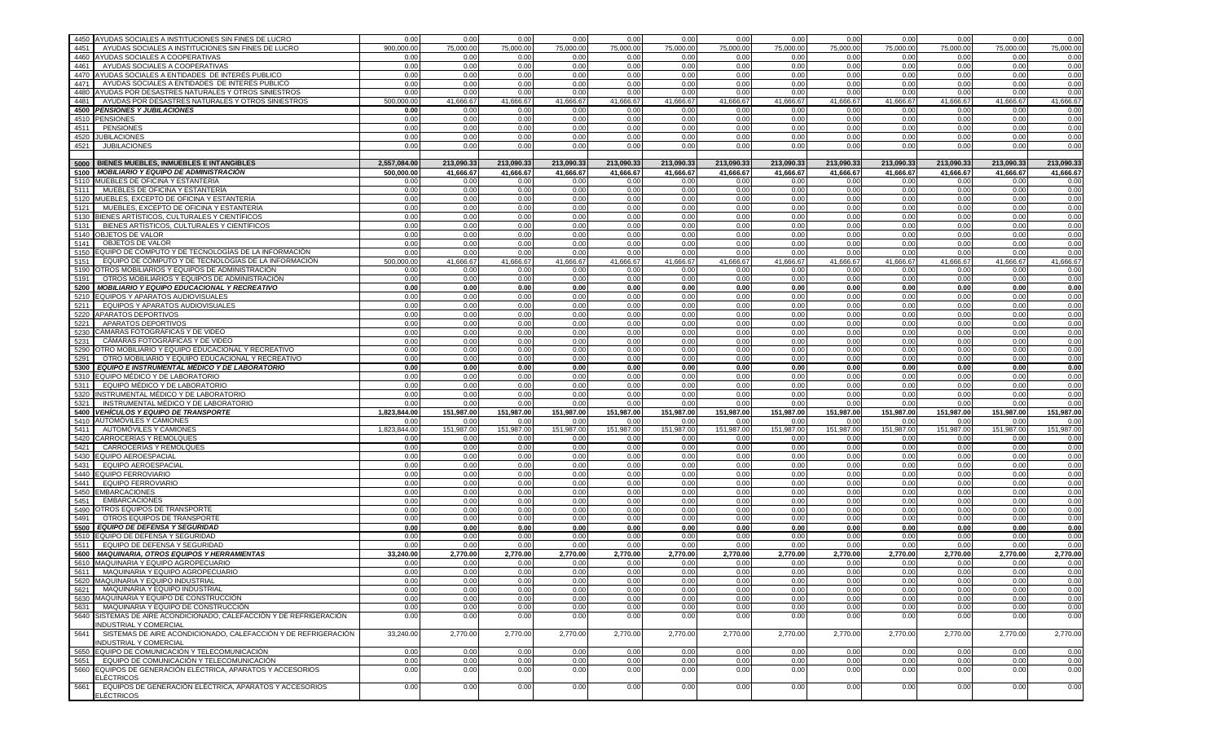|      | 4450 AYUDAS SOCIALES A INSTITUCIONES SIN FINES DE LUCRO             | 0.00         | 0.00         | 0.00         | 0.00         | 0.00         | 0.00         | 0.00         | 0.00         | 0.00         | 0.00         | 0.00         | 0.00         | 0.00         |
|------|---------------------------------------------------------------------|--------------|--------------|--------------|--------------|--------------|--------------|--------------|--------------|--------------|--------------|--------------|--------------|--------------|
| 4451 | AYUDAS SOCIALES A INSTITUCIONES SIN FINES DE LUCRO                  | 900.000.00   | 75,000.00    | 75,000.00    | 75,000.00    | 75,000.00    | 75,000.00    | 75,000.00    | 75,000.00    | 75,000.00    | 75,000.00    | 75,000.00    | 75,000.00    | 75,000.00    |
|      | 4460 AYUDAS SOCIALES A COOPERATIVAS                                 | 0.00         | 0.00         | 0.00         | 0.00         | 0.00         | 0.00         | 0.00         | 0.00         | 0.00         | 0.00         | 0.00         | 0.00         | 0.00         |
| 4461 | AYUDAS SOCIALES A COOPERATIVAS                                      | 0.00         | 0.00         | 0.00         | 0.00         | 0.00         | 0.00         | 0.00         | 0.00         | 0.00         | 0.00         | 0.00         | 0.00         | 0.00         |
|      | 4470 AYUDAS SOCIALES A ENTIDADES DE INTERÉS PUBLICO                 | 0.00         | 0.00         | 0.00         | 0.00         | 0.00         | 0.00         | 0.00         | 0.00         | 0.00         | 0.00         | 0.00         | 0.00         | 0.00         |
| 4471 | AYUDAS SOCIALES A ENTIDADES DE INTERÉS PUBLICO                      | 0.00         | 0.00         | 0.00         | 0.00         | 0.00         | 0.00         | 0.00         | 0.00         | 0.00         | 0.00         | 0.00         | 0.00         | 0.00         |
|      | 4480 AYUDAS POR DESASTRES NATURALES Y OTROS SINIESTROS              | 0.00         | 0.00         | 0.00         | 0.00         | 0.00         | 0.00         | 0.00         | 0.00         | 0.00         | 0.00         | 0.00         | 0.00         | 0.00         |
| 4481 | AYUDAS POR DESASTRES NATURALES Y OTROS SINIESTROS                   | 500,000.00   | 41,666.67    | 41,666.67    | 41,666.67    | 41,666.67    | 41,666.67    | 41,666.67    | 41,666.67    | 41,666.67    | 41,666.67    | 41,666.67    | 41,666.67    | 41,666.67    |
|      | 4500 PENSIONES Y JUBILACIONES                                       | 0.00         | 0.00         | 0.00         | 0.00         | 0.00         | 0.00         | 0.00         | 0.00         | 0.00         | 0.00         | 0.00         | 0.00         | 0.00         |
|      | 4510 PENSIONES                                                      | 0.00         | 0.00         | 0.00         | 0.00         | 0.00         | 0.00         | 0.00         | 0.00         | 0.00         | 0.00         | 0.00         | 0.00         | 0.00         |
|      | 4511 PENSIONES                                                      | 0.00         | 0.00         | 0.00         | 0.00         | 0.00         | 0.00         | 0.00         | 0.00         | 0.00         | 0.00         | 0.00         | 0.00         | 0.00         |
|      | 4520 JUBILACIONES                                                   | 0.00         | 0.00         | 0.00         | 0.00         | 0.00         | 0.00         | 0.00         | 0.00         | 0.00         | 0.00         | 0.00         | 0.00         | 0.00         |
| 4521 | <b>JUBILACIONES</b>                                                 | 0.00         | 0.00         | 0.00         | 0.00         | 0.00         | 0.00         | 0.00         | 0.00         | 0.00         | 0.00         | 0.00         | 0.00         | 0.00         |
|      |                                                                     |              |              |              |              |              |              |              |              |              |              |              |              |              |
|      | 5000 BIENES MUEBLES, INMUEBLES E INTANGIBLES                        | 2.557.084.00 | 213,090.33   | 213,090.33   | 213,090.33   | 213,090.33   | 213,090.33   | 213,090.33   | 213,090.33   | 213,090.33   | 213,090.33   | 213,090.33   | 213,090.33   | 213,090.33   |
|      | 5100 MOBILIARIO Y EQUIPO DE ADMINISTRACIÓN                          | 500,000.00   | 41,666.67    | 41,666.67    | 41,666.67    | 41,666.67    | 41,666.67    | 41,666.67    | 41,666.67    | 41,666.67    | 41,666.67    | 41,666.67    | 41,666.67    | 41,666.67    |
|      | 5110 MUEBLES DE OFICINA Y ESTANTERÍA                                | 0.00         | 0.00         | 0.00         | 0.00         | 0.00         | 0.00         | 0.00         | 0.00         | 0.00         | 0.00         | 0.00         | 0.00         | 0.00         |
|      | 5111 MUEBLES DE OFICINA Y ESTANTERÍA                                | 0.00         | 0.00         | 0.00         | 0.00         | 0.00         | 0.00         | 0.00         | 0.00         | 0.00         | 0.00         | 0.00         | 0.00         | 0.00         |
|      | 5120 MUEBLES, EXCEPTO DE OFICINA Y ESTANTERÍA                       | 0.00         | 0.00         | 0.00         | 0.00         | 0.00         | 0.00         | 0.00         | 0.00         | 0.00         | 0.00         | 0.00         | 0.00         | 0.00         |
|      | 5121 MUEBLES, EXCEPTO DE OFICINA Y ESTANTERÍA                       | 0.00         | 0.00         | 0.00         | 0.00         | 0.00         | 0.00         | 0.00         | 0.00         | 0.00         | 0.00         | 0.00         | 0.00         | 0.00         |
|      | 5130 BIENES ARTÍSTICOS, CULTURALES Y CIENTÍFICOS                    | 0.00         | 0.00         | 0.00         | 0.00         | 0.00         | 0.00         | 0.00         | 0.00         | 0.00         | 0.00         | 0.00         | 0.00         | 0.00         |
| 5131 | BIENES ARTÍSTICOS, CULTURALES Y CIENTÍFICOS                         | 0.00         | 0.00         | 0.00         | 0.00         | 0.00         | 0.00         | 0.00         | 0.00         | 0.00         | 0.00         | 0.00         | 0.00         | 0.00         |
|      | 5140 OBJETOS DE VALOR                                               | 0.00         | 0.00         | 0.00         | 0.00         | 0.00         | 0.00         | 0.00         | 0.00         | 0.00         | 0.00         | 0.00         | 0.00         | 0.00         |
| 5141 | OBJETOS DE VALOR                                                    | 0.00         | 0.00         | 0.00         | 0.00         | 0.00         | 0.00         | 0.00         | 0.00         | 0.00         | 0.00         | 0.00         | 0.00         | 0.00         |
|      | 5150 EQUIPO DE CÓMPUTO Y DE TECNOLOGÍAS DE LA INFORMACIÓN           | 0.00         | 0.00         | 0.00         | 0.00         | 0.00         | 0.00         | 0.00         | 0.00         | 0.00         | 0.00         | 0.00         | 0.00         | 0.00         |
| 5151 | EQUIPO DE CÓMPUTO Y DE TECNOLOGÍAS DE LA INFORMACIÓN                | 500,000.00   | 41,666.67    | 41,666.67    | 41,666.67    | 41,666.67    | 41,666.67    | 41,666.67    | 41,666.67    | 41,666.67    | 41,666.67    | 41,666.67    | 41,666.67    | 41,666.67    |
|      | 5190 OTROS MOBILIARIOS Y EQUIPOS DE ADMINISTRACIÓN                  | 0.00         | 0.00         | 0.00         | 0.00         | 0.00         | 0.00         | 0.00         | 0.00         | 0.00         | 0.00         | 0.00         | 0.00         | 0.00         |
| 5191 | OTROS MOBILIARIOS Y EQUIPOS DE ADMINISTRACIÓN                       | 0.00         | 0.00         | 0.00         | 0.00         | 0.00         | 0.00         | 0.00         | 0.00         | 0.00         | 0.00         | 0.00         | 0.00         | 0.00         |
|      | 5200 MOBILIARIO Y EQUIPO EDUCACIONAL Y RECREATIVO                   | 0.00         | 0.00         | 0.00         | 0.00         | 0.00         | 0.00         | 0.00         | 0.00         | 0.00         | 0.00         | 0.00         | 0.00         | 0.00         |
|      | 5210 EQUIPOS Y APARATOS AUDIOVISUALES                               | 0.00         | 0.00         | 0.00         | 0.00         | 0.00         | 0.00         | 0.00         | 0.00         | 0.00         | 0.00         | 0.00         | 0.00         | 0.00         |
| 5211 | EQUIPOS Y APARATOS AUDIOVISUALES                                    | 0.00         | 0.00         | 0.00         | 0.00         | 0.00         | 0.00         | 0.00         | 0.00         | 0.00         | 0.00         | 0.00         | 0.00         | 0.00         |
|      | 5220 APARATOS DEPORTIVOS                                            | 0.00         | 0.00         | 0.00         | 0.00         | 0.00         | 0.00         | 0.00         | 0.00         | 0.00         | 0.00         | 0.00         | 0.00         | 0.00         |
| 5221 | APARATOS DEPORTIVOS                                                 | 0.00         | 0.00         | 0.00         | 0.00         | 0.00         | 0.00         | 0.00         | 0.00         | 0.00         | 0.00         | 0.00         | 0.00         | 0.00         |
| 5230 | CÁMARAS FOTOGRÁFICAS Y DE VIDEO                                     | 0.00         | 0.00         | 0.00         | 0.00         | 0.00         | 0.00         | 0.00         | 0.00         | 0.00         | 0.00         | 0.00         | 0.00         | 0.00         |
| 5231 | CÁMARAS FOTOGRÁFICAS Y DE VIDEO                                     | 0.00         | 0.00         | 0.00         | 0.00         | 0.00         | 0.00         | 0.00         | 0.00         | 0.00         | 0.00         | 0.00         | 0.00         | 0.00         |
|      | 5290 OTRO MOBILIARIO Y EQUIPO EDUCACIONAL Y RECREATIVO              | 0.00         | 0.00         | 0.00         | 0.00         | 0.00         | 0.00         | 0.00         | 0.00         | 0.00         | 0.00         | 0.00         | 0.00         | 0.00         |
| 5291 | OTRO MOBILIARIO Y EQUIPO EDUCACIONAL Y RECREATIVO                   | 0.00         | 0.00         | 0.00         | 0.00         | 0.00         | 0.00         | 0.00         | 0.00         | 0.00         | 0.00         | 0.00         | 0.00         | 0.00         |
|      | 5300 EQUIPO E INSTRUMENTAL MÉDICO Y DE LABORATORIO                  | 0.00         | 0.00         | 0.00         | 0.00         | 0.00         | 0.00         | 0.00         | 0.00         | 0.00         | 0.00         | 0.00         | 0.00         | 0.00         |
|      | 5310 EQUIPO MÉDICO Y DE LABORATORIO                                 | 0.00         | 0.00         | 0.00         | 0.00         | 0.00         | 0.00         | 0.00         | 0.00         | 0.00         | 0.00         | 0.00         | 0.00         | 0.00         |
| 5311 | EQUIPO MÉDICO Y DE LABORATORIO                                      | 0.00         | 0.00         | 0.00         | 0.00         | 0.00         | 0.00         | 0.00         | 0.00         | 0.00         | 0.00         | 0.00         | 0.00         | 0.00         |
|      | 5320 INSTRUMENTAL MÉDICO Y DE LABORATORIO                           | 0.00         | 0.00         | 0.00         | 0.00         | 0.00         | 0.00         | 0.00         | 0.00         | 0.00         | 0.00         | 0.00         | 0.00         | 0.00         |
| 5321 | INSTRUMENTAL MÉDICO Y DE LABORATORIO                                | 0.00         | 0.00         | 0.00         | 0.00         | 0.00         | 0.00         | 0.00         | 0.00         | 0.00         | 0.00         | 0.00         | 0.00         | 0.00         |
|      | 5400 VEHÍCULOS Y EQUIPO DE TRANSPORTE                               | 1,823,844.00 | 151,987.00   | 151,987.00   | 151,987.00   | 151,987.00   | 151,987.00   | 151,987.00   | 151,987.00   | 151,987.00   | 151,987.00   | 151,987.00   | 151,987.00   | 151,987.00   |
|      | 5410 AUTOMÓVILES Y CAMIONES                                         | 0.00         | 0.00         | 0.00         | 0.00         | 0.00         | 0.00         | 0.00         | 0.00         | 0.00         | 0.00         | 0.00         | 0.00         | 0.00         |
| 5411 | AUTOMOVILES Y CAMIONES                                              | 1.823.844.00 | 151.987.00   | 151,987.00   | 151,987.00   | 151,987.00   | 151,987.00   | 151,987.00   | 151,987.00   | 151,987.00   | 151,987.00   | 151,987.00   | 151,987.00   | 151,987.00   |
|      | 5420 CARROCERÍAS Y REMOLQUES                                        | 0.00         | 0.00         | 0.00         | 0.00         | 0.00         | 0.00         | 0.00         | 0.00         | 0.00         | 0.00         | 0.00         | 0.00         | 0.00         |
| 5421 | CARROCERÍAS Y REMOLQUES                                             | 0.00         | 0.00         | 0.00         | 0.00         | 0.00         | 0.00         | 0.00         | 0.00         | 0.00         | 0.00         | 0.00         | 0.00         | 0.00         |
|      | 5430 EQUIPO AEROESPACIAL                                            | 0.00         | 0.00         | 0.00         | 0.00         | 0.00         | 0.00         | 0.00         | 0.00         | 0.00         | 0.00         | 0.00         | 0.00         | 0.00         |
| 5431 | EQUIPO AEROESPACIAI<br>5440 EQUIPO FERROVIARIO                      | 0.00<br>0.00 | 0.00<br>0.00 | 0.00<br>0.00 | 0.00<br>0.00 | 0.00<br>0.00 | 0.00<br>0.00 | 0.00<br>0.00 | 0.00<br>0.00 | 0.00<br>0.00 | 0.00<br>0.00 | 0.00<br>0.00 | 0.00<br>0.00 | 0.00<br>0.00 |
|      |                                                                     |              |              |              |              |              |              |              |              |              |              |              |              |              |
| 5441 | <b>EQUIPO FERROVIARIO</b><br>5450 EMBARCACIONES                     | 0.00<br>0.00 | 0.00<br>0.00 | 0.00<br>0.00 | 0.00<br>0.00 | 0.00<br>0.00 | 0.00<br>0.00 | 0.00<br>0.00 | 0.00<br>0.00 | 0.00<br>0.00 | 0.00<br>0.00 | 0.00<br>0.00 | 0.00<br>0.00 | 0.00<br>0.00 |
| 5451 | <b>EMBARCACIONES</b>                                                | 0.00         | 0.00         | 0.00         | 0.00         | 0.00         | 0.00         | 0.00         | 0.00         | 0.00         | 0.00         | 0.00         | 0.00         | 0.00         |
|      | 5490 OTROS EQUIPOS DE TRANSPORTE                                    | 0.00         | 0.00         | 0.00         | 0.00         | 0.00         | 0.00         | 0.00         | 0.00         | 0.00         | 0.00         | 0.00         | 0.00         | 0.00         |
| 5491 | OTROS EQUIPOS DE TRANSPORTE                                         | 0.00         | 0.00         | 0.00         | 0.00         | 0.00         | 0.00         | 0.00         | 0.00         | 0.00         | 0.00         | 0.00         | 0.00         | 0.00         |
|      | 5500 EQUIPO DE DEFENSA Y SEGURIDAD                                  | 0.00         | 0.00         | 0.00         | 0.00         | 0.00         | 0.00         | 0.00         | 0.00         | 0.00         | 0.00         | 0.00         | 0.00         | 0.00         |
|      | 5510 EQUIPO DE DEFENSA Y SEGURIDAD                                  | 0.00         | 0.00         | 0.00         | 0.00         | 0.00         | 0.00         | 0.00         | 0.00         | 0.00         | 0.00         | 0.00         | 0.00         | 0.00         |
| 5511 | EQUIPO DE DEFENSA Y SEGURIDAD                                       | 0.00         | 0.00         | 0.00         | 0.00         | 0.00         | 0.00         | 0.00         | 0.00         | 0.00         | 0.00         | 0.00         | 0.00         | 0.00         |
| 5600 | <b>MAQUINARIA, OTROS EQUIPOS Y HERRAMIENTAS</b>                     | 33,240.00    | 2,770.00     | 2,770.00     | 2,770.00     | 2,770.00     | 2,770.00     | 2,770.00     | 2,770.00     | 2,770.00     | 2,770.00     | 2,770.00     | 2,770.00     | 2,770.00     |
|      | 5610 MAQUINARIA Y EQUIPO AGROPECUARIO                               | 0.00         | 0.00         | 0.00         | 0.00         | 0.00         | 0.00         | 0.00         | 0.00         | 0.00         | 0.00         | 0.00         | 0.00         | 0.00         |
|      | 5611 MAQUINARIA Y EQUIPO AGROPECUARIO                               | 0.00         | 0.00         | 0.00         | 0.00         | 0.00         | 0.00         | 0.00         | 0.00         | 0.00         | 0.00         | 0.00         | 0.00         | 0.00         |
|      | 5620 MAQUINARIA Y EQUIPO INDUSTRIAL                                 | 0.00         | 0.00         | 0.00         | 0.00         | 0.00         | 0.00         | 0.00         | 0.00         | 0.00         | 0.00         | 0.00         | 0.00         | 0.00         |
|      | 5621 MAQUINARIA Y EQUIPO INDUSTRIAL                                 | 0.00         | 0.00         | 0.00         | 0.00         | 0.00         | 0.00         | 0.00         | 0.00         | 0.00         | 0.00         | 0.00         | 0.00         | 0.00         |
|      | 5630 MAQUINARIA Y EQUIPO DE CONSTRUCCIÓN                            | 0.00         | 0.00         | 0.00         | 0.00         | 0.00         | 0.00         | 0.00         | 0.00         | 0.00         | 0.00         | 0.00         | 0.00         | 0.00         |
|      | 5631 MAQUINARIA Y EQUIPO DE CONSTRUCCIÓN                            | 0.00         | 0.00         | 0.00         | 0.00         | 0.00         | 0.00         | 0.00         | 0.00         | 0.00         | 0.00         | 0.00         | 0.00         | 0.00         |
|      | 5640 SISTEMAS DE AIRE ACONDICIONADO, CALEFACCIÓN Y DE REFRIGERACIÓN | 0.00         | 0.00         | 0.00         | 0.00         | 0.00         | 0.00         | 0.00         | 0.00         | 0.00         | 0.00         | 0.00         | 0.00         | 0.00         |
|      | <b>INDUSTRIAL Y COMERCIAL</b>                                       |              |              |              |              |              |              |              |              |              |              |              |              |              |
| 5641 | SISTEMAS DE AIRE ACONDICIONADO, CALEFACCIÓN Y DE REFRIGERACIÓN      | 33,240.00    | 2,770.00     | 2,770.00     | 2,770.00     | 2,770.00     | 2,770.00     | 2,770.00     | 2,770.00     | 2,770.00     | 2,770.00     | 2,770.00     | 2,770.00     | 2,770.00     |
|      | <b>INDUSTRIAL Y COMERCIAL</b>                                       |              |              |              |              |              |              |              |              |              |              |              |              |              |
|      | 5650 EQUIPO DE COMUNICACIÓN Y TELECOMUNICACIÓN                      | 0.00         | 0.00         | 0.00         | 0.00         | 0.00         | 0.00         | 0.00         | 0.00         | 0.00         | 0.00         | 0.00         | 0.00         | 0.00         |
| 5651 | EQUIPO DE COMUNICACIÓN Y TELECOMUNICACIÓN                           | 0.00         | 0.00         | 0.00         | 0.00         | 0.00         | 0.00         | 0.00         | 0.00         | 0.00         | 0.00         | 0.00         | 0.00         | 0.00         |
|      | 5660 EQUIPOS DE GENERACIÓN ELÉCTRICA, APARATOS Y ACCESORIOS         | 0.00         | 0.00         | 0.00         | 0.00         | 0.00         | 0.00         | 0.00         | 0.00         | 0.00         | 0.00         | 0.00         | 0.00         | 0.00         |
|      | <b>ELÉCTRICOS</b>                                                   |              |              |              |              |              |              |              |              |              |              |              |              |              |
| 5661 | EQUIPOS DE GENERACIÓN ELÉCTRICA, APARATOS Y ACCESORIOS              | 0.00         | 0.00         | 0.00         | 0.00         | 0.00         | 0.00         | 0.00         | 0.00         | 0.00         | 0.00         | 0.00         | 0.00         | 0.00         |
|      | <b>ELÉCTRICOS</b>                                                   |              |              |              |              |              |              |              |              |              |              |              |              |              |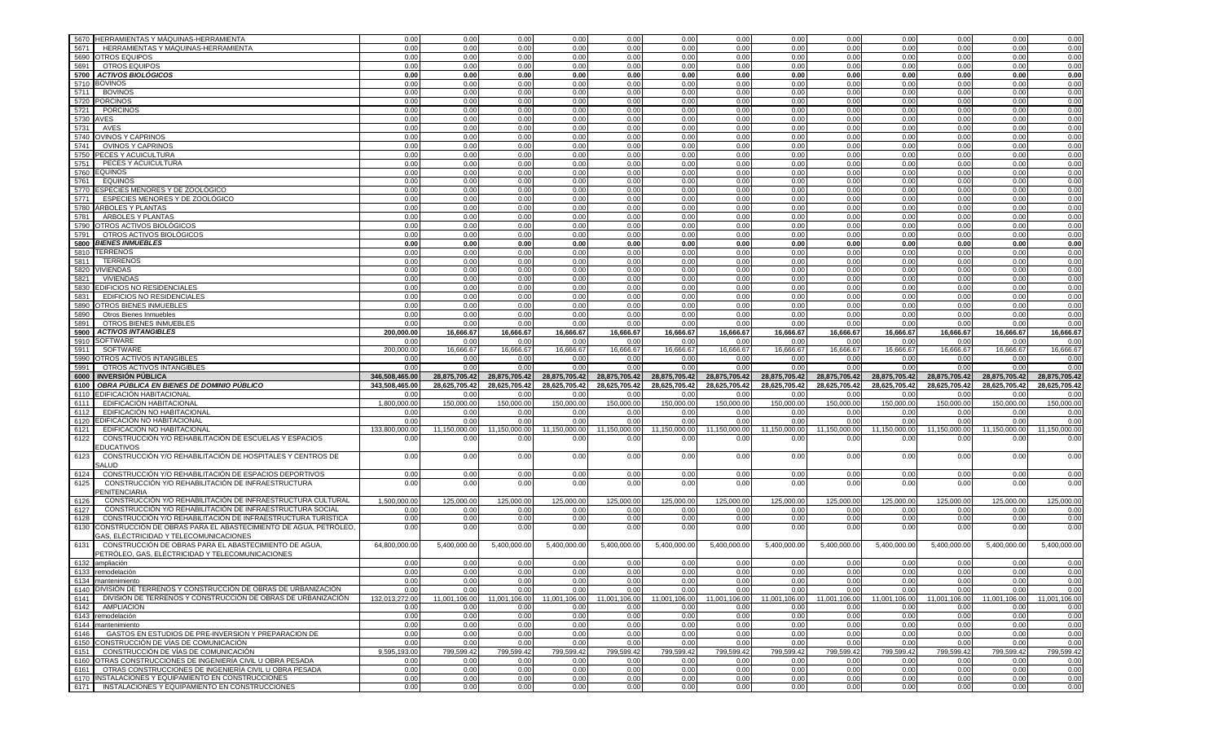| 5670      | <b>HERRAMIENTAS Y MÁQUINAS-HERRAMIENTA</b>                                                                 | 0.00           | 0.00          | 0.00          | 0.00          | 0.00          | 0.00          | 0.00          | 0.00          | 0.00          | 0.00          | 0.00          | 0.00          | 0.00                                                                                                                                                          |
|-----------|------------------------------------------------------------------------------------------------------------|----------------|---------------|---------------|---------------|---------------|---------------|---------------|---------------|---------------|---------------|---------------|---------------|---------------------------------------------------------------------------------------------------------------------------------------------------------------|
| 5671      | HERRAMIENTAS Y MÁQUINAS-HERRAMIENTA                                                                        | 0.00           | 0.00          | 0.00          | 0.00          | 0.00          | 0.00          | 0.00          | 0.00          | 0.00          | 0.00          | 0.00          | 0.00          | 0.00                                                                                                                                                          |
|           | 5690 OTROS EQUIPOS                                                                                         | 0.00           | 0.00          | 0.00          | 0.00          | 0.00          | 0.00          | 0.00          | 0.00          | 0.00          | 0.00          | 0.00          | 0.00          | 0.00                                                                                                                                                          |
| 5691      | OTROS EQUIPOS                                                                                              | 0.00           | 0.00          | 0.00          | 0.00          | 0.00          | 0.00          | 0.00          | 0.00          | 0.00          | 0.00          | 0.00          | 0.00          | 0.00                                                                                                                                                          |
|           | 5700 ACTIVOS BIOLÓGICOS                                                                                    | 0.00           | 0.00          | 0.00          | 0.00          | 0.00          | 0.00          | 0.00          | 0.00          | 0.00          | 0.00          | 0.00          | 0.00          | 0.00                                                                                                                                                          |
|           |                                                                                                            |                |               |               |               |               |               |               |               |               |               |               |               |                                                                                                                                                               |
|           | 5710 BOVINOS                                                                                               | 0.00           | 0.00          | 0.00          | 0.00          | 0.00          | 0.00          | 0.00          | 0.00          | 0.00          | 0.00          | 0.00          | 0.00          | 0.00                                                                                                                                                          |
|           | 5711 BOVINOS                                                                                               | 0.00           | 0.00          | 0.00          | 0.00          | 0.00          | 0.00          | 0.00          | 0.00          | 0.00          | 0.00          | 0.00          | 0.00          | 0.00                                                                                                                                                          |
|           | 5720 PORCINOS                                                                                              | 0.00           | 0.00          | 0.00          | 0.00          | 0.00          | 0.00          | 0.00          | 0.00          | 0.00          | 0.00          | 0.00          | 0.00          | 0.00                                                                                                                                                          |
| 5721      | <b>PORCINOS</b>                                                                                            | 0.00           | 0.00          | 0.00          | 0.00          | 0.00          | 0.00          | 0.00          | 0.00          | 0.00          | 0.00          | 0.00          | 0.00          | 0.00                                                                                                                                                          |
| 5730 AVES |                                                                                                            | 0.00           | 0.00          | 0.00          | 0.00          | 0.00          | 0.00          | 0.00          | 0.00          | 0.00          | 0.00          | 0.00          | 0.00          | 0.00                                                                                                                                                          |
| 5731      | AVES                                                                                                       | 0.00           | 0.00          | 0.00          | 0.00          | 0.00          | 0.00          | 0.00          | 0.00          | 0.00          | 0.00          | 0.00          | 0.00          | 0.00                                                                                                                                                          |
|           | 5740 OVINOS Y CAPRINOS                                                                                     | 0.00           | 0.00          | 0.00          | 0.00          | 0.00          | 0.00          | 0.00          | 0.00          | 0.00          | 0.00          | 0.00          | 0.00          | 0.00                                                                                                                                                          |
| 5741      | OVINOS Y CAPRINOS                                                                                          | 0.00           | 0.00          | 0.00          | 0.00          | 0.00          | 0.00          | 0.00          | 0.00          | 0.00          | 0.00          | 0.00          | 0.00          | 0.00                                                                                                                                                          |
|           | 5750 PECES Y ACUICULTURA                                                                                   | 0.00           | 0.00          | 0.00          | 0.00          | 0.00          | 0.00          | 0.00          | 0.00          | 0.00          | 0.00          | 0.00          | 0.00          | 0.00                                                                                                                                                          |
| 5751      | PECES Y ACUICULTURA                                                                                        | 0.00           | 0.00          | 0.00          | 0.00          | 0.00          | 0.00          | 0.00          | 0.00          | 0.00          | 0.00          | 0.00          | 0.00          | 0.00                                                                                                                                                          |
|           | 5760 EQUINOS                                                                                               | 0.00           | 0.00          | 0.00          | 0.00          | 0.00          | 0.00          | 0.00          | 0.00          | 0.00          | 0.00          | 0.00          | 0.00          | 0.00                                                                                                                                                          |
| 5761      | <b>EQUINOS</b>                                                                                             | 0.00           | 0.00          | 0.00          | 0.00          | 0.00          | 0.00          | 0.00          | 0.00          | 0.00          | 0.00          | 0.00          | 0.00          | 0.00                                                                                                                                                          |
|           | 5770 ESPECIES MENORES Y DE ZOOLÓGICO                                                                       | 0.00           | 0.00          | 0.00          | 0.00          | 0.00          | 0.00          | 0.00          | 0.00          | 0.00          | 0.00          | 0.00          | 0.00          | 0.00                                                                                                                                                          |
| 5771      | ESPECIES MENORES Y DE ZOOLÓGICO                                                                            | 0.00           | 0.00          | 0.00          | 0.00          | 0.00          | 0.00          | 0.00          | 0.00          | 0.00          | 0.00          | 0.00          | 0.00          | 0.00                                                                                                                                                          |
|           | 5780 ARBOLES Y PLANTAS                                                                                     | 0.00           | 0.00          | 0.00          | 0.00          | 0.00          | 0.00          | 0.00          | 0.00          | 0.00          | 0.00          | 0.00          | 0.00          | 0.00                                                                                                                                                          |
|           |                                                                                                            |                |               |               |               |               |               |               |               |               |               |               |               |                                                                                                                                                               |
| 5781      | ÁRBOLES Y PLANTAS                                                                                          | 0.00           | 0.00          | 0.00          | 0.00          | 0.00          | 0.00          | 0.00          | 0.00          | 0.00          | 0.00          | 0.00          | 0.00          | 0.00                                                                                                                                                          |
|           | 5790 OTROS ACTIVOS BIOLÓGICOS                                                                              | 0.00           | 0.00          | 0.00          | 0.00          | 0.00          | 0.00          | 0.00          | 0.00          | 0.00          | 0.00          | 0.00          | 0.00          | 0.00                                                                                                                                                          |
| 5791      | OTROS ACTIVOS BIOLÓGICOS                                                                                   | 0.00           | 0.00          | 0.00          | 0.00          | 0.00          | 0.00          | 0.00          | 0.00          | 0.00          | 0.00          | 0.00          | 0.00          | 0.00                                                                                                                                                          |
|           | 5800 BIENES INMUEBLES                                                                                      | 0.00           | 0.00          | 0.00          | 0.00          | 0.00          | 0.00          | 0.00          | 0.00          | 0.00          | 0.00          | 0.00          | 0.00          | 0.00                                                                                                                                                          |
|           | 5810 TERRENOS                                                                                              | 0.00           | 0.00          | 0.00          | 0.00          | 0.00          | 0.00          | 0.00          | 0.00          | 0.00          | 0.00          | 0.00          | 0.00          | 0.00                                                                                                                                                          |
| 5811      | <b>TERRENOS</b>                                                                                            | 0.00           | 0.00          | 0.00          | 0.00          | 0.00          | 0.00          | 0.00          | 0.00          | 0.00          | 0.00          | 0.00          | 0.00          | 0.00                                                                                                                                                          |
|           | 5820 VIVIENDAS                                                                                             | 0.00           | 0.00          | 0.00          | 0.00          | 0.00          | 0.00          | 0.00          | 0.00          | 0.00          | 0.00          | 0.00          | 0.00          | 0.00                                                                                                                                                          |
| 5821      | VIVIENDAS                                                                                                  | 0.00           | 0.00          | 0.00          | 0.00          | 0.00          | 0.00          | 0.00          | 0.00          | 0.00          | 0.00          | 0.00          | 0.00          | 0.00                                                                                                                                                          |
| 5830      | <b>EDIFICIOS NO RESIDENCIALES</b>                                                                          | 0.00           | 0.00          | 0.00          | 0.00          | 0.00          | 0.00          | 0.00          | 0.00          | 0.00          | 0.00          | 0.00          | 0.00          | 0.00                                                                                                                                                          |
| 5831      | EDIFICIOS NO RESIDENCIALES                                                                                 | 0.00           | 0.00          | 0.00          | 0.00          | 0.00          | 0.00          | 0.00          | 0.00          | 0.00          | 0.00          | 0.00          | 0.00          | 0.00                                                                                                                                                          |
| 5890      | <b>OTROS BIENES INMUEBLES</b>                                                                              | 0.00           | 0.00          | 0.00          | 0.00          | 0.00          | 0.00          | 0.00          | 0.00          | 0.00          | 0.00          | 0.00          | 0.00          | 0.00                                                                                                                                                          |
| 5890      | Otros Bienes Inmuebles                                                                                     | 0.00           | 0.00          | 0.00          | 0.00          | 0.00          | 0.00          | 0.00          | 0.00          | 0.00          | 0.00          | 0.00          | 0.00          | 0.00                                                                                                                                                          |
| 5891      | OTROS BIENES INMUEBLES                                                                                     | 0.00           | 0.00          | 0.00          | 0.00          | 0.00          | 0.00          | 0.00          | 0.00          | 0.00          | 0.00          | 0.00          | 0.00          | 0.00                                                                                                                                                          |
|           | 5900 ACTIVOS INTANGIBLES                                                                                   | 200.000.00     | 16,666.67     | 16,666.67     | 16,666.67     | 16,666.67     | 16,666.67     | 16,666.67     | 16,666.67     | 16,666.67     | 16,666.67     | 16,666.67     | 16,666.67     | 16,666.67                                                                                                                                                     |
|           | 5910 SOFTWARE                                                                                              | 0.00           | 0.00          | 0.00          | 0.00          | 0.00          | 0.00          | 0.00          | 0.00          | 0.00          | 0.00          | 0.00          | 0.00          | 0.00                                                                                                                                                          |
| 5911      | SOFTWARE                                                                                                   | 200,000.00     | 16,666.67     | 16,666.67     | 16,666.67     | 16,666.67     | 16,666.67     | 16,666.67     | 16,666.67     | 16,666.67     | 16,666.67     | 16,666.67     | 16,666.67     | 16,666.67                                                                                                                                                     |
|           | OTROS ACTIVOS INTANGIBLES                                                                                  | 0.00           | 0.00          | 0.00          | 0.00          | 0.00          | 0.00          | 0.00          | 0.00          | 0.00          | 0.00          | 0.00          | 0.00          | 0.00                                                                                                                                                          |
| 5990      |                                                                                                            |                |               |               |               |               |               |               |               |               |               |               |               |                                                                                                                                                               |
|           |                                                                                                            |                |               |               |               |               |               |               |               |               |               |               | 0.00          |                                                                                                                                                               |
| 5991      | OTROS ACTIVOS INTANGIBLES                                                                                  | 0.00           | 0.00          | 0.00          | 0.00          | 0.00          | 0.00          | 0.00          | 0.00          | 0.00          | 0.00          | 0.00          |               | 0.00                                                                                                                                                          |
|           | 6000 INVERSIÓN PÚBLICA                                                                                     | 346,508,465.00 | 28,875,705.42 | 28,875,705.42 | 28,875,705.42 | 28,875,705.42 | 28,875,705.42 | 28,875,705.42 | 28,875,705.42 | 28,875,705.42 | 28,875,705.42 | 28,875,705.42 | 28,875,705.42 |                                                                                                                                                               |
|           | 6100 OBRA PÚBLICA EN BIENES DE DOMINIO PÚBLICO                                                             | 343,508,465.00 | 28,625,705.42 | 28,625,705.42 | 28,625,705.42 | 28,625,705.42 | 28,625,705.42 | 28.625.705.42 | 28,625,705.42 | 28,625,705.42 | 28.625.705.42 | 28,625,705.42 | 28,625,705.42 |                                                                                                                                                               |
|           | 6110 EDIFICACIÓN HABITACIONAL                                                                              | 0.00           | 0.00          | 0.00          | 0.00          | 0.00          | 0.00          | 0.00          | 0.00          | 0.00          | 0.00          | 0.00          | 0.00          |                                                                                                                                                               |
| 6111      | EDIFICACIÓN HABITACIONAL                                                                                   | 1,800,000.00   | 150,000.00    | 150,000.00    | 150,000.00    | 150,000.00    | 150,000.00    | 150,000.00    | 150,000.00    | 150,000.00    | 150,000.00    | 150,000.00    | 150,000.00    | 150,000.00                                                                                                                                                    |
| 6112      | EDIFICACIÓN NO HABITACIONAL                                                                                | 0.00           | 0.00          | 0.00          | 0.00          | 0.00          | 0.00          | 0.00          | 0.00          | 0.00          | 0.00          | 0.00          | 0.00          |                                                                                                                                                               |
| 6120      | EDIFICACIÓN NO HABITACIONAL                                                                                | 0.00           | 0.00          | 0.00          | 0.00          | 0.00          | 0.00          | 0.00          | 0.00          | 0.00          | 0.00          | 0.00          | 0.00          |                                                                                                                                                               |
| 6121      | EDIFICACIÓN NO HABITACIONAL                                                                                | 133,800,000.00 | 11,150,000.00 | 11,150,000.00 | 11,150,000.00 | 11,150,000.00 | 11,150,000.00 | 11,150,000.00 | 11,150,000.00 | 11,150,000.00 | 11,150,000.00 | 11,150,000.00 | 11,150,000.00 |                                                                                                                                                               |
| 6122      | CONSTRUCCIÓN Y/O REHABILITACIÓN DE ESCUELAS Y ESPACIOS                                                     | 0.00           | 0.00          | 0.00          | 0.00          | 0.00          | 0.00          | 0.00          | 0.00          | 0.00          | 0.00          | 0.00          | 0.00          |                                                                                                                                                               |
|           | <b>EDUCATIVOS</b>                                                                                          |                |               |               |               |               |               |               |               |               |               |               |               |                                                                                                                                                               |
| 6123      | CONSTRUCCIÓN Y/O REHABILITACIÓN DE HOSPITALES Y CENTROS DE                                                 | 0.00           | 0.00          | 0.00          | 0.00          | 0.00          | 0.00          | 0.00          | 0.00          | 0.00          | 0.00          | 0.00          | 0.00          |                                                                                                                                                               |
|           | <b>SALUD</b>                                                                                               |                |               |               |               |               |               |               |               |               |               |               |               |                                                                                                                                                               |
| 6124      | CONSTRUCCIÓN Y/O REHABILITACIÓN DE ESPACIOS DEPORTIVOS                                                     | 0.00           | 0.00          | 0.00          | 0.00          | 0.00          | 0.00          | 0.00          | 0.00          | 0.00          | 0.00          | 0.00          | 0.00          |                                                                                                                                                               |
| 6125      | CONSTRUCCIÓN Y/O REHABILITACIÓN DE INFRAESTRUCTURA                                                         | 0.00           | 0.00          | 0.00          | 0.00          | 0.00          | 0.00          | 0.00          | 0.00          | 0.00          | 0.00          | 0.00          | 0.00          |                                                                                                                                                               |
|           | <b>ENITENCIARIA</b>                                                                                        |                |               |               |               |               |               |               |               |               |               |               |               |                                                                                                                                                               |
| 6126      | CONSTRUCCIÓN Y/O REHABILITACIÓN DE INFRAESTRUCTURA CULTURAL                                                | 1,500,000.00   | 125,000.00    | 125,000.00    | 125,000.00    | 125,000.00    | 125,000.00    | 125,000.00    | 125,000.00    | 125,000.00    | 125,000.00    | 125,000.00    | 125,000.00    |                                                                                                                                                               |
| 6127      | CONSTRUCCIÓN Y/O REHABILITACIÓN DE INFRAESTRUCTURA SOCIAL                                                  | 0.00           | 0.00          | 0.00          | 0.00          | 0.00          | 0.00          | 0.00          | 0.00          | 0.00          | 0.00          | 0.00          | 0.00          |                                                                                                                                                               |
| 6128      | CONSTRUCCIÓN Y/O REHABILITACIÓN DE INFRAESTRUCTURA TURÍSTICA                                               | 0.00           | 0.00          | 0.00          | 0.00          | 0.00          | 0.00          | 0.00          | 0.00          | 0.00          | 0.00          | 0.00          | 0.00          |                                                                                                                                                               |
| 6130      | CONSTRUCCIÓN DE OBRAS PARA EL ABASTECIMIENTO DE AGUA, PETRÓLEO,                                            | 0.00           | 0.00          | 0.00          | 0.00          | 0.00          | 0.00          | 0.00          | 0.00          | 0.00          | 0.00          | 0.00          | 0.00          |                                                                                                                                                               |
|           | GAS. ELÉCTRICIDAD Y TELECOMUNICACIONES                                                                     |                |               |               |               |               |               |               |               |               |               |               |               |                                                                                                                                                               |
| 6131      | CONSTRUCCIÓN DE OBRAS PARA EL ABASTECIMIENTO DE AGUA,                                                      | 64,800,000.00  | 5,400,000.00  | 5,400,000.00  | 5,400,000.00  | 5,400,000.00  | 5,400,000.00  | 5,400,000.00  | 5,400,000.00  | 5,400,000.00  | 5,400,000.00  | 5,400,000.00  | 5,400,000.00  |                                                                                                                                                               |
|           | PETRÓLEO, GAS, ELÉCTRICIDAD Y TELECOMUNICACIONES                                                           |                |               |               |               |               |               |               |               |               |               |               |               | 28,875,705.42<br>28,625,705.42<br>0.00<br>0.00<br>0.00<br>11,150,000.00<br>0.00<br>0.00<br>0.00<br>0.00<br>125,000.00<br>0.00<br>0.00<br>0.00<br>5,400,000.00 |
|           | 6132 ampliación                                                                                            | 0.00           | 0.00          | 0.00          | 0.00          | 0.00          | 0.00          | 0.00          | 0.00          | 0.00          | 0.00          | 0.00          | 0.00          |                                                                                                                                                               |
|           | 6133 remodelación                                                                                          | 0.00           | 0.00          | 0.00          | 0.00          | 0.00          | 0.00          | 0.00          | 0.00          | 0.00          | 0.00          | 0.00          | 0.00          |                                                                                                                                                               |
|           | 6134 mantenimiento                                                                                         | 0.00           | 0.00          | 0.00          | 0.00          | 0.00          | 0.00          | 0.00          | 0.00          | 0.00          | 0.00          | 0.00          | 0.00          |                                                                                                                                                               |
|           | 6140 DIVISIÓN DE TERRENOS Y CONSTRUCCIÓN DE OBRAS DE URBANIZACIÓN                                          | 0.00           | 0.00          | 0.00          | 0.00          | 0.00          | 0.00          | 0.00          | 0.00          | 0.00          | 0.00          | 0.00          | 0.00          |                                                                                                                                                               |
|           | 6141 DIVISIÓN DE TERRENOS Y CONSTRUCCIÓN DE OBRAS DE URBANIZACIÓN                                          | 132.013.272.00 | 11.001.106.00 | 11.001.106.00 | 11,001,106.00 | 11,001,106.00 | 11.001.106.00 | 11,001,106.00 | 11.001.106.00 | 11.001.106.00 | 11,001,106.00 | 11,001,106.00 | 11,001,106.00 |                                                                                                                                                               |
|           | 6142 AMPLIACION                                                                                            | 0.00           | 0.00          | 0.00          | 0.00          | 0.00          | 0.00          | 0.00          | 0.00          | 0.00          | 0.00          | 0.00          | 0.00          |                                                                                                                                                               |
|           | 6143 remodelación                                                                                          | 0.00           | 0.00          | 0.00          | 0.00          | 0.00          | 0.00          | 0.00          | 0.00          | 0.00          | 0.00          | 0.00          | 0.00          |                                                                                                                                                               |
|           | 6144 mantenimiento                                                                                         | 0.00           | 0.00          | 0.00          | 0.00          | 0.00          | 0.00          | 0.00          | 0.00          | 0.00          | 0.00          | 0.00          | 0.00          |                                                                                                                                                               |
| 6146      | GASTOS EN ESTUDIOS DE PRE-INVERSION Y PREPARACION DE                                                       | 0.00           | 0.00          | 0.00          | 0.00          | 0.00          | 0.00          | 0.00          | 0.00          | 0.00          | 0.00          | 0.00          | 0.00          |                                                                                                                                                               |
|           | 6150 CONSTRUCCIÓN DE VÍAS DE COMUNICACIÓN                                                                  | 0.00           | 0.00          | 0.00          | 0.00          | 0.00          | 0.00          | 0.00          | 0.00          | 0.00          | 0.00          | 0.00          | 0.00          |                                                                                                                                                               |
|           |                                                                                                            |                |               |               |               |               |               |               |               |               |               |               |               |                                                                                                                                                               |
|           | 6151 CONSTRUCCIÓN DE VÍAS DE COMUNICACIÓN                                                                  | 9,595,193.00   | 799,599.42    | 799,599.42    | 799,599.42    | 799,599.42    | 799,599.42    | 799,599.42    | 799,599.42    | 799,599.42    | 799,599.42    | 799,599.42    | 799,599.42    |                                                                                                                                                               |
|           | 6160 OTRAS CONSTRUCCIONES DE INGENIERÍA CIVIL U OBRA PESADA                                                | 0.00           | 0.00          | 0.00          | 0.00          | 0.00          | 0.00          | 0.00          | 0.00          | 0.00          | 0.00          | 0.00          | 0.00          |                                                                                                                                                               |
|           | 6161   OTRAS CONSTRUCCIONES DE INGENIERÍA CIVIL U OBRA PESADA                                              | 0.00           | 0.00          | 0.00          | 0.00          | 0.00          | 0.00          | 0.00          | 0.00          | 0.00          | 0.00          | 0.00          | 0.00          |                                                                                                                                                               |
|           | 6170 INSTALACIONES Y EQUIPAMIENTO EN CONSTRUCCIONES<br>6171 INSTALACIONES Y EQUIPAMIENTO EN CONSTRUCCIONES | 0.00<br>0.00   | 0.00<br>0.00  | 0.00<br>0.00  | 0.00<br>0.00  | 0.00<br>0.00  | 0.00<br>0.00  | 0.00<br>0.00  | 0.00<br>0.00  | 0.00<br>0.00  | 0.00<br>0.00  | 0.00<br>0.00  | 0.00<br>0.00  | 0.00<br>0.00<br>0.00<br>0.00<br>11.001.106.00<br>0.00<br>0.00<br>0.00<br>0.00<br>0.00<br>799,599.42<br>0.00<br>0.00<br>0.00<br>0.00                           |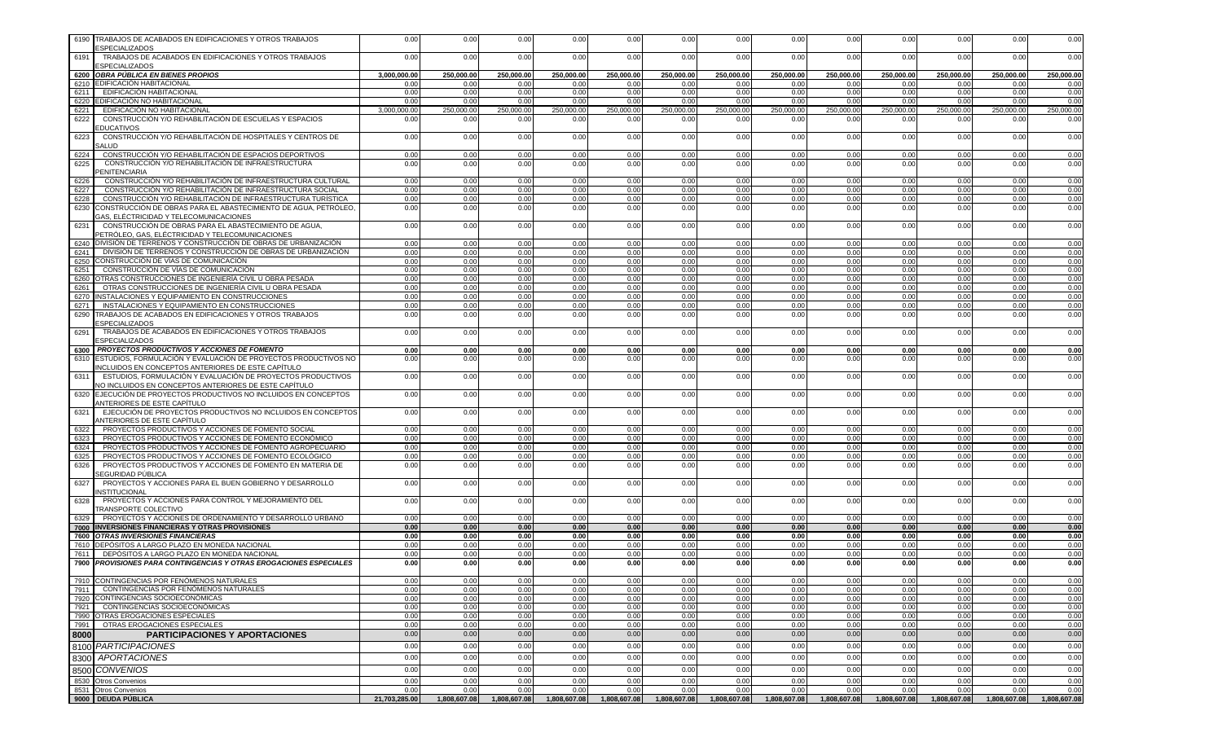|              | 6190 TRABAJOS DE ACABADOS EN EDIFICACIONES Y OTROS TRABAJOS<br><b>ESPECIALIZADOS</b>                                                           | 0.00          | 0.00         | 0.00         | 0.00         | 0.00                       | 0.00         | 0.00         | 0.00         | 0.00         | 0.00         | 0.00         | 0.00         | 0.00         |
|--------------|------------------------------------------------------------------------------------------------------------------------------------------------|---------------|--------------|--------------|--------------|----------------------------|--------------|--------------|--------------|--------------|--------------|--------------|--------------|--------------|
| 6191         | TRABAJOS DE ACABADOS EN EDIFICACIONES Y OTROS TRABAJOS                                                                                         | 0.00          | 0.00         | 0.00         | 0.00         | 0.00                       | 0.00         | 0.00         | 0.00         | 0.00         | 0.00         | 0.00         | 0.00         | 0.00         |
|              | <b>ESPECIALIZADOS</b><br>6200 OBRA PÚBLICA EN BIENES PROPIOS                                                                                   | 3,000,000.00  | 250,000.00   | 250,000.00   | 250,000.00   | 250,000.00                 | 250,000.00   | 250,000.00   | 250,000.00   | 250,000.00   | 250,000.00   | 250,000.00   | 250,000.00   | 250,000.00   |
|              | 6210 EDIFICACIÓN HABITACIONAL                                                                                                                  | 0.00          | 0.00         | 0.00         | 0.00         | 0.00                       | 0.00         | 0.00         | 0.00         | 0.00         | 0.00         | 0.00         | 0.00         | 0.00         |
| 6211         | EDIFICACIÓN HABITACIONAL                                                                                                                       | 0.00          | 0.00         | 0.00         | 0.00         | 0.00                       | 0.00         | 0.00         | 0.00         | 0.00         | 0.00         | 0.00         | 0.00         | 0.00         |
|              | 6220 EDIFICACIÓN NO HABITACIONAL                                                                                                               | 0.00          | 0.00         | 0.00         | 0.00         | 0.00                       | 0.00         | 0.00         | 0.00         | 0.00         | 0.00         | 0.00         | 0.00         | 0.00         |
| 6221         | EDIFICACIÓN NO HABITACIONAL                                                                                                                    | 3.000.000.00  | 250.000.00   | 250,000.00   | 250.000.00   | 250,000.00                 | 250,000.00   | 250,000.00   | 250,000.00   | 250.000.00   | 250,000.00   | 250,000.00   | 250,000.00   | 250.000.00   |
| 6222         | CONSTRUCCIÓN Y/O REHABILITACIÓN DE ESCUELAS Y ESPACIOS<br><b>EDUCATIVOS</b>                                                                    | 0.00          | 0.00         | 0.00         | 0.00         | 0.00                       | 0.00         | 0.00         | 0.00         | 0.00         | 0.00         | 0.00         | 0.00         | 0.00         |
| 6223         | CONSTRUCCIÓN Y/O REHABILITACIÓN DE HOSPITALES Y CENTROS DE<br>SALUD                                                                            | 0.00          | 0.00         | 0.00         | 0.00         | 0.00                       | 0.00         | 0.00         | 0.00         | 0.00         | 0.00         | 0.00         | 0.00         | 0.00         |
| 6224         | CONSTRUCCIÓN Y/O REHABILITACIÓN DE ESPACIOS DEPORTIVOS                                                                                         | 0.00          | 0.00         | 0.00         | 0.00         | 0.00                       | 0.00         | 0.00         | 0.00         | 0.00         | 0.00         | 0.00         | 0.00         | 0.00         |
| 6225         | CONSTRUCCIÓN Y/O REHABILITACIÓN DE INFRAESTRUCTURA<br><b>PENITENCIARIA</b>                                                                     | 0.00          | 0.00         | 0.00         | 0.00         | 0.00                       | 0.00         | 0.00         | 0.00         | 0.00         | 0.00         | 0.00         | 0.00         | 0.00         |
| 6226         | CONSTRUCCIÓN Y/O REHABILITACIÓN DE INFRAESTRUCTURA CULTURAL                                                                                    | 0.00          | 0.00         | 0.00         | 0.00         | 0.00                       | 0.00         | 0.00         | 0.00         | 0.00         | 0.00         | 0.00         | 0.00         | 0.00         |
| 6227<br>6228 | CONSTRUCCIÓN Y/O REHABILITACIÓN DE INFRAESTRUCTURA SOCIAL<br>CONSTRUCCIÓN Y/O REHABILITACIÓN DE INFRAESTRUCTURA TURÍSTICA                      | 0.00<br>0.00  | 0.00<br>0.00 | 0.00<br>0.00 | 0.00<br>0.00 | 0.00<br>0.00               | 0.00<br>0.00 | 0.00<br>0.00 | 0.00<br>0.00 | 0.00<br>0.00 | 0.00<br>0.00 | 0.00<br>0.00 | 0.00<br>0.00 | 0.00<br>0.00 |
| 6230         | CONSTRUCCIÓN DE OBRAS PARA EL ABASTECIMIENTO DE AGUA, PETRÓLEO,                                                                                | 0.00          | 0.00         | 0.00         | 0.00         | 0.00                       | 0.00         | 0.00         | 0.00         | 0.00         | 0.00         | 0.00         | 0.00         | 0.00         |
|              | GAS, ELÉCTRICIDAD Y TELECOMUNICACIONES                                                                                                         |               |              |              |              |                            |              |              |              |              |              |              |              |              |
| 6231         | CONSTRUCCIÓN DE OBRAS PARA EL ABASTECIMIENTO DE AGUA,<br>PETRÓLEO, GAS, ELÉCTRICIDAD Y TELECOMUNICACIONES                                      | 0.00          | 0.00         | 0.00         | 0.00         | 0.00                       | 0.00         | 0.00         | 0.00         | 0.00         | 0.00         | 0.00         | 0.00         | 0.00         |
|              | 6240 DIVISIÓN DE TERRENOS Y CONSTRUCCIÓN DE OBRAS DE URBANIZACIÓN                                                                              | 0.00          | 0.00         | 0.00         | 0.00         | 0.00                       | 0.00         | 0.00         | 0.00         | 0.00         | 0.00         | 0.00         | 0.00         | 0.00         |
| 6241         | DIVISIÓN DE TERRENOS Y CONSTRUCCIÓN DE OBRAS DE URBANIZACIÓN<br>6250 CONSTRUCCIÓN DE VÍAS DE COMUNICACIÓN                                      | 0.00          | 0.00<br>0.00 | 0.00<br>0.00 | 0.00         | 0.00                       | 0.00         | 0.00<br>0.00 | 0.00<br>0.00 | 0.00         | 0.00<br>0.00 | 0.00         | 0.00<br>0.00 | 0.00<br>0.00 |
| 6251         | CONSTRUCCIÓN DE VÍAS DE COMUNICACIÓN                                                                                                           | 0.00<br>0.00  | 0.00         | 0.00         | 0.00<br>0.00 | 0.00<br>0.00               | 0.00<br>0.00 | 0.00         | 0.00         | 0.00<br>0.00 | 0.00         | 0.00<br>0.00 | 0.00         | 0.00         |
| 6260         | OTRAS CONSTRUCCIONES DE INGENIERÍA CIVIL U OBRA PESADA                                                                                         | 0.00          | 0.00         | 0.00         | 0.00         | 0.00                       | 0.00         | 0.00         | 0.00         | 0.00         | 0.00         | 0.00         | 0.00         | 0.00         |
| 6261         | OTRAS CONSTRUCCIONES DE INGENIERÍA CIVIL U OBRA PESADA                                                                                         | 0.00          | 0.00         | 0.00         | 0.00         | 0.00                       | 0.00         | 0.00         | 0.00         | 0.00         | 0.00         | 0.00         | 0.00         | 0.00         |
|              | 6270 INSTALACIONES Y EQUIPAMIENTO EN CONSTRUCCIONES                                                                                            | 0.00          | 0.00         | 0.00         | 0.00         | 0.00                       | 0.00         | 0.00         | 0.00         | 0.00         | 0.00         | 0.00         | 0.00         | 0.00         |
| 6271         | INSTALACIONES Y EQUIPAMIENTO EN CONSTRUCCIONES                                                                                                 | 0.00          | 0.00         | 0.00         | 0.00         | 0.00                       | 0.00         | 0.00         | 0.00         | 0.00         | 0.00         | 0.00         | 0.00         | 0.00         |
| 6291         | 6290 TRABAJOS DE ACABADOS EN EDIFICACIONES Y OTROS TRABAJOS<br><b>ESPECIALIZADOS</b><br>TRABAJOS DE ACABADOS EN EDIFICACIONES Y OTROS TRABAJOS | 0.00<br>0.00  | 0.00<br>0.00 | 0.00<br>0.00 | 0.00<br>0.00 | 0.00<br>0.00               | 0.00<br>0.00 | 0.00<br>0.00 | 0.00<br>0.00 | 0.00<br>0.00 | 0.00<br>0.00 | 0.00<br>0.00 | 0.00<br>0.00 | 0.00<br>0.00 |
|              | <b>ESPECIALIZADOS</b>                                                                                                                          |               |              |              |              |                            |              |              |              |              |              |              |              |              |
|              | 6300 PROYECTOS PRODUCTIVOS Y ACCIONES DE FOMENTO                                                                                               | 0.00          | 0.00         | 0.00         | 0.00         | 0.00                       | 0.00         | 0.00         | 0.00         | 0.00         | 0.00         | 0.00         | 0.00         | 0.00         |
|              | 6310 ESTUDIOS, FORMULACIÓN Y EVALUACIÓN DE PROYECTOS PRODUCTIVOS NO<br>INCLUIDOS EN CONCEPTOS ANTERIORES DE ESTE CAPÍTULO                      | 0.00          | 0.00         | 0.00         | 0.00         | 0.00                       | 0.00         | 0.00         | 0.00         | 0.00         | 0.00         | 0.00         | 0.00         | 0.00         |
| 6311         | ESTUDIOS, FORMULACIÓN Y EVALUACIÓN DE PROYECTOS PRODUCTIVOS<br>NO INCLUIDOS EN CONCEPTOS ANTERIORES DE ESTE CAPÍTULO                           | 0.00          | 0.00         | 0.00         | 0.00         | 0.00                       | 0.00         | 0.00         | 0.00         | 0.00         | 0.00         | 0.00         | 0.00         | 0.00         |
|              | 6320 EJECUCIÓN DE PROYECTOS PRODUCTIVOS NO INCLUIDOS EN CONCEPTOS<br>ANTERIORES DE ESTE CAPÍTULO                                               | 0.00          | 0.00         | 0.00         | 0.00         | 0.00                       | 0.00         | 0.00         | 0.00         | 0.00         | 0.00         | 0.00         | 0.00         | 0.00         |
| 6321         | EJECUCIÓN DE PROYECTOS PRODUCTIVOS NO INCLUIDOS EN CONCEPTOS<br>ANTERIORES DE ESTE CAPÍTULO                                                    | 0.00          | 0.00         | 0.00         | 0.00         | 0.00                       | 0.00         | 0.00         | 0.00         | 0.00         | 0.00         | 0.00         | 0.00         | 0.00         |
| 6322         | PROYECTOS PRODUCTIVOS Y ACCIONES DE FOMENTO SOCIAL                                                                                             | 0.00          | 0.00         | 0.00         | 0.00         | 0.00                       | 0.00         | 0.00         | 0.00         | 0.00         | 0.00         | 0.00         | 0.00         | 0.00         |
| 6323         | PROYECTOS PRODUCTIVOS Y ACCIONES DE FOMENTO ECONÓMICO                                                                                          | 0.00          | 0.00         | 0.00         | 0.00         | 0.00                       | 0.00         | 0.00         | 0.00         | 0.00         | 0.00         | 0.00         | 0.00         | 0.00         |
| 6324         | PROYECTOS PRODUCTIVOS Y ACCIONES DE FOMENTO AGROPECUARIO                                                                                       | 0.00<br>0.00  | 0.00         | 0.00         | 0.00         | 0.00                       | 0.00         | 0.00         | 0.00         | 0.00         | 0.00<br>0.00 | 0.00         | 0.00<br>0.00 | 0.00         |
| 6325<br>6326 | PROYECTOS PRODUCTIVOS Y ACCIONES DE FOMENTO ECOLÓGICO<br>PROYECTOS PRODUCTIVOS Y ACCIONES DE FOMENTO EN MATERIA DE                             | 0.00          | 0.00<br>0.00 | 0.00<br>0.00 | 0.00<br>0.00 | 0.00<br>0.00               | 0.00<br>0.00 | 0.00<br>0.00 | 0.00<br>0.00 | 0.00<br>0.00 | 0.00         | 0.00<br>0.00 | 0.00         | 0.00<br>0.00 |
| 6327         | EGURIDAD PÚBLICA<br>PROYECTOS Y ACCIONES PARA EL BUEN GOBIERNO Y DESARROLLO                                                                    | 0.00          | 0.00         | 0.00         | 0.00         | 0.00                       | 0.00         | 0.00         | 0.00         | 0.00         | 0.00         | 0.00         | 0.00         | 0.00         |
| 6328         | NSTITUCIONAL<br>PROYECTOS Y ACCIONES PARA CONTROL Y MEJORAMIENTO DEL                                                                           | 0.00          | 0.00         | 0.00         | 0.00         | 0.00                       | 0.00         | 0.00         | 0.00         | 0.00         | 0.00         | 0.00         | 0.00         | 0.00         |
|              | TRANSPORTE COLECTIVO                                                                                                                           |               |              |              |              |                            |              |              |              |              |              |              |              |              |
| 6329         | PROYECTOS Y ACCIONES DE ORDENAMIENTO Y DESARROLLO URBANO<br>7000 INVERSIONES FINANCIERAS Y OTRAS PROVISIONES                                   | 0.00<br>0.00  | 0.00<br>0.00 | 0.00<br>0.00 | 0.00<br>0.00 | 0.00<br>0.00               | 0.00<br>0.00 | 0.00<br>0.00 | 0.00<br>0.00 | 0.00<br>0.00 | 0.00<br>0.00 | 0.00<br>0.00 | 0.00<br>0.00 | 0.00<br>0.00 |
|              | <b>7600 OTRAS INVERSIONES FINANCIERAS</b>                                                                                                      | 0.00          | 0.00         | 0.00         | 0.00         | 0.00                       | 0.00         | 0.00         | 0.00         | 0.00         | 0.00         | 0.00         | 0.00         | 0.00         |
|              | 7610 DEPÓSITOS A LARGO PLAZO EN MONEDA NACIONAL                                                                                                | 0.00          | 0.00         | 0.00         | 0.00         | 0.00                       | 0.00         | 0.00         | 0.00         | 0.00         | 0.00         | 0.00         | 0.00         | 0.00         |
| 7611         | DEPÓSITOS A LARGO PLAZO EN MONEDA NACIONAL                                                                                                     | 0.00          | 0.00         | 0.00         | 0.00         | 0.00                       | 0.00         | 0.00         | 0.00         | 0.00         | 0.00         | 0.00         | 0.00         | 0.00         |
|              | 7900 PROVISIONES PARA CONTINGENCIAS Y OTRAS EROGACIONES ESPECIALES                                                                             | 0.00          | 0.00         | 0.00         | 0.00         | 0.00                       | 0.00         | 0.00         | 0.00         | 0.00         | 0.00         | 0.00         | 0.00         | 0.00         |
|              | 7910 CONTINGENCIAS POR FENOMENOS NATURALES                                                                                                     | 0.00          | 0.00         | 0.00         | 0.00         | 0.00                       | 0.00         | 0.00         | 0.00         | 0.00         | 0.00         | 0.00         | 0.00         | 0.001        |
|              | 7911 CONTINGENCIAS POR FENÓMENOS NATURALES                                                                                                     | 0.00          | 0.00         | 0.00         | 0.00         | 0.00                       | 0.00         | 0.00         | 0.00         | 0.00         | 0.00         | 0.00         | 0.00         | 0.00         |
|              | 7920 CONTINGENCIAS SOCIOECONÓMICAS<br>7921 CONTINGENCIAS SOCIOECONÓMICAS                                                                       | 0.00<br>0.00  | 0.00<br>0.00 | 0.00<br>0.00 | 0.00<br>0.00 | 0.00<br>0.00               | 0.00<br>0.00 | 0.00<br>0.00 | 0.00<br>0.00 | 0.00<br>0.00 | 0.00<br>0.00 | 0.00<br>0.00 | 0.00<br>0.00 | 0.00<br>0.00 |
|              | 7990 OTRAS EROGACIONES ESPECIALES                                                                                                              | 0.00          | 0.00         | 0.00         | 0.00         | 0.00                       | 0.00         | 0.00         | 0.00         | 0.00         | 0.00         | 0.00         | 0.00         | 0.00         |
| 7991         | OTRAS EROGACIONES ESPECIALES                                                                                                                   | 0.00          | 0.00         | 0.00         | 0.00         | 0.00                       | 0.00         | 0.00         | 0.00         | 0.00         | 0.00         | 0.00         | 0.00         | 0.00         |
| 8000         | <b>PARTICIPACIONES Y APORTACIONES</b>                                                                                                          | 0.00          | 0.00         | 0.00         | 0.00         | 0.00                       | 0.00         | 0.00         | 0.00         | 0.00         | 0.00         | 0.00         | 0.00         | 0.00         |
|              | 8100 PARTICIPACIONES                                                                                                                           | 0.00          | 0.00         | 0.00         | 0.00         | 0.00                       | 0.00         | 0.00         | 0.00         | 0.00         | 0.00         | 0.00         | 0.00         | 0.00         |
|              | 8300 APORTACIONES                                                                                                                              | 0.00          | 0.00         | 0.00         | 0.00         | 0.00                       | 0.00         | 0.00         | 0.00         | 0.00         | 0.00         | 0.00         | 0.00         | 0.00         |
|              | 8500 CONVENIOS                                                                                                                                 | 0.00          | 0.00         | 0.00         | 0.00         | 0.00                       | 0.00         | 0.00         | 0.00         | 0.00         | 0.00         | 0.00         | 0.00         | 0.00         |
|              | 8530 Otros Convenios                                                                                                                           | 0.00          | 0.00         | 0.00         | 0.00         | 0.00                       | 0.00         | 0.00         | 0.00         | 0.00         | 0.00         | 0.00         | 0.00         | 0.00         |
|              | 8531 Otros Convenios                                                                                                                           | 0.00          | 0.00         | 0.00         | 0.00         | 0.00                       | 0.00         | 0.00         | 0.00         | 0.00         | 0.00         | 0.00         | 0.00         | 0.00         |
|              | 9000 DEUDA PÚBLICA                                                                                                                             | 21,703,285.00 | 1.808.607.08 | 1,808,607.08 |              | 1,808,607.08  1,808,607.08 | 1,808,607.08 | 1,808,607.08 | 1,808,607.08 | 1,808,607.08 | 1,808,607.08 | 1,808,607.08 | 1,808,607.08 | 1,808,607.08 |